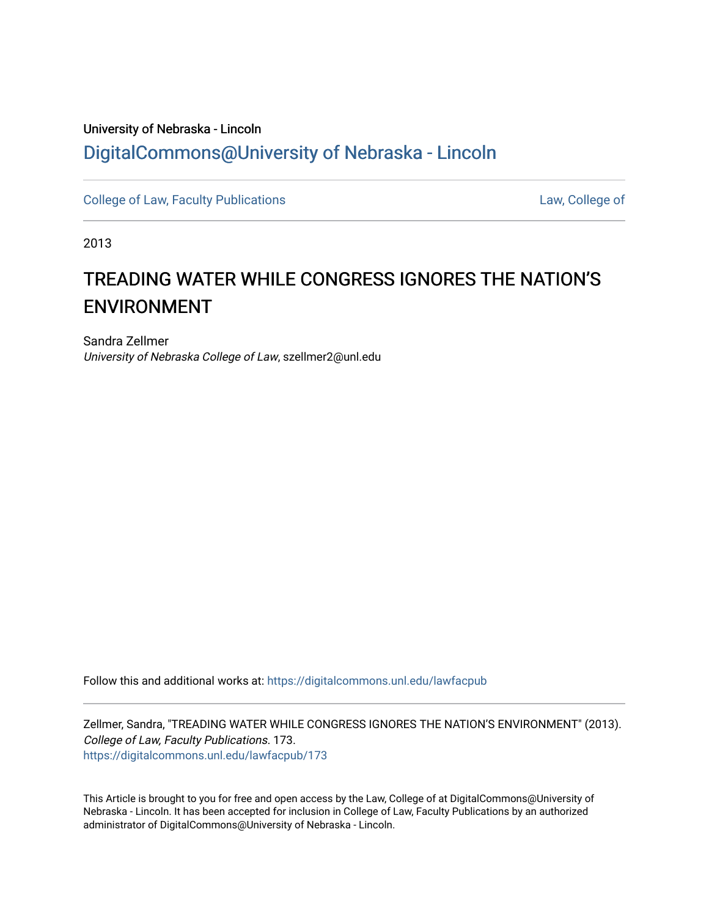## University of Nebraska - Lincoln [DigitalCommons@University of Nebraska - Lincoln](https://digitalcommons.unl.edu/)

[College of Law, Faculty Publications](https://digitalcommons.unl.edu/lawfacpub) **College of Law, College of** 

2013

# TREADING WATER WHILE CONGRESS IGNORES THE NATION'S ENVIRONMENT

Sandra Zellmer University of Nebraska College of Law, szellmer2@unl.edu

Follow this and additional works at: [https://digitalcommons.unl.edu/lawfacpub](https://digitalcommons.unl.edu/lawfacpub?utm_source=digitalcommons.unl.edu%2Flawfacpub%2F173&utm_medium=PDF&utm_campaign=PDFCoverPages) 

Zellmer, Sandra, "TREADING WATER WHILE CONGRESS IGNORES THE NATION'S ENVIRONMENT" (2013). College of Law, Faculty Publications. 173. [https://digitalcommons.unl.edu/lawfacpub/173](https://digitalcommons.unl.edu/lawfacpub/173?utm_source=digitalcommons.unl.edu%2Flawfacpub%2F173&utm_medium=PDF&utm_campaign=PDFCoverPages) 

This Article is brought to you for free and open access by the Law, College of at DigitalCommons@University of Nebraska - Lincoln. It has been accepted for inclusion in College of Law, Faculty Publications by an authorized administrator of DigitalCommons@University of Nebraska - Lincoln.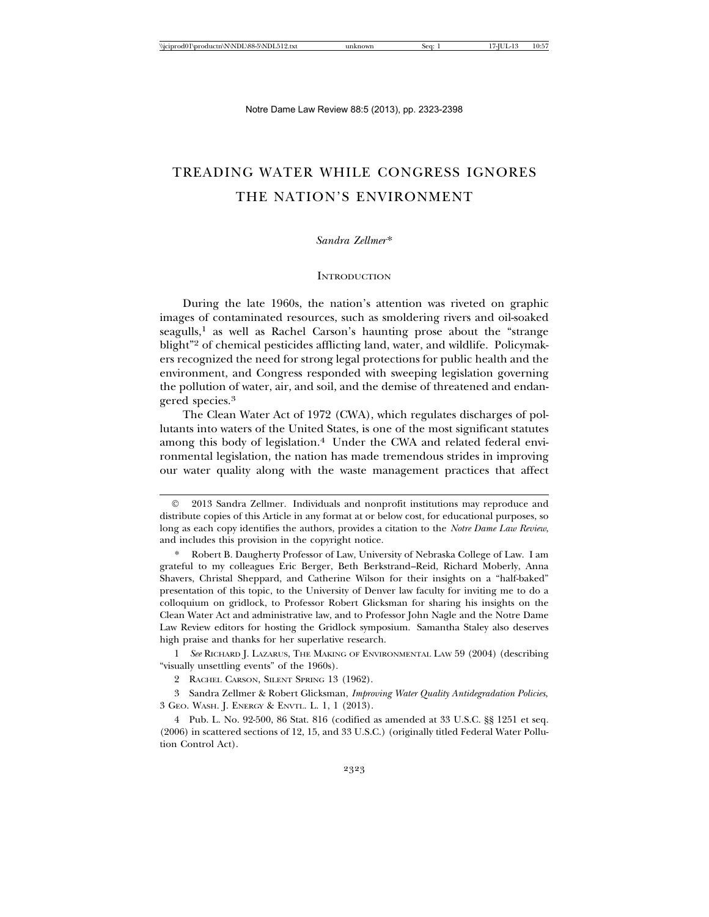### TREADING WATER WHILE CONGRESS IGNORES THE NATION'S ENVIRONMENT

#### *Sandra Zellmer*\*

#### **INTRODUCTION**

During the late 1960s, the nation's attention was riveted on graphic images of contaminated resources, such as smoldering rivers and oil-soaked  $s$ eagulls,<sup>1</sup> as well as Rachel Carson's haunting prose about the "strange" blight"2 of chemical pesticides afflicting land, water, and wildlife. Policymakers recognized the need for strong legal protections for public health and the environment, and Congress responded with sweeping legislation governing the pollution of water, air, and soil, and the demise of threatened and endangered species.3

The Clean Water Act of 1972 (CWA), which regulates discharges of pollutants into waters of the United States, is one of the most significant statutes among this body of legislation.<sup>4</sup> Under the CWA and related federal environmental legislation, the nation has made tremendous strides in improving our water quality along with the waste management practices that affect

1 *See* RICHARD J. LAZARUS, THE MAKING OF ENVIRONMENTAL LAW 59 (2004) (describing "visually unsettling events" of the 1960s).

2 RACHEL CARSON, SILENT SPRING 13 (1962).

3 Sandra Zellmer & Robert Glicksman, *Improving Water Quality Antidegradation Policies*, 3 GEO. WASH. J. ENERGY & ENVTL. L. 1, 1 (2013).

4 Pub. L. No. 92-500, 86 Stat. 816 (codified as amended at 33 U.S.C. §§ 1251 et seq. (2006) in scattered sections of 12, 15, and 33 U.S.C.) (originally titled Federal Water Pollution Control Act).

2013 Sandra Zellmer. Individuals and nonprofit institutions may reproduce and distribute copies of this Article in any format at or below cost, for educational purposes, so long as each copy identifies the authors, provides a citation to the *Notre Dame Law Review*, and includes this provision in the copyright notice.

<sup>\*</sup> Robert B. Daugherty Professor of Law, University of Nebraska College of Law. I am grateful to my colleagues Eric Berger, Beth Berkstrand–Reid, Richard Moberly, Anna Shavers, Christal Sheppard, and Catherine Wilson for their insights on a "half-baked" presentation of this topic, to the University of Denver law faculty for inviting me to do a colloquium on gridlock, to Professor Robert Glicksman for sharing his insights on the Clean Water Act and administrative law, and to Professor John Nagle and the Notre Dame Law Review editors for hosting the Gridlock symposium. Samantha Staley also deserves high praise and thanks for her superlative research.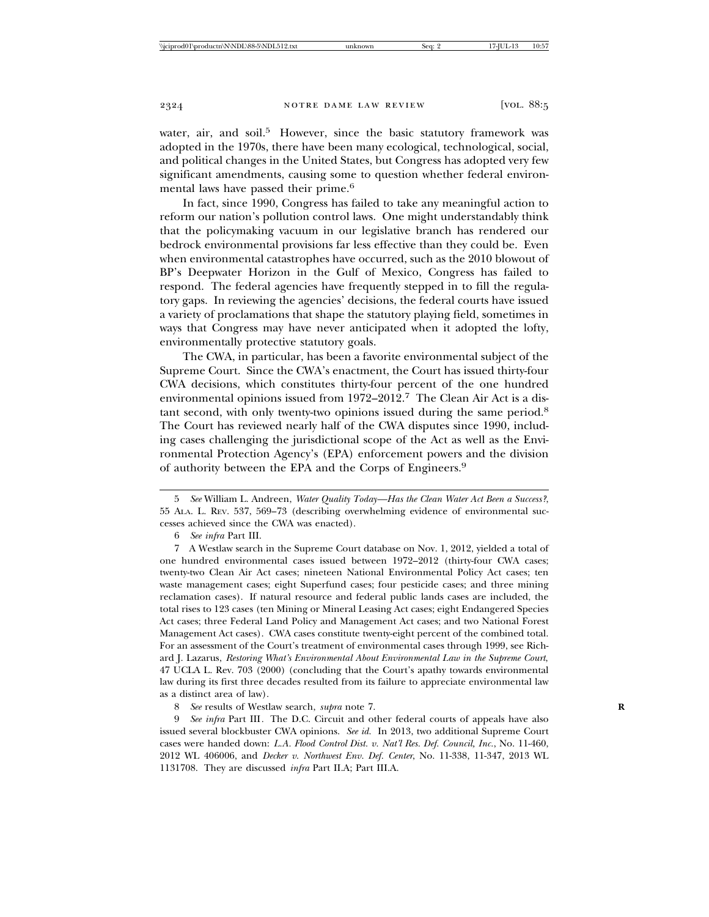water, air, and soil.<sup>5</sup> However, since the basic statutory framework was adopted in the 1970s, there have been many ecological, technological, social, and political changes in the United States, but Congress has adopted very few significant amendments, causing some to question whether federal environmental laws have passed their prime.<sup>6</sup>

In fact, since 1990, Congress has failed to take any meaningful action to reform our nation's pollution control laws. One might understandably think that the policymaking vacuum in our legislative branch has rendered our bedrock environmental provisions far less effective than they could be. Even when environmental catastrophes have occurred, such as the 2010 blowout of BP's Deepwater Horizon in the Gulf of Mexico, Congress has failed to respond. The federal agencies have frequently stepped in to fill the regulatory gaps. In reviewing the agencies' decisions, the federal courts have issued a variety of proclamations that shape the statutory playing field, sometimes in ways that Congress may have never anticipated when it adopted the lofty, environmentally protective statutory goals.

The CWA, in particular, has been a favorite environmental subject of the Supreme Court. Since the CWA's enactment, the Court has issued thirty-four CWA decisions, which constitutes thirty-four percent of the one hundred environmental opinions issued from 1972–2012.7 The Clean Air Act is a distant second, with only twenty-two opinions issued during the same period.8 The Court has reviewed nearly half of the CWA disputes since 1990, including cases challenging the jurisdictional scope of the Act as well as the Environmental Protection Agency's (EPA) enforcement powers and the division of authority between the EPA and the Corps of Engineers.9

8 *See* results of Westlaw search, *supra* note 7. **R**

9 *See infra* Part III*.* The D.C. Circuit and other federal courts of appeals have also issued several blockbuster CWA opinions. *See id.* In 2013, two additional Supreme Court cases were handed down: *L.A. Flood Control Dist. v. Nat'l Res. Def. Council, Inc.*, No. 11-460, 2012 WL 406006, and *Decker v. Northwest Env. Def. Center*, No. 11-338, 11-347, 2013 WL 1131708. They are discussed *infra* Part II.A; Part III.A.

<sup>5</sup> *See* William L. Andreen, *Water Quality Today—Has the Clean Water Act Been a Success?*, 55 ALA. L. REV. 537, 569–73 (describing overwhelming evidence of environmental successes achieved since the CWA was enacted).

<sup>6</sup> *See infra* Part III.

<sup>7</sup> A Westlaw search in the Supreme Court database on Nov. 1, 2012, yielded a total of one hundred environmental cases issued between 1972–2012 (thirty-four CWA cases; twenty-two Clean Air Act cases; nineteen National Environmental Policy Act cases; ten waste management cases; eight Superfund cases; four pesticide cases; and three mining reclamation cases). If natural resource and federal public lands cases are included, the total rises to 123 cases (ten Mining or Mineral Leasing Act cases; eight Endangered Species Act cases; three Federal Land Policy and Management Act cases; and two National Forest Management Act cases). CWA cases constitute twenty-eight percent of the combined total. For an assessment of the Court's treatment of environmental cases through 1999, see Richard J. Lazarus, *Restoring What's Environmental About Environmental Law in the Supreme Court*, 47 UCLA L. Rev. 703 (2000) (concluding that the Court's apathy towards environmental law during its first three decades resulted from its failure to appreciate environmental law as a distinct area of law).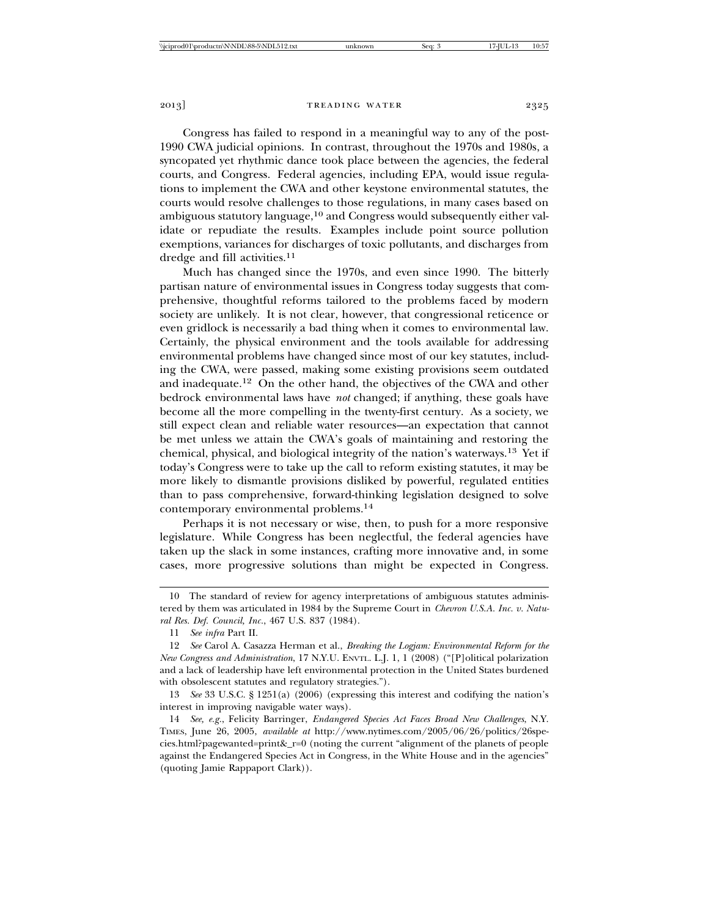Congress has failed to respond in a meaningful way to any of the post-1990 CWA judicial opinions. In contrast, throughout the 1970s and 1980s, a syncopated yet rhythmic dance took place between the agencies, the federal courts, and Congress. Federal agencies, including EPA, would issue regulations to implement the CWA and other keystone environmental statutes, the courts would resolve challenges to those regulations, in many cases based on ambiguous statutory language,<sup>10</sup> and Congress would subsequently either validate or repudiate the results. Examples include point source pollution exemptions, variances for discharges of toxic pollutants, and discharges from dredge and fill activities.<sup>11</sup>

Much has changed since the 1970s, and even since 1990. The bitterly partisan nature of environmental issues in Congress today suggests that comprehensive, thoughtful reforms tailored to the problems faced by modern society are unlikely. It is not clear, however, that congressional reticence or even gridlock is necessarily a bad thing when it comes to environmental law. Certainly, the physical environment and the tools available for addressing environmental problems have changed since most of our key statutes, including the CWA, were passed, making some existing provisions seem outdated and inadequate.12 On the other hand, the objectives of the CWA and other bedrock environmental laws have *not* changed; if anything, these goals have become all the more compelling in the twenty-first century. As a society, we still expect clean and reliable water resources—an expectation that cannot be met unless we attain the CWA's goals of maintaining and restoring the chemical, physical, and biological integrity of the nation's waterways.13 Yet if today's Congress were to take up the call to reform existing statutes, it may be more likely to dismantle provisions disliked by powerful, regulated entities than to pass comprehensive, forward-thinking legislation designed to solve contemporary environmental problems.14

Perhaps it is not necessary or wise, then, to push for a more responsive legislature. While Congress has been neglectful, the federal agencies have taken up the slack in some instances, crafting more innovative and, in some cases, more progressive solutions than might be expected in Congress.

13 *See* 33 U.S.C. § 1251(a) (2006) (expressing this interest and codifying the nation's interest in improving navigable water ways).

14 *See, e.g.*, Felicity Barringer, *Endangered Species Act Faces Broad New Challenges*, N.Y. TIMES, June 26, 2005, *available at* http://www.nytimes.com/2005/06/26/politics/26species.html?pagewanted=print&\_r=0 (noting the current "alignment of the planets of people against the Endangered Species Act in Congress, in the White House and in the agencies" (quoting Jamie Rappaport Clark)).

<sup>10</sup> The standard of review for agency interpretations of ambiguous statutes administered by them was articulated in 1984 by the Supreme Court in *Chevron U.S.A. Inc. v. Natural Res. Def. Council, Inc.*, 467 U.S. 837 (1984).

<sup>11</sup> *See infra* Part II.

<sup>12</sup> *See* Carol A. Casazza Herman et al., *Breaking the Logjam: Environmental Reform for the New Congress and Administration*, 17 N.Y.U. ENVTL. L.J. 1, 1 (2008) ("[P]olitical polarization and a lack of leadership have left environmental protection in the United States burdened with obsolescent statutes and regulatory strategies.").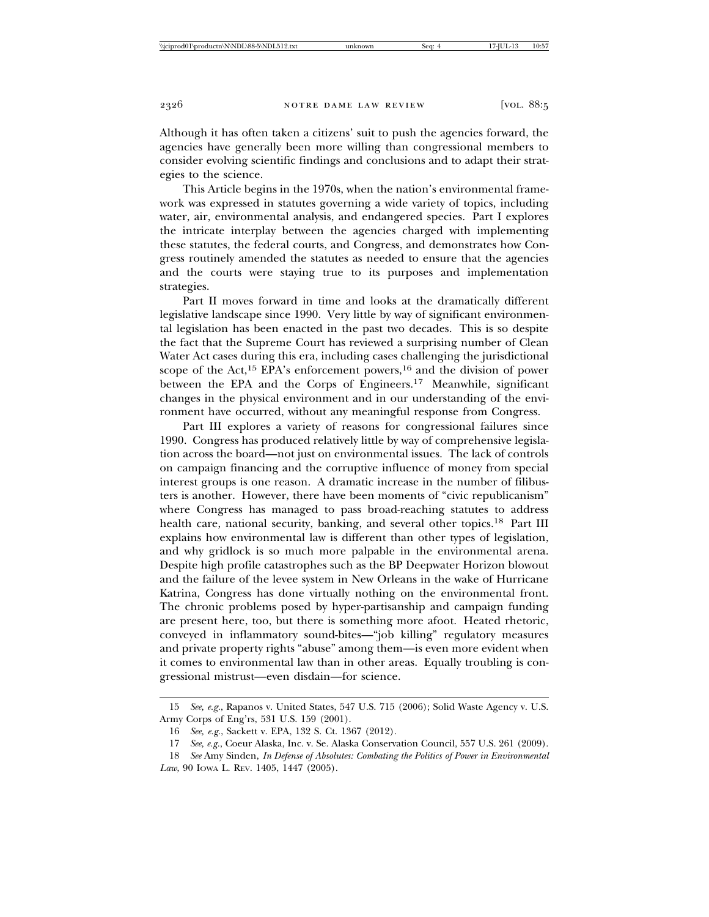Although it has often taken a citizens' suit to push the agencies forward, the agencies have generally been more willing than congressional members to consider evolving scientific findings and conclusions and to adapt their strategies to the science.

This Article begins in the 1970s, when the nation's environmental framework was expressed in statutes governing a wide variety of topics, including water, air, environmental analysis, and endangered species. Part I explores the intricate interplay between the agencies charged with implementing these statutes, the federal courts, and Congress, and demonstrates how Congress routinely amended the statutes as needed to ensure that the agencies and the courts were staying true to its purposes and implementation strategies.

Part II moves forward in time and looks at the dramatically different legislative landscape since 1990. Very little by way of significant environmental legislation has been enacted in the past two decades. This is so despite the fact that the Supreme Court has reviewed a surprising number of Clean Water Act cases during this era, including cases challenging the jurisdictional scope of the Act,<sup>15</sup> EPA's enforcement powers,<sup>16</sup> and the division of power between the EPA and the Corps of Engineers.<sup>17</sup> Meanwhile, significant changes in the physical environment and in our understanding of the environment have occurred, without any meaningful response from Congress.

Part III explores a variety of reasons for congressional failures since 1990. Congress has produced relatively little by way of comprehensive legislation across the board—not just on environmental issues. The lack of controls on campaign financing and the corruptive influence of money from special interest groups is one reason. A dramatic increase in the number of filibusters is another. However, there have been moments of "civic republicanism" where Congress has managed to pass broad-reaching statutes to address health care, national security, banking, and several other topics.<sup>18</sup> Part III explains how environmental law is different than other types of legislation, and why gridlock is so much more palpable in the environmental arena. Despite high profile catastrophes such as the BP Deepwater Horizon blowout and the failure of the levee system in New Orleans in the wake of Hurricane Katrina, Congress has done virtually nothing on the environmental front. The chronic problems posed by hyper-partisanship and campaign funding are present here, too, but there is something more afoot. Heated rhetoric, conveyed in inflammatory sound-bites—"job killing" regulatory measures and private property rights "abuse" among them—is even more evident when it comes to environmental law than in other areas. Equally troubling is congressional mistrust—even disdain—for science.

<sup>15</sup> *See, e.g.*, Rapanos v. United States, 547 U.S. 715 (2006); Solid Waste Agency v. U.S. Army Corps of Eng'rs, 531 U.S. 159 (2001).

<sup>16</sup> *See, e.g.*, Sackett v. EPA, 132 S. Ct. 1367 (2012).

<sup>17</sup> *See, e.g.*, Coeur Alaska, Inc. v. Se. Alaska Conservation Council, 557 U.S. 261 (2009).

<sup>18</sup> *See* Amy Sinden, *In Defense of Absolutes: Combating the Politics of Power in Environmental Law*, 90 IOWA L. REV. 1405, 1447 (2005).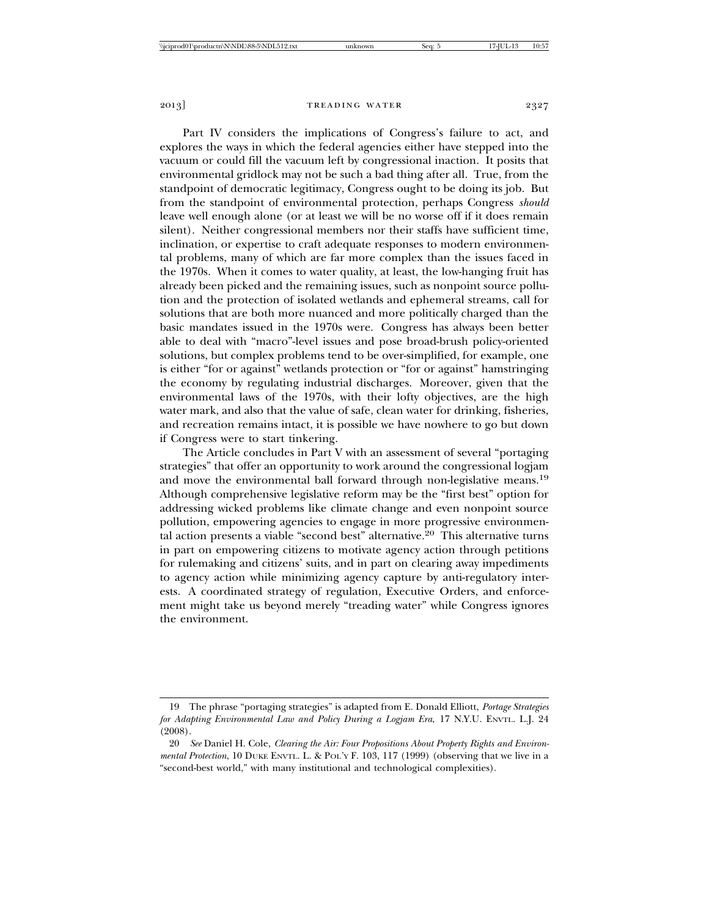Part IV considers the implications of Congress's failure to act, and explores the ways in which the federal agencies either have stepped into the vacuum or could fill the vacuum left by congressional inaction. It posits that environmental gridlock may not be such a bad thing after all. True, from the standpoint of democratic legitimacy, Congress ought to be doing its job. But from the standpoint of environmental protection, perhaps Congress *should* leave well enough alone (or at least we will be no worse off if it does remain silent). Neither congressional members nor their staffs have sufficient time, inclination, or expertise to craft adequate responses to modern environmental problems, many of which are far more complex than the issues faced in the 1970s. When it comes to water quality, at least, the low-hanging fruit has already been picked and the remaining issues, such as nonpoint source pollution and the protection of isolated wetlands and ephemeral streams, call for solutions that are both more nuanced and more politically charged than the basic mandates issued in the 1970s were. Congress has always been better able to deal with "macro"-level issues and pose broad-brush policy-oriented solutions, but complex problems tend to be over-simplified, for example, one is either "for or against" wetlands protection or "for or against" hamstringing the economy by regulating industrial discharges. Moreover, given that the environmental laws of the 1970s, with their lofty objectives, are the high water mark, and also that the value of safe, clean water for drinking, fisheries, and recreation remains intact, it is possible we have nowhere to go but down if Congress were to start tinkering.

The Article concludes in Part V with an assessment of several "portaging strategies" that offer an opportunity to work around the congressional logjam and move the environmental ball forward through non-legislative means.<sup>19</sup> Although comprehensive legislative reform may be the "first best" option for addressing wicked problems like climate change and even nonpoint source pollution, empowering agencies to engage in more progressive environmental action presents a viable "second best" alternative.20 This alternative turns in part on empowering citizens to motivate agency action through petitions for rulemaking and citizens' suits, and in part on clearing away impediments to agency action while minimizing agency capture by anti-regulatory interests. A coordinated strategy of regulation, Executive Orders, and enforcement might take us beyond merely "treading water" while Congress ignores the environment.

<sup>19</sup> The phrase "portaging strategies" is adapted from E. Donald Elliott, *Portage Strategies for Adapting Environmental Law and Policy During a Logjam Era*, 17 N.Y.U. ENVTL. L.J. 24 (2008).

<sup>20</sup> *See* Daniel H. Cole, *Clearing the Air: Four Propositions About Property Rights and Environmental Protection*, 10 DUKE ENVTL. L. & POL'Y F. 103, 117 (1999) (observing that we live in a "second-best world," with many institutional and technological complexities).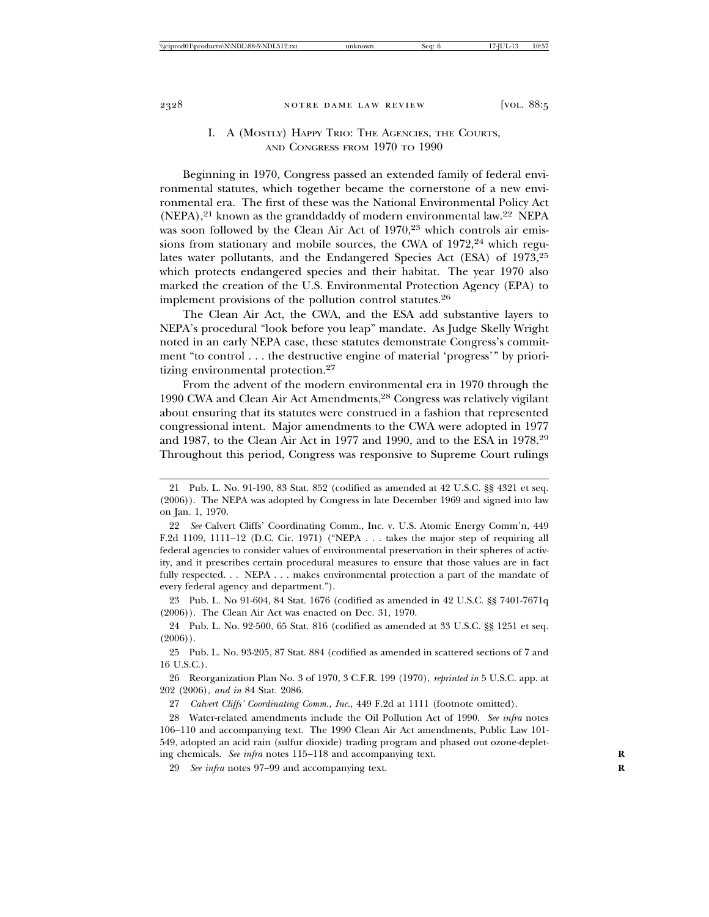#### I. A (MOSTLY) HAPPY TRIO: THE AGENCIES, THE COURTS, AND CONGRESS FROM 1970 TO 1990

Beginning in 1970, Congress passed an extended family of federal environmental statutes, which together became the cornerstone of a new environmental era. The first of these was the National Environmental Policy Act (NEPA),<sup>21</sup> known as the granddaddy of modern environmental law.<sup>22</sup> NEPA was soon followed by the Clean Air Act of 1970,<sup>23</sup> which controls air emissions from stationary and mobile sources, the CWA of  $1972,24$  which regulates water pollutants, and the Endangered Species Act (ESA) of 1973,<sup>25</sup> which protects endangered species and their habitat. The year 1970 also marked the creation of the U.S. Environmental Protection Agency (EPA) to implement provisions of the pollution control statutes.26

The Clean Air Act, the CWA, and the ESA add substantive layers to NEPA's procedural "look before you leap" mandate. As Judge Skelly Wright noted in an early NEPA case, these statutes demonstrate Congress's commitment "to control . . . the destructive engine of material 'progress'" by prioritizing environmental protection.27

From the advent of the modern environmental era in 1970 through the 1990 CWA and Clean Air Act Amendments,<sup>28</sup> Congress was relatively vigilant about ensuring that its statutes were construed in a fashion that represented congressional intent. Major amendments to the CWA were adopted in 1977 and 1987, to the Clean Air Act in 1977 and 1990, and to the ESA in 1978.29 Throughout this period, Congress was responsive to Supreme Court rulings

23 Pub. L. No 91-604, 84 Stat. 1676 (codified as amended in 42 U.S.C. §§ 7401-7671q (2006)). The Clean Air Act was enacted on Dec. 31, 1970.

24 Pub. L. No. 92-500, 65 Stat. 816 (codified as amended at 33 U.S.C. §§ 1251 et seq.  $(2006)$ .

25 Pub. L. No. 93-205, 87 Stat. 884 (codified as amended in scattered sections of 7 and 16 U.S.C.).

26 Reorganization Plan No. 3 of 1970, 3 C.F.R. 199 (1970), *reprinted in* 5 U.S.C. app. at 202 (2006), *and in* 84 Stat. 2086.

27 *Calvert Cliffs' Coordinating Comm., Inc.*, 449 F.2d at 1111 (footnote omitted).

28 Water-related amendments include the Oil Pollution Act of 1990. *See infra* notes 106–110 and accompanying text. The 1990 Clean Air Act amendments, Public Law 101- 549, adopted an acid rain (sulfur dioxide) trading program and phased out ozone-depleting chemicals. *See infra* notes 115–118 and accompanying text. **R**

29 *See infra* notes 97–99 and accompanying text. **R**

<sup>21</sup> Pub. L. No. 91-190, 83 Stat. 852 (codified as amended at 42 U.S.C. §§ 4321 et seq. (2006)). The NEPA was adopted by Congress in late December 1969 and signed into law on Jan. 1, 1970.

<sup>22</sup> *See* Calvert Cliffs' Coordinating Comm., Inc. v. U.S. Atomic Energy Comm'n, 449 F.2d 1109, 1111–12 (D.C. Cir. 1971) ("NEPA . . . takes the major step of requiring all federal agencies to consider values of environmental preservation in their spheres of activity, and it prescribes certain procedural measures to ensure that those values are in fact fully respected. . . NEPA . . . makes environmental protection a part of the mandate of every federal agency and department.").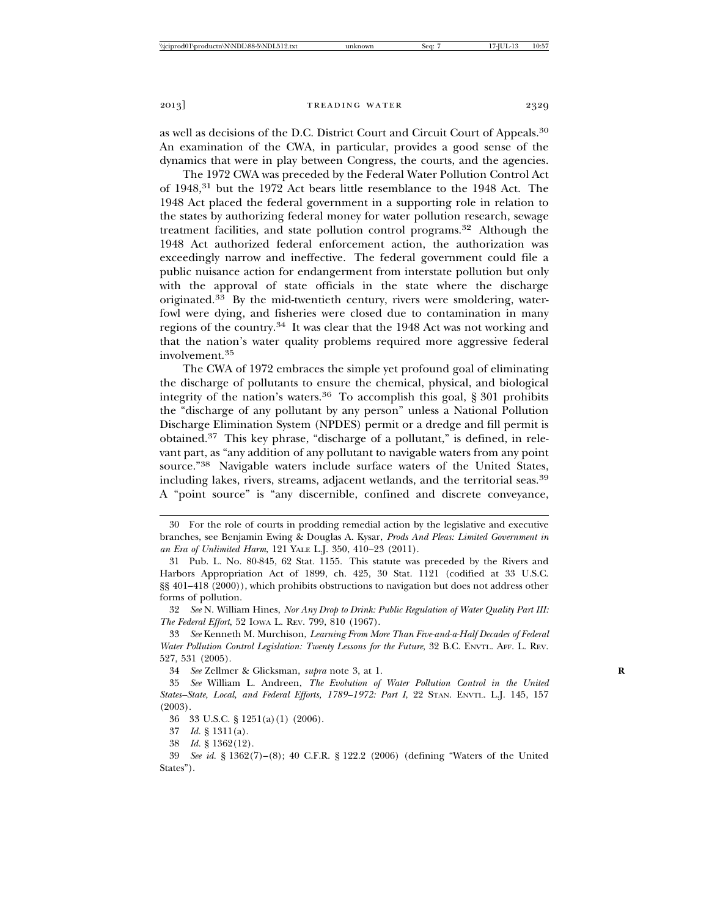as well as decisions of the D.C. District Court and Circuit Court of Appeals.30 An examination of the CWA, in particular, provides a good sense of the dynamics that were in play between Congress, the courts, and the agencies.

The 1972 CWA was preceded by the Federal Water Pollution Control Act of 1948,31 but the 1972 Act bears little resemblance to the 1948 Act. The 1948 Act placed the federal government in a supporting role in relation to the states by authorizing federal money for water pollution research, sewage treatment facilities, and state pollution control programs.32 Although the 1948 Act authorized federal enforcement action, the authorization was exceedingly narrow and ineffective. The federal government could file a public nuisance action for endangerment from interstate pollution but only with the approval of state officials in the state where the discharge originated.33 By the mid-twentieth century, rivers were smoldering, waterfowl were dying, and fisheries were closed due to contamination in many regions of the country.34 It was clear that the 1948 Act was not working and that the nation's water quality problems required more aggressive federal involvement.<sup>35</sup>

The CWA of 1972 embraces the simple yet profound goal of eliminating the discharge of pollutants to ensure the chemical, physical, and biological integrity of the nation's waters.36 To accomplish this goal, § 301 prohibits the "discharge of any pollutant by any person" unless a National Pollution Discharge Elimination System (NPDES) permit or a dredge and fill permit is obtained.37 This key phrase, "discharge of a pollutant," is defined, in relevant part, as "any addition of any pollutant to navigable waters from any point source."38 Navigable waters include surface waters of the United States, including lakes, rivers, streams, adjacent wetlands, and the territorial seas.<sup>39</sup> A "point source" is "any discernible, confined and discrete conveyance,

32 *See* N. William Hines, *Nor Any Drop to Drink: Public Regulation of Water Quality Part III: The Federal Effort*, 52 IOWA L. REV. 799, 810 (1967).

33 *See* Kenneth M. Murchison, *Learning From More Than Five-and-a-Half Decades of Federal Water Pollution Control Legislation: Twenty Lessons for the Future*, 32 B.C. ENVTL. AFF. L. REV. 527, 531 (2005).

34 *See* Zellmer & Glicksman, *supra* note 3, at 1. **R**

35 *See* William L. Andreen, *The Evolution of Water Pollution Control in the United States–State, Local, and Federal Efforts, 1789–1972: Part I*, 22 STAN. ENVTL. L.J. 145, 157 (2003).

36 33 U.S.C. § 1251(a)(1) (2006).

<sup>30</sup> For the role of courts in prodding remedial action by the legislative and executive branches, see Benjamin Ewing & Douglas A. Kysar, *Prods And Pleas: Limited Government in an Era of Unlimited Harm*, 121 YALE L.J. 350, 410–23 (2011).

<sup>31</sup> Pub. L. No. 80-845, 62 Stat. 1155. This statute was preceded by the Rivers and Harbors Appropriation Act of 1899, ch. 425, 30 Stat. 1121 (codified at 33 U.S.C. §§ 401–418 (2000)), which prohibits obstructions to navigation but does not address other forms of pollution.

<sup>37</sup> *Id.* § 1311(a).

<sup>38</sup> *Id.* § 1362(12).

<sup>39</sup> *See id.* § 1362(7)–(8); 40 C.F.R. § 122.2 (2006) (defining "Waters of the United States").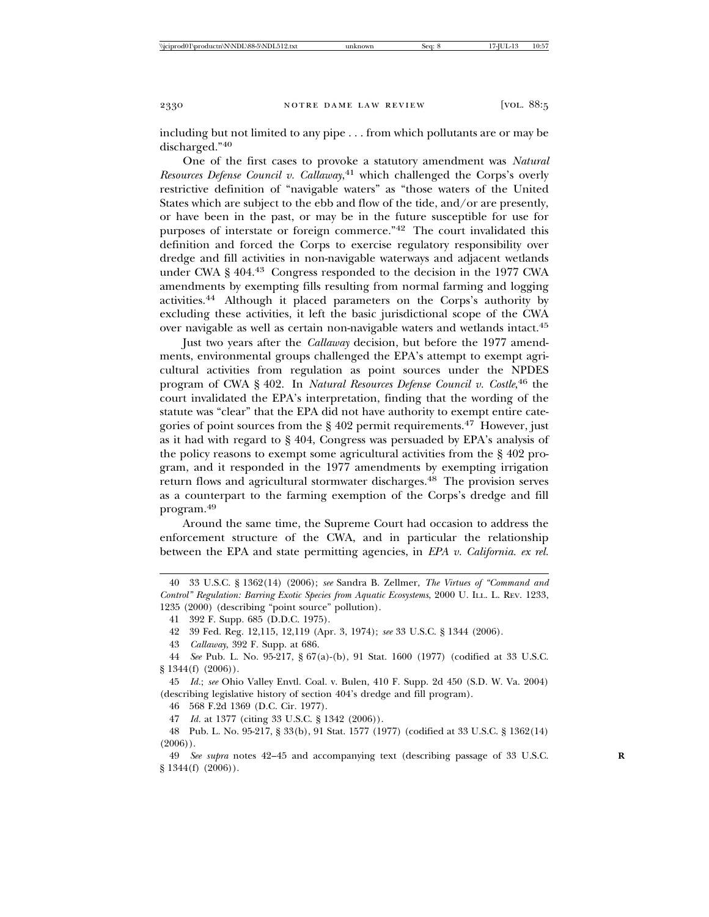including but not limited to any pipe . . . from which pollutants are or may be discharged."<sup>40</sup>

One of the first cases to provoke a statutory amendment was *Natural Resources Defense Council v. Callaway*, 41 which challenged the Corps's overly restrictive definition of "navigable waters" as "those waters of the United States which are subject to the ebb and flow of the tide, and/or are presently, or have been in the past, or may be in the future susceptible for use for purposes of interstate or foreign commerce."42 The court invalidated this definition and forced the Corps to exercise regulatory responsibility over dredge and fill activities in non-navigable waterways and adjacent wetlands under CWA § 404.43 Congress responded to the decision in the 1977 CWA amendments by exempting fills resulting from normal farming and logging activities.44 Although it placed parameters on the Corps's authority by excluding these activities, it left the basic jurisdictional scope of the CWA over navigable as well as certain non-navigable waters and wetlands intact.45

Just two years after the *Callaway* decision, but before the 1977 amendments, environmental groups challenged the EPA's attempt to exempt agricultural activities from regulation as point sources under the NPDES program of CWA § 402. In *Natural Resources Defense Council v. Costle*, 46 the court invalidated the EPA's interpretation, finding that the wording of the statute was "clear" that the EPA did not have authority to exempt entire categories of point sources from the  $\S 402$  permit requirements.<sup>47</sup> However, just as it had with regard to § 404, Congress was persuaded by EPA's analysis of the policy reasons to exempt some agricultural activities from the § 402 program, and it responded in the 1977 amendments by exempting irrigation return flows and agricultural stormwater discharges.<sup>48</sup> The provision serves as a counterpart to the farming exemption of the Corps's dredge and fill program.<sup>49</sup>

Around the same time, the Supreme Court had occasion to address the enforcement structure of the CWA, and in particular the relationship between the EPA and state permitting agencies, in *EPA v. California. ex rel.*

44 *See* Pub. L. No. 95-217, § 67(a)-(b), 91 Stat. 1600 (1977) (codified at 33 U.S.C. § 1344(f) (2006)).

45 *Id.*; *see* Ohio Valley Envtl. Coal. v. Bulen, 410 F. Supp. 2d 450 (S.D. W. Va. 2004) (describing legislative history of section 404's dredge and fill program).

46 568 F.2d 1369 (D.C. Cir. 1977).

47 *Id.* at 1377 (citing 33 U.S.C. § 1342 (2006)).

<sup>40 33</sup> U.S.C. § 1362(14) (2006); *see* Sandra B. Zellmer, *The Virtues of "Command and Control" Regulation: Barring Exotic Species from Aquatic Ecosystems*, 2000 U. ILL. L. REV. 1233, 1235 (2000) (describing "point source" pollution).

<sup>41 392</sup> F. Supp. 685 (D.D.C. 1975).

<sup>42 39</sup> Fed. Reg. 12,115, 12,119 (Apr. 3, 1974); *see* 33 U.S.C. § 1344 (2006).

<sup>43</sup> *Callaway*, 392 F. Supp. at 686.

<sup>48</sup> Pub. L. No. 95-217, § 33(b), 91 Stat. 1577 (1977) (codified at 33 U.S.C. § 1362(14)  $(2006)$ .

<sup>49</sup> *See supra* notes 42–45 and accompanying text (describing passage of 33 U.S.C. **R** § 1344(f) (2006)).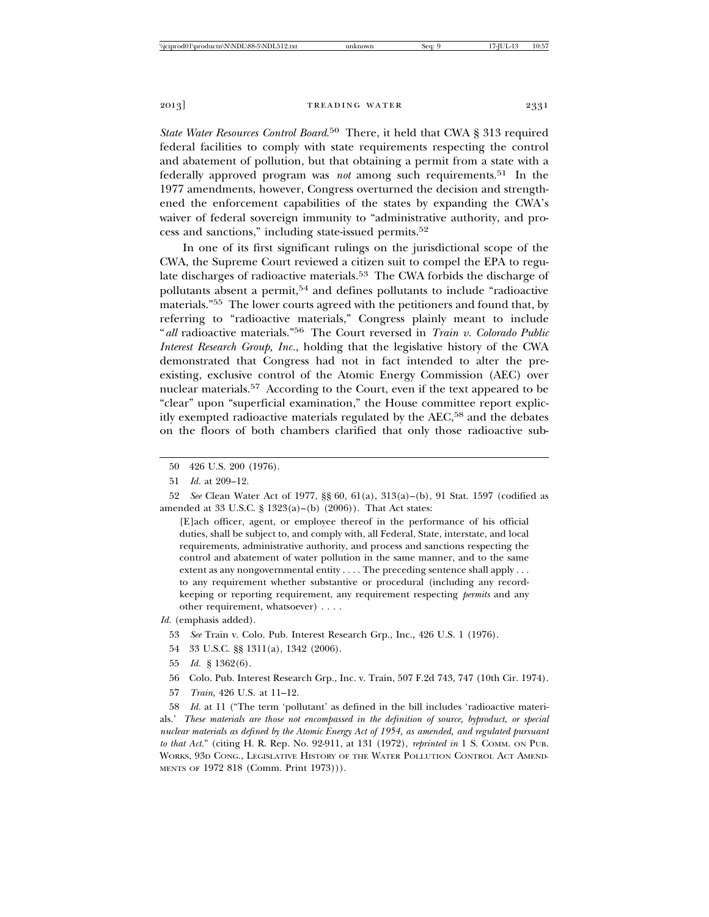*State Water Resources Control Board*. 50 There, it held that CWA § 313 required federal facilities to comply with state requirements respecting the control and abatement of pollution, but that obtaining a permit from a state with a federally approved program was *not* among such requirements.51 In the 1977 amendments, however, Congress overturned the decision and strengthened the enforcement capabilities of the states by expanding the CWA's waiver of federal sovereign immunity to "administrative authority, and process and sanctions," including state-issued permits.52

In one of its first significant rulings on the jurisdictional scope of the CWA, the Supreme Court reviewed a citizen suit to compel the EPA to regulate discharges of radioactive materials.<sup>53</sup> The CWA forbids the discharge of pollutants absent a permit,54 and defines pollutants to include "radioactive materials."55 The lower courts agreed with the petitioners and found that, by referring to "radioactive materials," Congress plainly meant to include "*all* radioactive materials."56 The Court reversed in *Train v. Colorado Public Interest Research Group, Inc.*, holding that the legislative history of the CWA demonstrated that Congress had not in fact intended to alter the preexisting, exclusive control of the Atomic Energy Commission (AEC) over nuclear materials.57 According to the Court, even if the text appeared to be "clear" upon "superficial examination," the House committee report explicitly exempted radioactive materials regulated by the AEC,<sup>58</sup> and the debates on the floors of both chambers clarified that only those radioactive sub-

52 *See* Clean Water Act of 1977, §§ 60, 61(a), 313(a)–(b), 91 Stat. 1597 (codified as amended at 33 U.S.C. § 1323(a)–(b) (2006)). That Act states:

[E]ach officer, agent, or employee thereof in the performance of his official duties, shall be subject to, and comply with, all Federal, State, interstate, and local requirements, administrative authority, and process and sanctions respecting the control and abatement of water pollution in the same manner, and to the same extent as any nongovernmental entity . . . . The preceding sentence shall apply . . . to any requirement whether substantive or procedural (including any recordkeeping or reporting requirement, any requirement respecting *permits* and any other requirement, whatsoever) . . . .

- 54 33 U.S.C. §§ 1311(a), 1342 (2006).
- 55 *Id.* § 1362(6).
- 56 Colo. Pub. Interest Research Grp., Inc. v. Train, 507 F.2d 743, 747 (10th Cir. 1974).
- 57 *Train*, 426 U.S. at 11–12.

58 *Id.* at 11 ("The term 'pollutant' as defined in the bill includes 'radioactive materials.' *These materials are those not encompassed in the definition of source, byproduct, or special nuclear materials as defined by the Atomic Energy Act of 1954, as amended, and regulated pursuant to that Act.*" (citing H. R. Rep. No. 92-911, at 131 (1972), *reprinted in* 1 S. COMM. ON PUB. WORKS, 93D CONG., LEGISLATIVE HISTORY OF THE WATER POLLUTION CONTROL ACT AMEND-MENTS OF 1972 818 (Comm. Print 1973))).

<sup>50 426</sup> U.S. 200 (1976).

<sup>51</sup> *Id.* at 209–12.

*Id.* (emphasis added).

<sup>53</sup> *See* Train v. Colo. Pub. Interest Research Grp., Inc., 426 U.S. 1 (1976).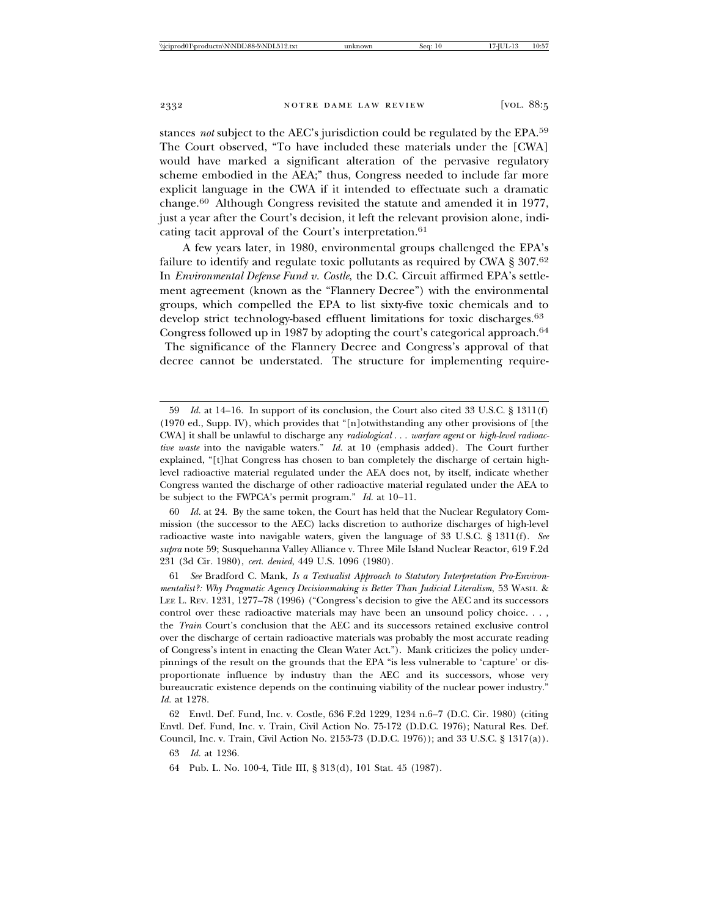stances *not* subject to the AEC's jurisdiction could be regulated by the EPA.59 The Court observed, "To have included these materials under the [CWA] would have marked a significant alteration of the pervasive regulatory scheme embodied in the AEA;" thus, Congress needed to include far more explicit language in the CWA if it intended to effectuate such a dramatic change.60 Although Congress revisited the statute and amended it in 1977, just a year after the Court's decision, it left the relevant provision alone, indicating tacit approval of the Court's interpretation.<sup>61</sup>

A few years later, in 1980, environmental groups challenged the EPA's failure to identify and regulate toxic pollutants as required by CWA § 307.<sup>62</sup> In *Environmental Defense Fund v. Costle*, the D.C. Circuit affirmed EPA's settlement agreement (known as the "Flannery Decree") with the environmental groups, which compelled the EPA to list sixty-five toxic chemicals and to develop strict technology-based effluent limitations for toxic discharges.<sup>63</sup> Congress followed up in 1987 by adopting the court's categorical approach.<sup>64</sup> The significance of the Flannery Decree and Congress's approval of that decree cannot be understated. The structure for implementing require-

60 *Id.* at 24. By the same token, the Court has held that the Nuclear Regulatory Commission (the successor to the AEC) lacks discretion to authorize discharges of high-level radioactive waste into navigable waters, given the language of 33 U.S.C. § 1311(f). *See supra* note 59; Susquehanna Valley Alliance v. Three Mile Island Nuclear Reactor, 619 F.2d 231 (3d Cir. 1980), *cert. denied*, 449 U.S. 1096 (1980).

61 *See* Bradford C. Mank, *Is a Textualist Approach to Statutory Interpretation Pro-Environmentalist?: Why Pragmatic Agency Decisionmaking is Better Than Judicial Literalism*, 53 WASH. & LEE L. REV. 1231, 1277–78 (1996) ("Congress's decision to give the AEC and its successors control over these radioactive materials may have been an unsound policy choice. . . , the *Train* Court's conclusion that the AEC and its successors retained exclusive control over the discharge of certain radioactive materials was probably the most accurate reading of Congress's intent in enacting the Clean Water Act."). Mank criticizes the policy underpinnings of the result on the grounds that the EPA "is less vulnerable to 'capture' or disproportionate influence by industry than the AEC and its successors, whose very bureaucratic existence depends on the continuing viability of the nuclear power industry." *Id.* at 1278.

62 Envtl. Def. Fund, Inc. v. Costle, 636 F.2d 1229, 1234 n.6–7 (D.C. Cir. 1980) (citing Envtl. Def. Fund, Inc. v. Train, Civil Action No. 75-172 (D.D.C. 1976); Natural Res. Def. Council, Inc. v. Train, Civil Action No. 2153-73 (D.D.C. 1976)); and 33 U.S.C. § 1317(a)).

<sup>59</sup> *Id.* at 14–16. In support of its conclusion, the Court also cited 33 U.S.C. § 1311(f) (1970 ed., Supp. IV), which provides that "[n]otwithstanding any other provisions of [the CWA] it shall be unlawful to discharge any *radiological* . . . *warfare agent* or *high-level radioactive waste* into the navigable waters." *Id.* at 10 (emphasis added). The Court further explained, "[t]hat Congress has chosen to ban completely the discharge of certain highlevel radioactive material regulated under the AEA does not, by itself, indicate whether Congress wanted the discharge of other radioactive material regulated under the AEA to be subject to the FWPCA's permit program." *Id.* at 10–11.

<sup>63</sup> *Id.* at 1236.

<sup>64</sup> Pub. L. No. 100-4, Title III, § 313(d), 101 Stat. 45 (1987).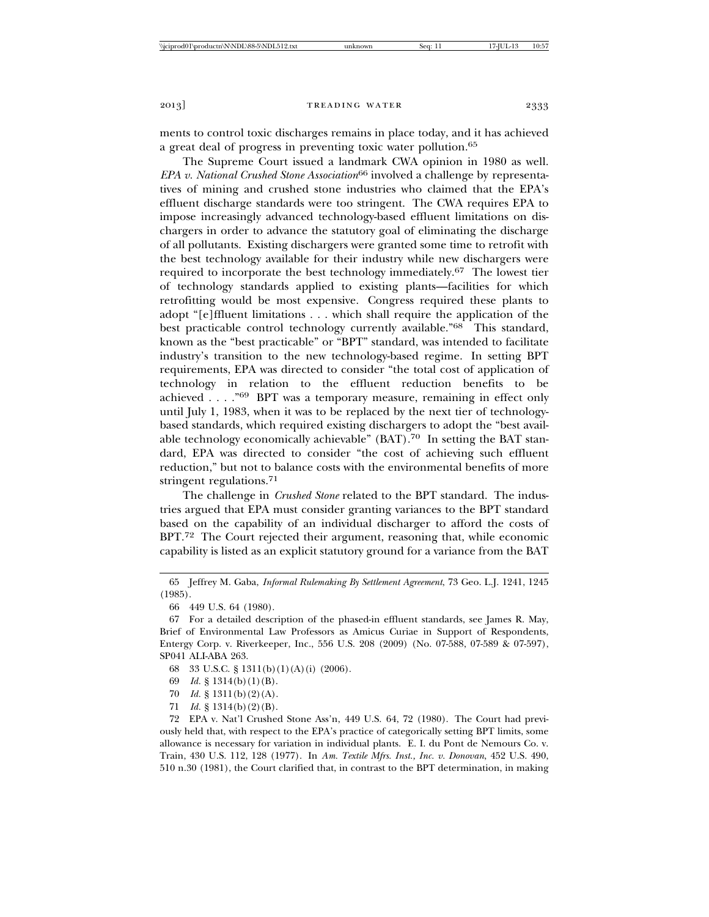ments to control toxic discharges remains in place today, and it has achieved a great deal of progress in preventing toxic water pollution.65

The Supreme Court issued a landmark CWA opinion in 1980 as well. *EPA v. National Crushed Stone Association*<sup>66</sup> involved a challenge by representatives of mining and crushed stone industries who claimed that the EPA's effluent discharge standards were too stringent. The CWA requires EPA to impose increasingly advanced technology-based effluent limitations on dischargers in order to advance the statutory goal of eliminating the discharge of all pollutants. Existing dischargers were granted some time to retrofit with the best technology available for their industry while new dischargers were required to incorporate the best technology immediately.67 The lowest tier of technology standards applied to existing plants—facilities for which retrofitting would be most expensive. Congress required these plants to adopt "[e]ffluent limitations . . . which shall require the application of the best practicable control technology currently available."68 This standard, known as the "best practicable" or "BPT" standard, was intended to facilitate industry's transition to the new technology-based regime. In setting BPT requirements, EPA was directed to consider "the total cost of application of technology in relation to the effluent reduction benefits to be achieved . . . ."69 BPT was a temporary measure, remaining in effect only until July 1, 1983, when it was to be replaced by the next tier of technologybased standards, which required existing dischargers to adopt the "best available technology economically achievable" (BAT).<sup>70</sup> In setting the BAT standard, EPA was directed to consider "the cost of achieving such effluent reduction," but not to balance costs with the environmental benefits of more stringent regulations.<sup>71</sup>

The challenge in *Crushed Stone* related to the BPT standard. The industries argued that EPA must consider granting variances to the BPT standard based on the capability of an individual discharger to afford the costs of BPT.<sup>72</sup> The Court rejected their argument, reasoning that, while economic capability is listed as an explicit statutory ground for a variance from the BAT

- 68 33 U.S.C. § 1311(b)(1)(A)(i) (2006).
- 69 *Id.* § 1314(b)(1)(B).
- 70 *Id.* § 1311(b)(2)(A).
- 71 *Id.* § 1314(b)(2)(B).

72 EPA v. Nat'l Crushed Stone Ass'n, 449 U.S. 64, 72 (1980). The Court had previously held that, with respect to the EPA's practice of categorically setting BPT limits, some allowance is necessary for variation in individual plants. E. I. du Pont de Nemours Co. v. Train, 430 U.S. 112, 128 (1977). In *Am. Textile Mfrs. Inst., Inc. v. Donovan*, 452 U.S. 490, 510 n.30 (1981), the Court clarified that, in contrast to the BPT determination, in making

<sup>65</sup> Jeffrey M. Gaba, *Informal Rulemaking By Settlement Agreement*, 73 Geo. L.J. 1241, 1245 (1985).

<sup>66 449</sup> U.S. 64 (1980).

<sup>67</sup> For a detailed description of the phased-in effluent standards, see James R. May, Brief of Environmental Law Professors as Amicus Curiae in Support of Respondents, Entergy Corp. v. Riverkeeper, Inc., 556 U.S. 208 (2009) (No. 07-588, 07-589 & 07-597), SP041 ALI-ABA 263.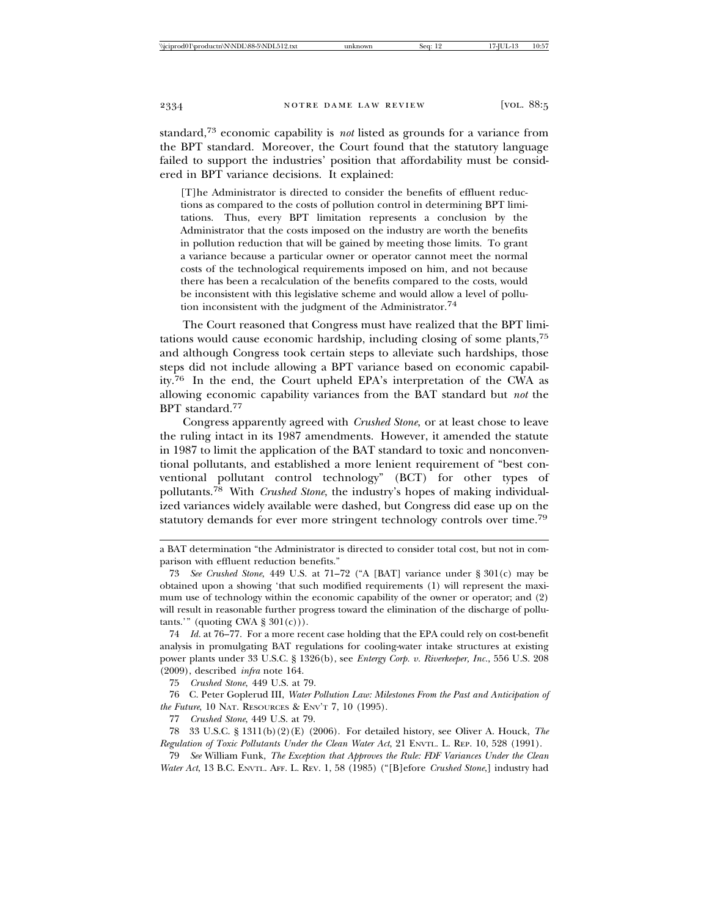standard,73 economic capability is *not* listed as grounds for a variance from the BPT standard. Moreover, the Court found that the statutory language failed to support the industries' position that affordability must be considered in BPT variance decisions. It explained:

[T]he Administrator is directed to consider the benefits of effluent reductions as compared to the costs of pollution control in determining BPT limitations. Thus, every BPT limitation represents a conclusion by the Administrator that the costs imposed on the industry are worth the benefits in pollution reduction that will be gained by meeting those limits. To grant a variance because a particular owner or operator cannot meet the normal costs of the technological requirements imposed on him, and not because there has been a recalculation of the benefits compared to the costs, would be inconsistent with this legislative scheme and would allow a level of pollution inconsistent with the judgment of the Administrator.<sup>74</sup>

The Court reasoned that Congress must have realized that the BPT limitations would cause economic hardship, including closing of some plants,75 and although Congress took certain steps to alleviate such hardships, those steps did not include allowing a BPT variance based on economic capability.76 In the end, the Court upheld EPA's interpretation of the CWA as allowing economic capability variances from the BAT standard but *not* the BPT standard.77

Congress apparently agreed with *Crushed Stone*, or at least chose to leave the ruling intact in its 1987 amendments. However, it amended the statute in 1987 to limit the application of the BAT standard to toxic and nonconventional pollutants, and established a more lenient requirement of "best conventional pollutant control technology" (BCT) for other types of pollutants.78 With *Crushed Stone*, the industry's hopes of making individualized variances widely available were dashed, but Congress did ease up on the statutory demands for ever more stringent technology controls over time.<sup>79</sup>

74 *Id.* at 76–77. For a more recent case holding that the EPA could rely on cost-benefit analysis in promulgating BAT regulations for cooling-water intake structures at existing power plants under 33 U.S.C. § 1326(b), see *Entergy Corp. v. Riverkeeper, Inc.*, 556 U.S. 208 (2009), described *infra* note 164.

75 *Crushed Stone*, 449 U.S. at 79.

76 C. Peter Goplerud III, *Water Pollution Law: Milestones From the Past and Anticipation of the Future*, 10 NAT. RESOURCES & ENV'T 7, 10 (1995).

77 *Crushed Stone*, 449 U.S. at 79.

78 33 U.S.C. § 1311(b)(2)(E) (2006). For detailed history, see Oliver A. Houck, *The Regulation of Toxic Pollutants Under the Clean Water Act*, 21 ENVTL. L. REP. 10, 528 (1991).

79 *See* William Funk, *The Exception that Approves the Rule: FDF Variances Under the Clean Water Act*, 13 B.C. ENVTL. AFF. L. REV. 1, 58 (1985) ("[B]efore *Crushed Stone*,] industry had

a BAT determination "the Administrator is directed to consider total cost, but not in comparison with effluent reduction benefits."

<sup>73</sup> *See Crushed Stone*, 449 U.S. at 71–72 ("A [BAT] variance under § 301(c) may be obtained upon a showing 'that such modified requirements (1) will represent the maximum use of technology within the economic capability of the owner or operator; and (2) will result in reasonable further progress toward the elimination of the discharge of pollutants.'" (quoting CWA  $\S 301(c)$ ).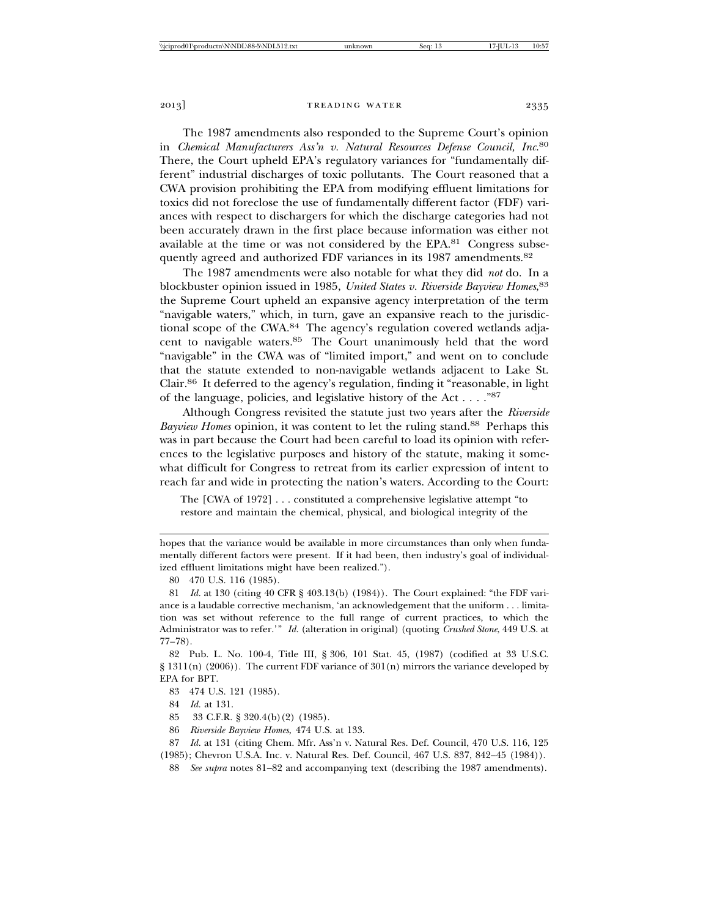The 1987 amendments also responded to the Supreme Court's opinion in *Chemical Manufacturers Ass'n v. Natural Resources Defense Council, Inc*. 80 There, the Court upheld EPA's regulatory variances for "fundamentally different" industrial discharges of toxic pollutants. The Court reasoned that a CWA provision prohibiting the EPA from modifying effluent limitations for toxics did not foreclose the use of fundamentally different factor (FDF) variances with respect to dischargers for which the discharge categories had not been accurately drawn in the first place because information was either not available at the time or was not considered by the EPA.<sup>81</sup> Congress subsequently agreed and authorized FDF variances in its 1987 amendments.<sup>82</sup>

The 1987 amendments were also notable for what they did *not* do. In a blockbuster opinion issued in 1985, *United States v. Riverside Bayview Homes*, 83 the Supreme Court upheld an expansive agency interpretation of the term "navigable waters," which, in turn, gave an expansive reach to the jurisdictional scope of the CWA.<sup>84</sup> The agency's regulation covered wetlands adjacent to navigable waters.<sup>85</sup> The Court unanimously held that the word "navigable" in the CWA was of "limited import," and went on to conclude that the statute extended to non-navigable wetlands adjacent to Lake St. Clair.86 It deferred to the agency's regulation, finding it "reasonable, in light of the language, policies, and legislative history of the Act . . . ."87

Although Congress revisited the statute just two years after the *Riverside Bayview Homes* opinion, it was content to let the ruling stand.88 Perhaps this was in part because the Court had been careful to load its opinion with references to the legislative purposes and history of the statute, making it somewhat difficult for Congress to retreat from its earlier expression of intent to reach far and wide in protecting the nation's waters. According to the Court:

The [CWA of 1972] . . . constituted a comprehensive legislative attempt "to restore and maintain the chemical, physical, and biological integrity of the

hopes that the variance would be available in more circumstances than only when fundamentally different factors were present. If it had been, then industry's goal of individualized effluent limitations might have been realized.").

<sup>80 470</sup> U.S. 116 (1985).

<sup>81</sup> *Id.* at 130 (citing 40 CFR § 403.13(b) (1984)). The Court explained: "the FDF variance is a laudable corrective mechanism, 'an acknowledgement that the uniform . . . limitation was set without reference to the full range of current practices, to which the Administrator was to refer.'" *Id.* (alteration in original) (quoting *Crushed Stone*, 449 U.S. at 77–78).

<sup>82</sup> Pub. L. No. 100-4, Title III, § 306, 101 Stat. 45, (1987) (codified at 33 U.S.C.  $\S 1311(n)$  (2006)). The current FDF variance of 301(n) mirrors the variance developed by EPA for BPT.

<sup>83 474</sup> U.S. 121 (1985).

<sup>84</sup> *Id.* at 131.

<sup>85 33</sup> C.F.R. § 320.4(b)(2) (1985).

<sup>86</sup> *Riverside Bayview Homes*, 474 U.S. at 133.

<sup>87</sup> *Id.* at 131 (citing Chem. Mfr. Ass'n v. Natural Res. Def. Council, 470 U.S. 116, 125 (1985); Chevron U.S.A. Inc. v. Natural Res. Def. Council, 467 U.S. 837, 842–45 (1984)).

<sup>88</sup> *See supra* notes 81–82 and accompanying text (describing the 1987 amendments).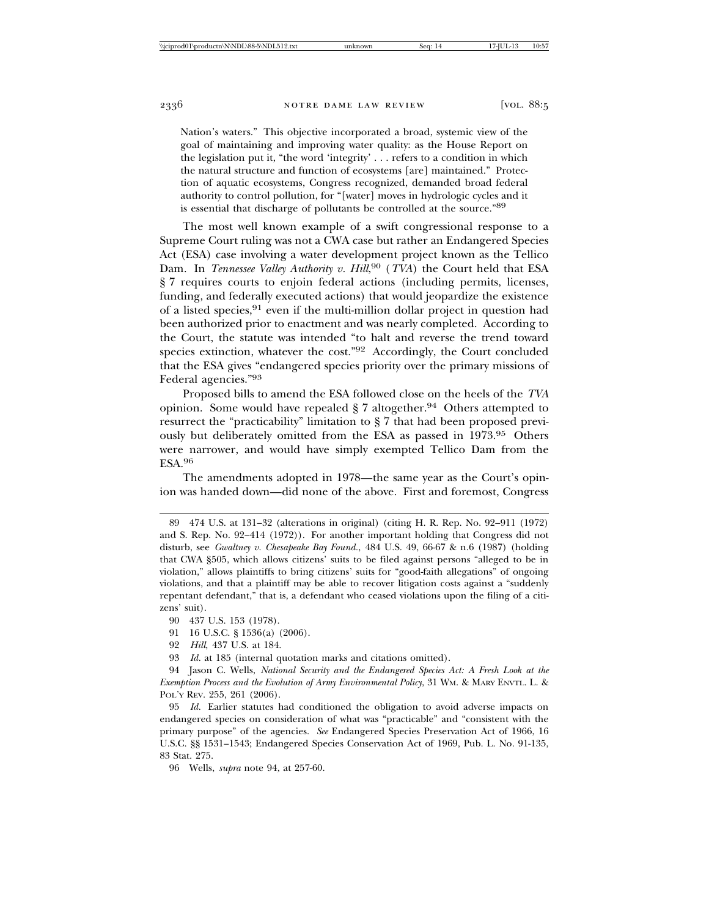Nation's waters." This objective incorporated a broad, systemic view of the goal of maintaining and improving water quality: as the House Report on the legislation put it, "the word 'integrity' . . . refers to a condition in which the natural structure and function of ecosystems [are] maintained." Protection of aquatic ecosystems, Congress recognized, demanded broad federal authority to control pollution, for "[water] moves in hydrologic cycles and it is essential that discharge of pollutants be controlled at the source."89

The most well known example of a swift congressional response to a Supreme Court ruling was not a CWA case but rather an Endangered Species Act (ESA) case involving a water development project known as the Tellico Dam. In *Tennessee Valley Authority v. Hill*, 90 (*TVA*) the Court held that ESA § 7 requires courts to enjoin federal actions (including permits, licenses, funding, and federally executed actions) that would jeopardize the existence of a listed species,  $91$  even if the multi-million dollar project in question had been authorized prior to enactment and was nearly completed. According to the Court, the statute was intended "to halt and reverse the trend toward species extinction, whatever the cost."92 Accordingly, the Court concluded that the ESA gives "endangered species priority over the primary missions of Federal agencies."93

Proposed bills to amend the ESA followed close on the heels of the *TVA* opinion. Some would have repealed  $\S 7$  altogether.<sup>94</sup> Others attempted to resurrect the "practicability" limitation to § 7 that had been proposed previously but deliberately omitted from the ESA as passed in 1973.95 Others were narrower, and would have simply exempted Tellico Dam from the ESA.<sup>96</sup>

The amendments adopted in 1978—the same year as the Court's opinion was handed down—did none of the above. First and foremost, Congress

<sup>89 474</sup> U.S. at 131–32 (alterations in original) (citing H. R. Rep. No. 92–911 (1972) and S. Rep. No. 92–414 (1972)). For another important holding that Congress did not disturb, see *Gwaltney v. Chesapeake Bay Found.*, 484 U.S. 49, 66-67 & n.6 (1987) (holding that CWA §505, which allows citizens' suits to be filed against persons "alleged to be in violation," allows plaintiffs to bring citizens' suits for "good-faith allegations" of ongoing violations, and that a plaintiff may be able to recover litigation costs against a "suddenly repentant defendant," that is, a defendant who ceased violations upon the filing of a citizens' suit).

<sup>90 437</sup> U.S. 153 (1978).

<sup>91 16</sup> U.S.C. § 1536(a) (2006).

<sup>92</sup> *Hill*, 437 U.S. at 184.

<sup>93</sup> *Id.* at 185 (internal quotation marks and citations omitted).

<sup>94</sup> Jason C. Wells, *National Security and the Endangered Species Act: A Fresh Look at the Exemption Process and the Evolution of Army Environmental Policy*, 31 WM. & MARY ENVTL. L. & POL'Y REV. 255, 261 (2006).

<sup>95</sup> *Id.* Earlier statutes had conditioned the obligation to avoid adverse impacts on endangered species on consideration of what was "practicable" and "consistent with the primary purpose" of the agencies. *See* Endangered Species Preservation Act of 1966, 16 U.S.C. §§ 1531–1543; Endangered Species Conservation Act of 1969, Pub. L. No. 91-135, 83 Stat. 275.

<sup>96</sup> Wells, *supra* note 94, at 257-60.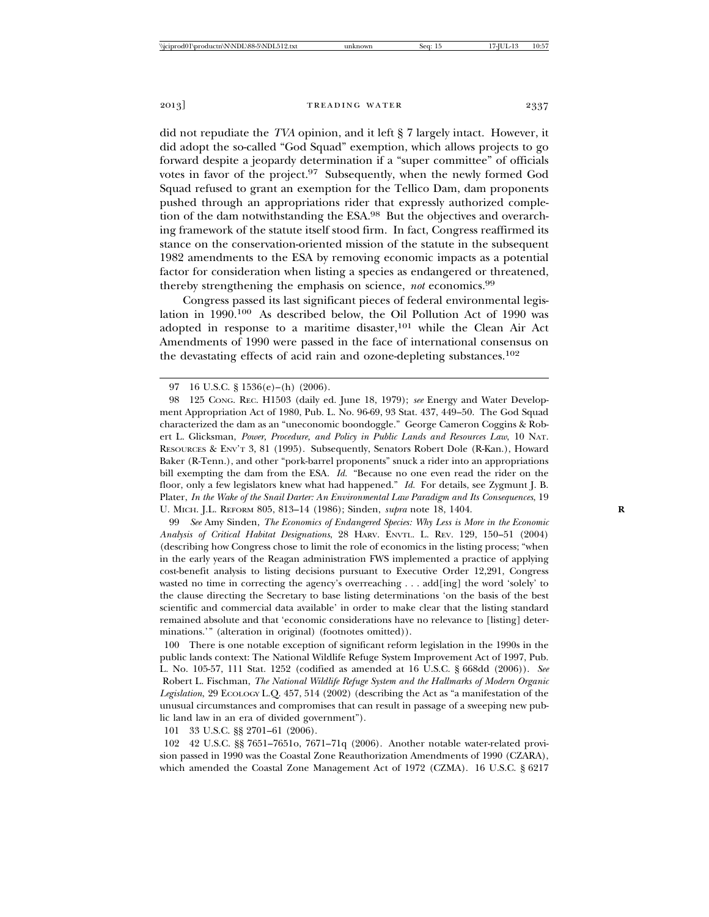did not repudiate the *TVA* opinion, and it left § 7 largely intact. However, it did adopt the so-called "God Squad" exemption, which allows projects to go forward despite a jeopardy determination if a "super committee" of officials votes in favor of the project.97 Subsequently, when the newly formed God Squad refused to grant an exemption for the Tellico Dam, dam proponents pushed through an appropriations rider that expressly authorized completion of the dam notwithstanding the ESA.98 But the objectives and overarching framework of the statute itself stood firm. In fact, Congress reaffirmed its stance on the conservation-oriented mission of the statute in the subsequent 1982 amendments to the ESA by removing economic impacts as a potential factor for consideration when listing a species as endangered or threatened, thereby strengthening the emphasis on science, *not* economics.<sup>99</sup>

Congress passed its last significant pieces of federal environmental legislation in 1990.100 As described below, the Oil Pollution Act of 1990 was adopted in response to a maritime disaster,  $101$  while the Clean Air Act Amendments of 1990 were passed in the face of international consensus on the devastating effects of acid rain and ozone-depleting substances.102

99 *See* Amy Sinden, *The Economics of Endangered Species: Why Less is More in the Economic Analysis of Critical Habitat Designations*, 28 HARV. ENVTL. L. REV. 129, 150–51 (2004) (describing how Congress chose to limit the role of economics in the listing process; "when in the early years of the Reagan administration FWS implemented a practice of applying cost-benefit analysis to listing decisions pursuant to Executive Order 12,291, Congress wasted no time in correcting the agency's overreaching . . . add[ing] the word 'solely' to the clause directing the Secretary to base listing determinations 'on the basis of the best scientific and commercial data available' in order to make clear that the listing standard remained absolute and that 'economic considerations have no relevance to [listing] determinations.'" (alteration in original) (footnotes omitted)).

100 There is one notable exception of significant reform legislation in the 1990s in the public lands context: The National Wildlife Refuge System Improvement Act of 1997, Pub. L. No. 105-57, 111 Stat. 1252 (codified as amended at 16 U.S.C. § 668dd (2006)). *See* Robert L. Fischman, *The National Wildlife Refuge System and the Hallmarks of Modern Organic Legislation*, 29 ECOLOGY L.Q. 457, 514 (2002) (describing the Act as "a manifestation of the unusual circumstances and compromises that can result in passage of a sweeping new public land law in an era of divided government").

101 33 U.S.C. §§ 2701–61 (2006).

102 42 U.S.C. §§ 7651–7651o, 7671–71q (2006). Another notable water-related provision passed in 1990 was the Coastal Zone Reauthorization Amendments of 1990 (CZARA), which amended the Coastal Zone Management Act of 1972 (CZMA). 16 U.S.C. § 6217

<sup>97 16</sup> U.S.C. § 1536(e)–(h) (2006).

<sup>98 125</sup> CONG. REC. H1503 (daily ed. June 18, 1979); *see* Energy and Water Development Appropriation Act of 1980, Pub. L. No. 96-69, 93 Stat. 437, 449–50. The God Squad characterized the dam as an "uneconomic boondoggle." George Cameron Coggins & Robert L. Glicksman, *Power, Procedure, and Policy in Public Lands and Resources Law*, 10 NAT. RESOURCES & ENV'T 3, 81 (1995). Subsequently, Senators Robert Dole (R-Kan.), Howard Baker (R-Tenn.), and other "pork-barrel proponents" snuck a rider into an appropriations bill exempting the dam from the ESA. *Id.* "Because no one even read the rider on the floor, only a few legislators knew what had happened." *Id.* For details, see Zygmunt J. B. Plater, *In the Wake of the Snail Darter: An Environmental Law Paradigm and Its Consequences*, 19 U. MICH. J.L. REFORM 805, 813–14 (1986); Sinden, *supra* note 18, 1404. **R**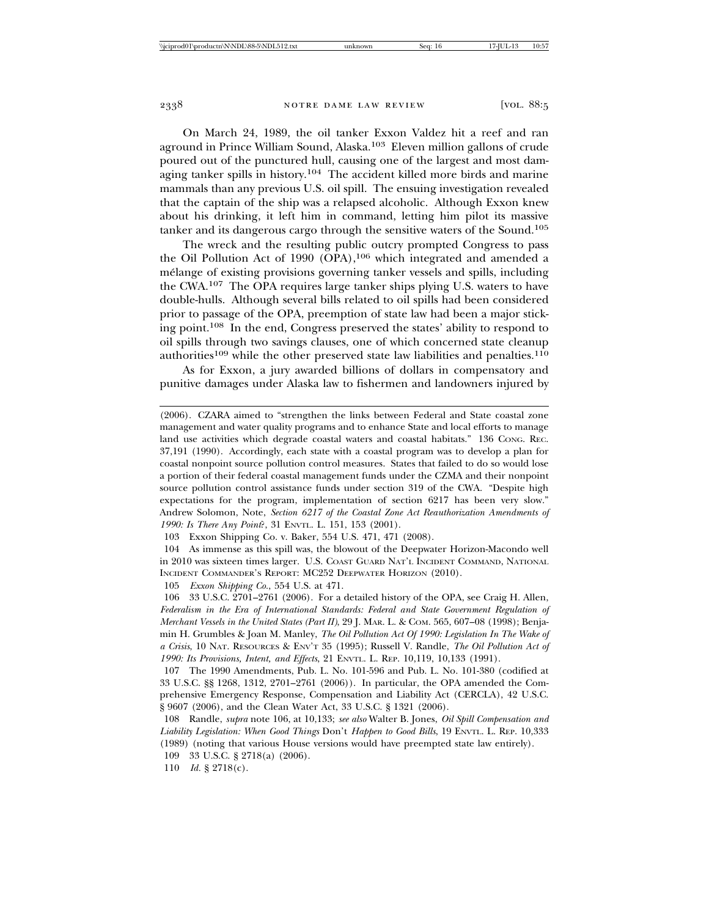On March 24, 1989, the oil tanker Exxon Valdez hit a reef and ran aground in Prince William Sound, Alaska.103 Eleven million gallons of crude poured out of the punctured hull, causing one of the largest and most damaging tanker spills in history.<sup>104</sup> The accident killed more birds and marine mammals than any previous U.S. oil spill. The ensuing investigation revealed that the captain of the ship was a relapsed alcoholic. Although Exxon knew about his drinking, it left him in command, letting him pilot its massive tanker and its dangerous cargo through the sensitive waters of the Sound.105

The wreck and the resulting public outcry prompted Congress to pass the Oil Pollution Act of 1990 (OPA), $106$  which integrated and amended a melange of existing provisions governing tanker vessels and spills, including ´ the CWA.107 The OPA requires large tanker ships plying U.S. waters to have double-hulls. Although several bills related to oil spills had been considered prior to passage of the OPA, preemption of state law had been a major sticking point.108 In the end, Congress preserved the states' ability to respond to oil spills through two savings clauses, one of which concerned state cleanup authorities<sup>109</sup> while the other preserved state law liabilities and penalties.<sup>110</sup>

As for Exxon, a jury awarded billions of dollars in compensatory and punitive damages under Alaska law to fishermen and landowners injured by

105 *Exxon Shipping Co.*, 554 U.S. at 471.

<sup>(2006).</sup> CZARA aimed to "strengthen the links between Federal and State coastal zone management and water quality programs and to enhance State and local efforts to manage land use activities which degrade coastal waters and coastal habitats." 136 CONG. REC. 37,191 (1990). Accordingly, each state with a coastal program was to develop a plan for coastal nonpoint source pollution control measures. States that failed to do so would lose a portion of their federal coastal management funds under the CZMA and their nonpoint source pollution control assistance funds under section 319 of the CWA. "Despite high expectations for the program, implementation of section 6217 has been very slow." Andrew Solomon, Note, *Section 6217 of the Coastal Zone Act Reauthorization Amendments of 1990: Is There Any Point*?, 31 ENVTL. L. 151, 153 (2001).

<sup>103</sup> Exxon Shipping Co. v. Baker, 554 U.S. 471, 471 (2008).

<sup>104</sup> As immense as this spill was, the blowout of the Deepwater Horizon-Macondo well in 2010 was sixteen times larger. U.S. COAST GUARD NAT'L INCIDENT COMMAND, NATIONAL INCIDENT COMMANDER'S REPORT: MC252 DEEPWATER HORIZON (2010).

<sup>106 33</sup> U.S.C. 2701–2761 (2006). For a detailed history of the OPA, see Craig H. Allen, *Federalism in the Era of International Standards: Federal and State Government Regulation of Merchant Vessels in the United States (Part II)*, 29 J. MAR. L. & COM. 565, 607–08 (1998); Benjamin H. Grumbles & Joan M. Manley, *The Oil Pollution Act Of 1990: Legislation In The Wake of a Crisis*, 10 NAT. RESOURCES & ENV'T 35 (1995); Russell V. Randle, *The Oil Pollution Act of 1990: Its Provisions, Intent, and Effects*, 21 ENVTL. L. REP. 10,119, 10,133 (1991).

<sup>107</sup> The 1990 Amendments, Pub. L. No. 101-596 and Pub. L. No. 101-380 (codified at 33 U.S.C. §§ 1268, 1312, 2701–2761 (2006)). In particular, the OPA amended the Comprehensive Emergency Response, Compensation and Liability Act (CERCLA), 42 U.S.C. § 9607 (2006), and the Clean Water Act, 33 U.S.C. § 1321 (2006).

<sup>108</sup> Randle, *supra* note 106, at 10,133; *see also* Walter B. Jones, *Oil Spill Compensation and Liability Legislation: When Good Things* Don't *Happen to Good Bills*, 19 ENVTL. L. REP. 10,333 (1989) (noting that various House versions would have preempted state law entirely).

<sup>109 33</sup> U.S.C. § 2718(a) (2006).

<sup>110</sup> *Id.* § 2718(c).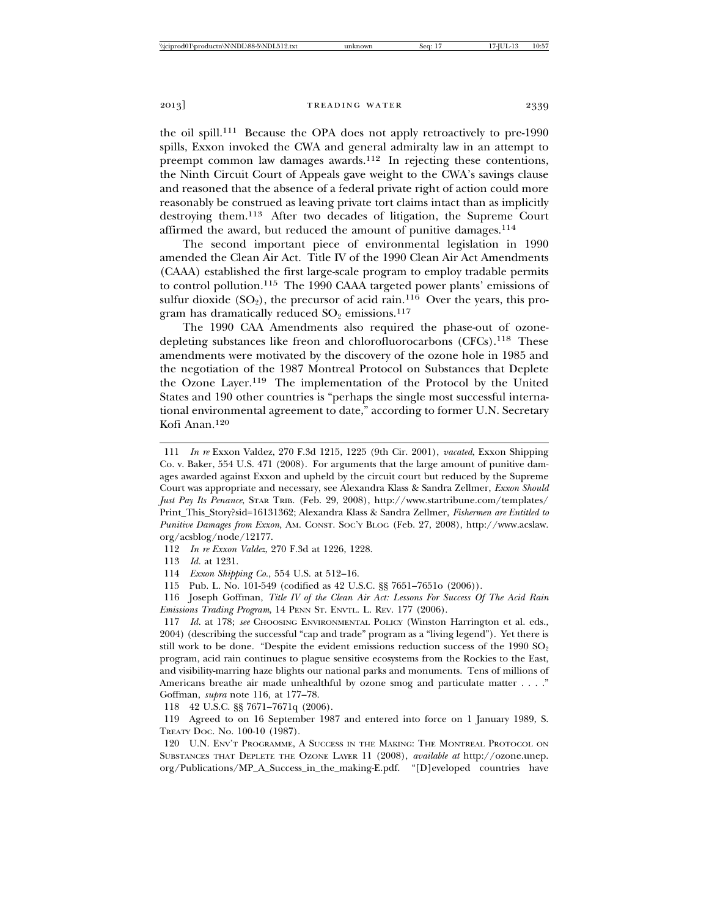the oil spill.111 Because the OPA does not apply retroactively to pre-1990 spills, Exxon invoked the CWA and general admiralty law in an attempt to preempt common law damages awards.<sup>112</sup> In rejecting these contentions, the Ninth Circuit Court of Appeals gave weight to the CWA's savings clause and reasoned that the absence of a federal private right of action could more reasonably be construed as leaving private tort claims intact than as implicitly destroying them.113 After two decades of litigation, the Supreme Court affirmed the award, but reduced the amount of punitive damages.<sup>114</sup>

The second important piece of environmental legislation in 1990 amended the Clean Air Act. Title IV of the 1990 Clean Air Act Amendments (CAAA) established the first large-scale program to employ tradable permits to control pollution.115 The 1990 CAAA targeted power plants' emissions of sulfur dioxide  $(SO_2)$ , the precursor of acid rain.<sup>116</sup> Over the years, this program has dramatically reduced  $SO_2$  emissions.<sup>117</sup>

The 1990 CAA Amendments also required the phase-out of ozonedepleting substances like freon and chlorofluorocarbons (CFCs).118 These amendments were motivated by the discovery of the ozone hole in 1985 and the negotiation of the 1987 Montreal Protocol on Substances that Deplete the Ozone Layer.119 The implementation of the Protocol by the United States and 190 other countries is "perhaps the single most successful international environmental agreement to date," according to former U.N. Secretary Kofi Anan.120

112 *In re Exxon Valdez*, 270 F.3d at 1226, 1228.

113 *Id.* at 1231.

114 *Exxon Shipping Co.*, 554 U.S. at 512–16.

115 Pub. L. No. 101-549 (codified as 42 U.S.C. §§ 7651–7651o (2006)).

116 Joseph Goffman, *Title IV of the Clean Air Act: Lessons For Success Of The Acid Rain Emissions Trading Program*, 14 PENN ST. ENVTL. L. REV. 177 (2006).

117 *Id.* at 178; *see* CHOOSING ENVIRONMENTAL POLICY (Winston Harrington et al. eds., 2004) (describing the successful "cap and trade" program as a "living legend"). Yet there is still work to be done. "Despite the evident emissions reduction success of the 1990  $SO_2$ program, acid rain continues to plague sensitive ecosystems from the Rockies to the East, and visibility-marring haze blights our national parks and monuments. Tens of millions of Americans breathe air made unhealthful by ozone smog and particulate matter . . . ." Goffman, *supra* note 116, at 177–78.

118 42 U.S.C. §§ 7671–7671q (2006).

119 Agreed to on 16 September 1987 and entered into force on 1 January 1989, S. TREATY DOC. No. 100-10 (1987).

120 U.N. ENV'T PROGRAMME, A SUCCESS IN THE MAKING: THE MONTREAL PROTOCOL ON SUBSTANCES THAT DEPLETE THE OZONE LAYER 11 (2008), *available at* http://ozone.unep. org/Publications/MP\_A\_Success\_in\_the\_making-E.pdf. "[D]eveloped countries have

<sup>111</sup> *In re* Exxon Valdez, 270 F.3d 1215, 1225 (9th Cir. 2001), *vacated*, Exxon Shipping Co. v. Baker, 554 U.S. 471 (2008). For arguments that the large amount of punitive damages awarded against Exxon and upheld by the circuit court but reduced by the Supreme Court was appropriate and necessary, see Alexandra Klass & Sandra Zellmer, *Exxon Should Just Pay Its Penance*, STAR TRIB. (Feb. 29, 2008), http://www.startribune.com/templates/ Print\_This\_Story?sid=16131362; Alexandra Klass & Sandra Zellmer, *Fishermen are Entitled to Punitive Damages from Exxon*, AM. CONST. SOC'Y BLOG (Feb. 27, 2008), http://www.acslaw. org/acsblog/node/12177.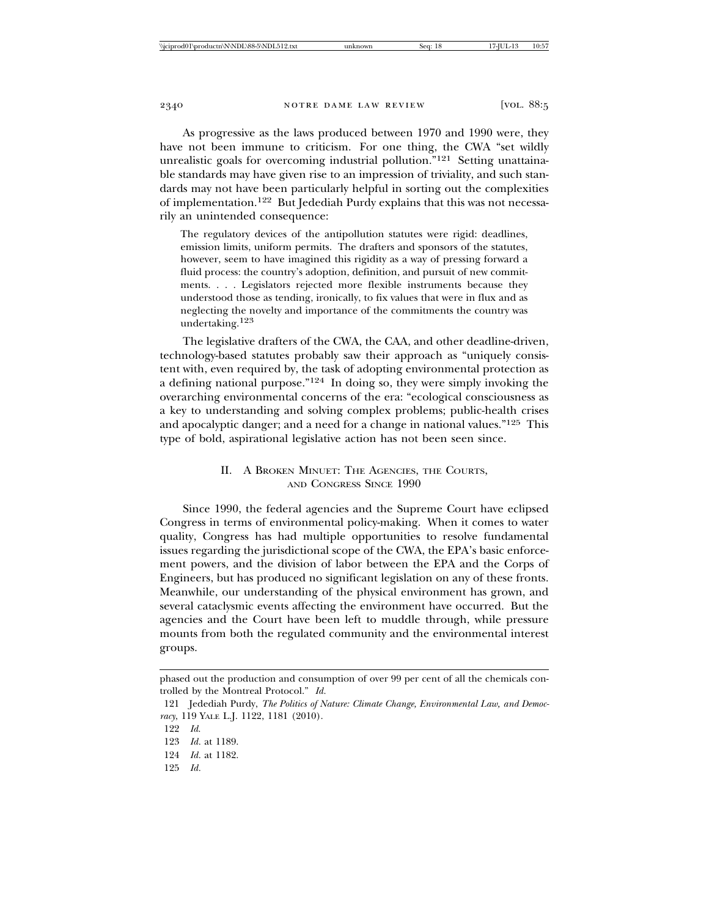As progressive as the laws produced between 1970 and 1990 were, they have not been immune to criticism. For one thing, the CWA "set wildly unrealistic goals for overcoming industrial pollution."<sup>121</sup> Setting unattainable standards may have given rise to an impression of triviality, and such standards may not have been particularly helpful in sorting out the complexities of implementation.122 But Jedediah Purdy explains that this was not necessarily an unintended consequence:

The regulatory devices of the antipollution statutes were rigid: deadlines, emission limits, uniform permits. The drafters and sponsors of the statutes, however, seem to have imagined this rigidity as a way of pressing forward a fluid process: the country's adoption, definition, and pursuit of new commitments. . . . Legislators rejected more flexible instruments because they understood those as tending, ironically, to fix values that were in flux and as neglecting the novelty and importance of the commitments the country was undertaking.123

The legislative drafters of the CWA, the CAA, and other deadline-driven, technology-based statutes probably saw their approach as "uniquely consistent with, even required by, the task of adopting environmental protection as a defining national purpose."124 In doing so, they were simply invoking the overarching environmental concerns of the era: "ecological consciousness as a key to understanding and solving complex problems; public-health crises and apocalyptic danger; and a need for a change in national values."125 This type of bold, aspirational legislative action has not been seen since.

#### II. A BROKEN MINUET: THE AGENCIES, THE COURTS, AND CONGRESS SINCE 1990

Since 1990, the federal agencies and the Supreme Court have eclipsed Congress in terms of environmental policy-making. When it comes to water quality, Congress has had multiple opportunities to resolve fundamental issues regarding the jurisdictional scope of the CWA, the EPA's basic enforcement powers, and the division of labor between the EPA and the Corps of Engineers, but has produced no significant legislation on any of these fronts. Meanwhile, our understanding of the physical environment has grown, and several cataclysmic events affecting the environment have occurred. But the agencies and the Court have been left to muddle through, while pressure mounts from both the regulated community and the environmental interest groups.

phased out the production and consumption of over 99 per cent of all the chemicals controlled by the Montreal Protocol." *Id.*

<sup>121</sup> Jedediah Purdy, *The Politics of Nature: Climate Change, Environmental Law, and Democracy*, 119 YALE L.J. 1122, 1181 (2010).

<sup>122</sup> *Id*.

<sup>123</sup> *Id.* at 1189.

<sup>124</sup> *Id.* at 1182.

<sup>125</sup> *Id.*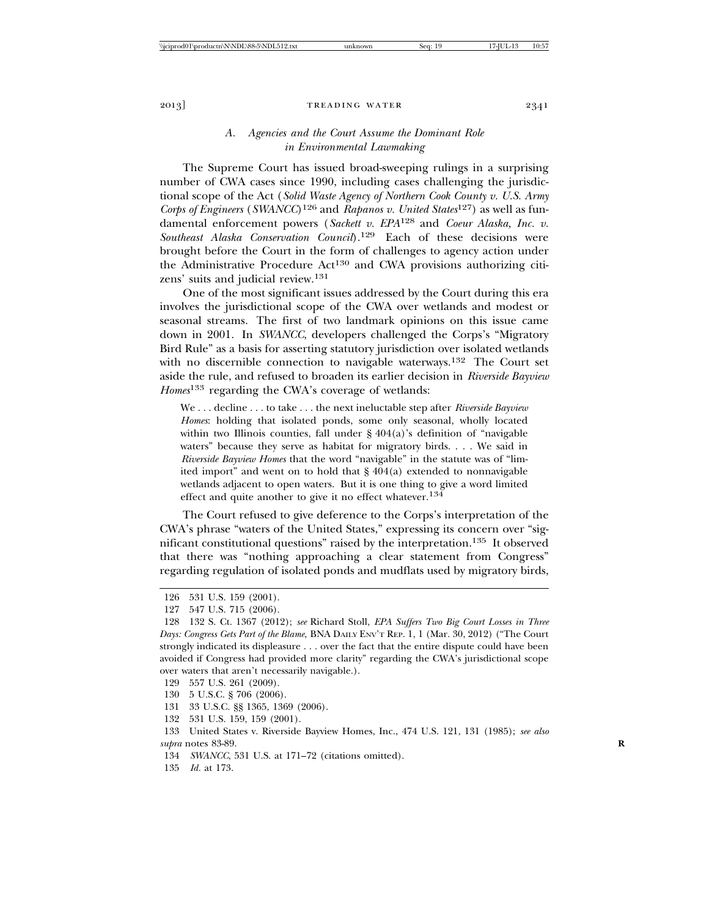#### *A. Agencies and the Court Assume the Dominant Role in Environmental Lawmaking*

The Supreme Court has issued broad-sweeping rulings in a surprising number of CWA cases since 1990, including cases challenging the jurisdictional scope of the Act (*Solid Waste Agency of Northern Cook County v. U.S. Army Corps of Engineers* (*SWANCC*)126 and *Rapanos v. United States*127) as well as fundamental enforcement powers (*Sackett v. EPA*128 and *Coeur Alaska, Inc. v. Southeast Alaska Conservation Council*).129 Each of these decisions were brought before the Court in the form of challenges to agency action under the Administrative Procedure  $Act^{130}$  and CWA provisions authorizing citizens' suits and judicial review.<sup>131</sup>

One of the most significant issues addressed by the Court during this era involves the jurisdictional scope of the CWA over wetlands and modest or seasonal streams. The first of two landmark opinions on this issue came down in 2001. In *SWANCC*, developers challenged the Corps's "Migratory Bird Rule" as a basis for asserting statutory jurisdiction over isolated wetlands with no discernible connection to navigable waterways.<sup>132</sup> The Court set aside the rule, and refused to broaden its earlier decision in *Riverside Bayview Homes*<sup>133</sup> regarding the CWA's coverage of wetlands:

We . . . decline . . . to take . . . the next ineluctable step after *Riverside Bayview Homes*: holding that isolated ponds, some only seasonal, wholly located within two Illinois counties, fall under  $\S 404(a)$ 's definition of "navigable waters" because they serve as habitat for migratory birds. . . . We said in *Riverside Bayview Homes* that the word "navigable" in the statute was of "limited import" and went on to hold that § 404(a) extended to nonnavigable wetlands adjacent to open waters. But it is one thing to give a word limited effect and quite another to give it no effect whatever.134

The Court refused to give deference to the Corps's interpretation of the CWA's phrase "waters of the United States," expressing its concern over "significant constitutional questions" raised by the interpretation.135 It observed that there was "nothing approaching a clear statement from Congress" regarding regulation of isolated ponds and mudflats used by migratory birds,

- 130 5 U.S.C. § 706 (2006).
- 131 33 U.S.C. §§ 1365, 1369 (2006).
- 132 531 U.S. 159, 159 (2001).

- 134 *SWANCC*, 531 U.S. at 171–72 (citations omitted).
- 135 *Id.* at 173.

<sup>126 531</sup> U.S. 159 (2001).

<sup>127 547</sup> U.S. 715 (2006).

<sup>128 132</sup> S. Ct. 1367 (2012); *see* Richard Stoll, *EPA Suffers Two Big Court Losses in Three Days: Congress Gets Part of the Blame*, BNA DAILY ENV'T REP. 1, 1 (Mar. 30, 2012) ("The Court strongly indicated its displeasure . . . over the fact that the entire dispute could have been avoided if Congress had provided more clarity" regarding the CWA's jurisdictional scope over waters that aren't necessarily navigable.).

<sup>129 557</sup> U.S. 261 (2009).

<sup>133</sup> United States v. Riverside Bayview Homes, Inc., 474 U.S. 121, 131 (1985); *see also supra* notes 83-89. **R**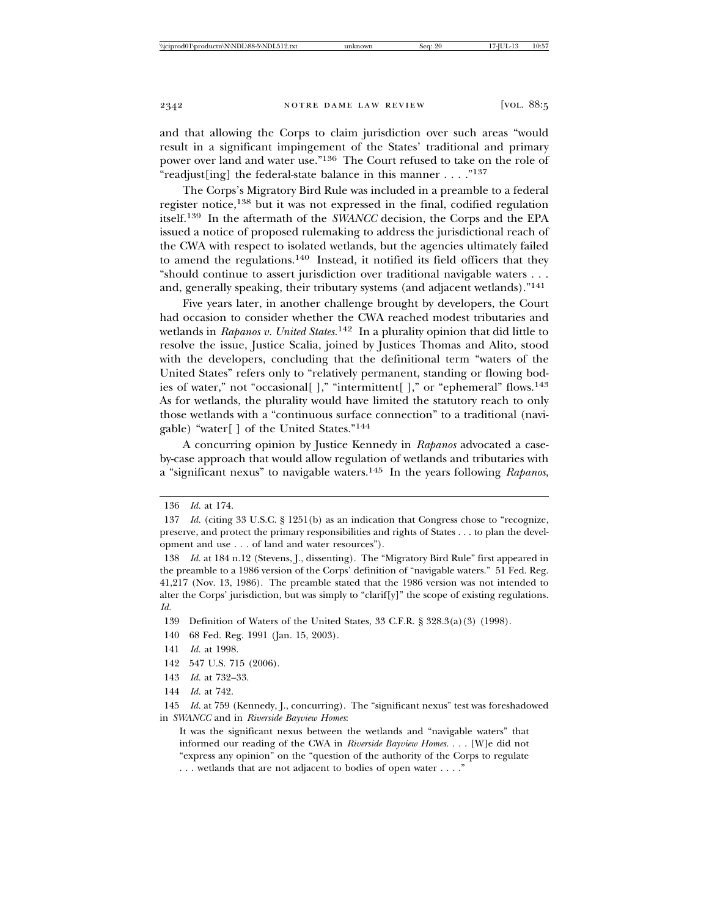and that allowing the Corps to claim jurisdiction over such areas "would result in a significant impingement of the States' traditional and primary power over land and water use."136 The Court refused to take on the role of "readjust[ing] the federal-state balance in this manner . . . ."137

The Corps's Migratory Bird Rule was included in a preamble to a federal register notice,<sup>138</sup> but it was not expressed in the final, codified regulation itself.139 In the aftermath of the *SWANCC* decision, the Corps and the EPA issued a notice of proposed rulemaking to address the jurisdictional reach of the CWA with respect to isolated wetlands, but the agencies ultimately failed to amend the regulations.<sup>140</sup> Instead, it notified its field officers that they "should continue to assert jurisdiction over traditional navigable waters . . . and, generally speaking, their tributary systems (and adjacent wetlands)."<sup>141</sup>

Five years later, in another challenge brought by developers, the Court had occasion to consider whether the CWA reached modest tributaries and wetlands in *Rapanos v. United States.*<sup>142</sup> In a plurality opinion that did little to resolve the issue, Justice Scalia, joined by Justices Thomas and Alito, stood with the developers, concluding that the definitional term "waters of the United States" refers only to "relatively permanent, standing or flowing bodies of water," not "occasional[]," "intermittent[]," or "ephemeral" flows.<sup>143</sup> As for wetlands, the plurality would have limited the statutory reach to only those wetlands with a "continuous surface connection" to a traditional (navigable) "water[ ] of the United States."<sup>144</sup>

A concurring opinion by Justice Kennedy in *Rapanos* advocated a caseby-case approach that would allow regulation of wetlands and tributaries with a "significant nexus" to navigable waters.145 In the years following *Rapanos*,

140 68 Fed. Reg. 1991 (Jan. 15, 2003).

<sup>136</sup> *Id.* at 174.

<sup>137</sup> *Id.* (citing 33 U.S.C. § 1251(b) as an indication that Congress chose to "recognize, preserve, and protect the primary responsibilities and rights of States . . . to plan the development and use . . . of land and water resources").

<sup>138</sup> *Id.* at 184 n.12 (Stevens, J., dissenting). The "Migratory Bird Rule" first appeared in the preamble to a 1986 version of the Corps' definition of "navigable waters." 51 Fed. Reg. 41,217 (Nov. 13, 1986). The preamble stated that the 1986 version was not intended to alter the Corps' jurisdiction, but was simply to "clarif[y]" the scope of existing regulations. *Id.*

<sup>139</sup> Definition of Waters of the United States, 33 C.F.R. § 328.3(a)(3) (1998).

<sup>141</sup> *Id.* at 1998.

<sup>142 547</sup> U.S. 715 (2006).

<sup>143</sup> *Id.* at 732–33.

<sup>144</sup> *Id.* at 742.

<sup>145</sup> *Id.* at 759 (Kennedy, J., concurring). The "significant nexus" test was foreshadowed in *SWANCC* and in *Riverside Bayview Homes*:

It was the significant nexus between the wetlands and "navigable waters" that informed our reading of the CWA in *Riverside Bayview Homes*. . . . [W]e did not "express any opinion" on the "question of the authority of the Corps to regulate . . . wetlands that are not adjacent to bodies of open water . . . ."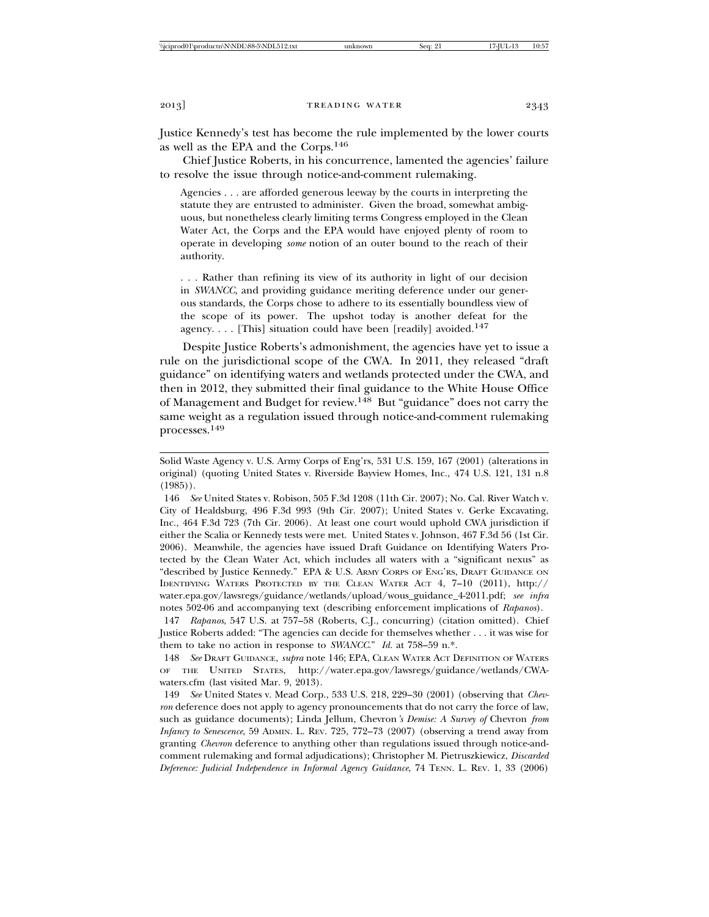Justice Kennedy's test has become the rule implemented by the lower courts as well as the EPA and the Corps.146

Chief Justice Roberts, in his concurrence, lamented the agencies' failure to resolve the issue through notice-and-comment rulemaking.

Agencies . . . are afforded generous leeway by the courts in interpreting the statute they are entrusted to administer. Given the broad, somewhat ambiguous, but nonetheless clearly limiting terms Congress employed in the Clean Water Act, the Corps and the EPA would have enjoyed plenty of room to operate in developing *some* notion of an outer bound to the reach of their authority.

. . . Rather than refining its view of its authority in light of our decision in *SWANCC*, and providing guidance meriting deference under our generous standards, the Corps chose to adhere to its essentially boundless view of the scope of its power. The upshot today is another defeat for the agency. . . . [This] situation could have been [readily] avoided.<sup>147</sup>

Despite Justice Roberts's admonishment, the agencies have yet to issue a rule on the jurisdictional scope of the CWA. In 2011, they released "draft guidance" on identifying waters and wetlands protected under the CWA, and then in 2012, they submitted their final guidance to the White House Office of Management and Budget for review.148 But "guidance" does not carry the same weight as a regulation issued through notice-and-comment rulemaking processes.<sup>149</sup>

Solid Waste Agency v. U.S. Army Corps of Eng'rs, 531 U.S. 159, 167 (2001) (alterations in original) (quoting United States v. Riverside Bayview Homes, Inc., 474 U.S. 121, 131 n.8 (1985)).

146 *See* United States v. Robison, 505 F.3d 1208 (11th Cir. 2007); No. Cal. River Watch v. City of Healdsburg, 496 F.3d 993 (9th Cir. 2007); United States v. Gerke Excavating, Inc., 464 F.3d 723 (7th Cir. 2006). At least one court would uphold CWA jurisdiction if either the Scalia or Kennedy tests were met. United States v. Johnson, 467 F.3d 56 (1st Cir. 2006). Meanwhile, the agencies have issued Draft Guidance on Identifying Waters Protected by the Clean Water Act, which includes all waters with a "significant nexus" as "described by Justice Kennedy." EPA & U.S. ARMY CORPS OF ENG'RS, DRAFT GUIDANCE ON IDENTIFYING WATERS PROTECTED BY THE CLEAN WATER ACT 4, 7–10 (2011), http:// water.epa.gov/lawsregs/guidance/wetlands/upload/wous\_guidance\_4-2011.pdf; *see infra* notes 502-06 and accompanying text (describing enforcement implications of *Rapanos*).

147 *Rapanos*, 547 U.S. at 757–58 (Roberts, C.J., concurring) (citation omitted). Chief Justice Roberts added: "The agencies can decide for themselves whether . . . it was wise for them to take no action in response to *SWANCC*." *Id.* at 758–59 n.\*.

148 *See* DRAFT GUIDANCE, *supra* note 146; EPA, CLEAN WATER ACT DEFINITION OF WATERS OF THE UNITED STATES, http://water.epa.gov/lawsregs/guidance/wetlands/CWAwaters.cfm (last visited Mar. 9, 2013).

149 *See* United States v. Mead Corp., 533 U.S. 218, 229–30 (2001) (observing that *Chevron* deference does not apply to agency pronouncements that do not carry the force of law, such as guidance documents); Linda Jellum, Chevron*'s Demise: A Survey of* Chevron *from Infancy to Senescence*, 59 ADMIN. L. REV. 725, 772–73 (2007) (observing a trend away from granting *Chevron* deference to anything other than regulations issued through notice-andcomment rulemaking and formal adjudications); Christopher M. Pietruszkiewicz, *Discarded Deference: Judicial Independence in Informal Agency Guidance*, 74 TENN. L. REV. 1, 33 (2006)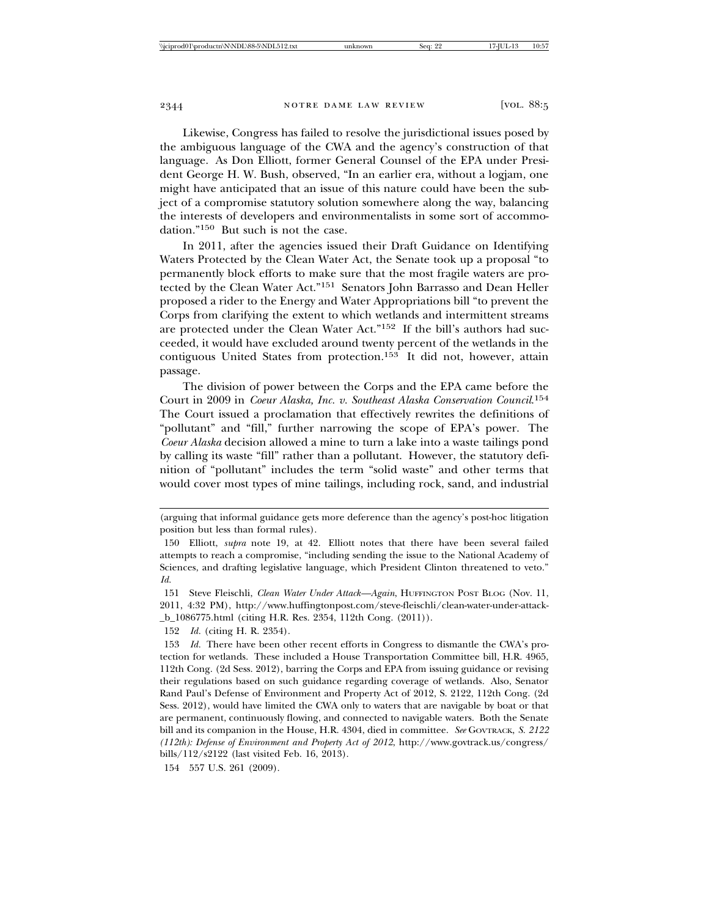Likewise, Congress has failed to resolve the jurisdictional issues posed by the ambiguous language of the CWA and the agency's construction of that language. As Don Elliott, former General Counsel of the EPA under President George H. W. Bush, observed, "In an earlier era, without a logjam, one might have anticipated that an issue of this nature could have been the subject of a compromise statutory solution somewhere along the way, balancing the interests of developers and environmentalists in some sort of accommodation."150 But such is not the case.

In 2011, after the agencies issued their Draft Guidance on Identifying Waters Protected by the Clean Water Act, the Senate took up a proposal "to permanently block efforts to make sure that the most fragile waters are protected by the Clean Water Act."151 Senators John Barrasso and Dean Heller proposed a rider to the Energy and Water Appropriations bill "to prevent the Corps from clarifying the extent to which wetlands and intermittent streams are protected under the Clean Water Act."152 If the bill's authors had succeeded, it would have excluded around twenty percent of the wetlands in the contiguous United States from protection.<sup>153</sup> It did not, however, attain passage.

The division of power between the Corps and the EPA came before the Court in 2009 in *Coeur Alaska, Inc. v. Southeast Alaska Conservation Council*. 154 The Court issued a proclamation that effectively rewrites the definitions of "pollutant" and "fill," further narrowing the scope of EPA's power. The *Coeur Alaska* decision allowed a mine to turn a lake into a waste tailings pond by calling its waste "fill" rather than a pollutant. However, the statutory definition of "pollutant" includes the term "solid waste" and other terms that would cover most types of mine tailings, including rock, sand, and industrial

154 557 U.S. 261 (2009).

<sup>(</sup>arguing that informal guidance gets more deference than the agency's post-hoc litigation position but less than formal rules).

<sup>150</sup> Elliott, *supra* note 19, at 42. Elliott notes that there have been several failed attempts to reach a compromise, "including sending the issue to the National Academy of Sciences, and drafting legislative language, which President Clinton threatened to veto." *Id.*

<sup>151</sup> Steve Fleischli, *Clean Water Under Attack—Again*, HUFFINGTON POST BLOG (Nov. 11, 2011, 4:32 PM), http://www.huffingtonpost.com/steve-fleischli/clean-water-under-attack- \_b\_1086775.html (citing H.R. Res. 2354, 112th Cong. (2011)).

<sup>152</sup> *Id.* (citing H. R. 2354).

<sup>153</sup> *Id.* There have been other recent efforts in Congress to dismantle the CWA's protection for wetlands. These included a House Transportation Committee bill, H.R. 4965, 112th Cong. (2d Sess. 2012), barring the Corps and EPA from issuing guidance or revising their regulations based on such guidance regarding coverage of wetlands. Also, Senator Rand Paul's Defense of Environment and Property Act of 2012, S. 2122, 112th Cong. (2d Sess. 2012), would have limited the CWA only to waters that are navigable by boat or that are permanent, continuously flowing, and connected to navigable waters. Both the Senate bill and its companion in the House, H.R. 4304, died in committee. *See* GOVTRACK, *S. 2122 (112th): Defense of Environment and Property Act of 2012*, http://www.govtrack.us/congress/ bills/112/s2122 (last visited Feb. 16, 2013).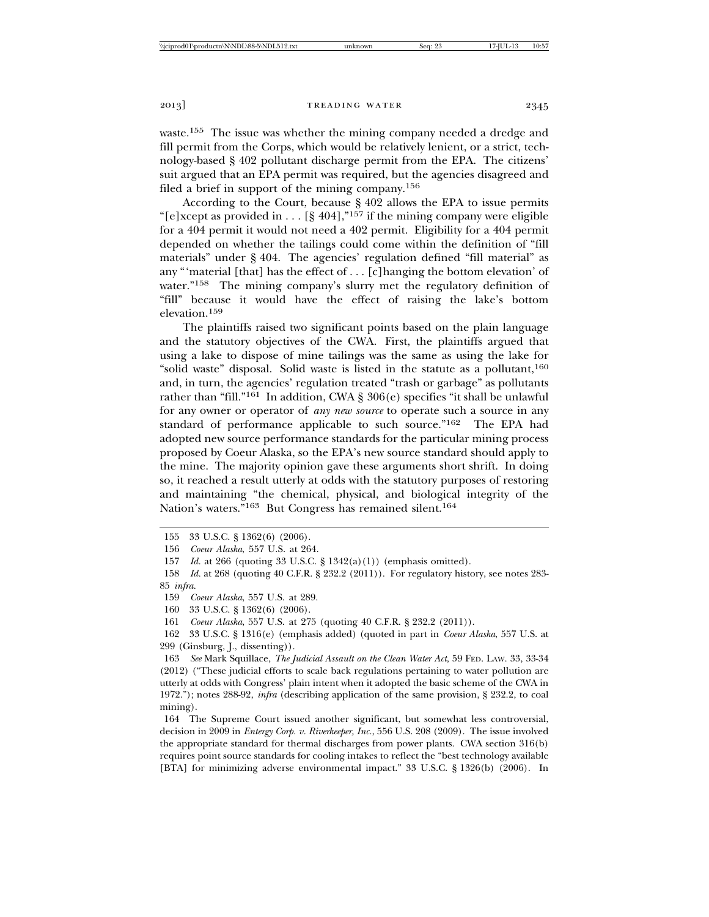waste.155 The issue was whether the mining company needed a dredge and fill permit from the Corps, which would be relatively lenient, or a strict, technology-based § 402 pollutant discharge permit from the EPA. The citizens' suit argued that an EPA permit was required, but the agencies disagreed and filed a brief in support of the mining company.156

According to the Court, because § 402 allows the EPA to issue permits "[e]xcept as provided in . . . [§ 404],"<sup>157</sup> if the mining company were eligible for a 404 permit it would not need a 402 permit. Eligibility for a 404 permit depended on whether the tailings could come within the definition of "fill materials" under § 404. The agencies' regulation defined "fill material" as any "'material [that] has the effect of . . . [c]hanging the bottom elevation' of water."<sup>158</sup> The mining company's slurry met the regulatory definition of "fill" because it would have the effect of raising the lake's bottom elevation.<sup>159</sup>

The plaintiffs raised two significant points based on the plain language and the statutory objectives of the CWA. First, the plaintiffs argued that using a lake to dispose of mine tailings was the same as using the lake for "solid waste" disposal. Solid waste is listed in the statute as a pollutant,  $160$ and, in turn, the agencies' regulation treated "trash or garbage" as pollutants rather than "fill."<sup>161</sup> In addition, CWA § 306(e) specifies "it shall be unlawful for any owner or operator of *any new source* to operate such a source in any standard of performance applicable to such source."<sup>162</sup> The EPA had adopted new source performance standards for the particular mining process proposed by Coeur Alaska, so the EPA's new source standard should apply to the mine. The majority opinion gave these arguments short shrift. In doing so, it reached a result utterly at odds with the statutory purposes of restoring and maintaining "the chemical, physical, and biological integrity of the Nation's waters."163 But Congress has remained silent.164

<sup>155 33</sup> U.S.C. § 1362(6) (2006).

<sup>156</sup> *Coeur Alaska*, 557 U.S. at 264.

<sup>157</sup> *Id.* at 266 (quoting 33 U.S.C. § 1342(a)(1)) (emphasis omitted).

<sup>158</sup> *Id.* at 268 (quoting 40 C.F.R. § 232.2 (2011)). For regulatory history, see notes 283- 85 *infra.*

<sup>159</sup> *Coeur Alaska*, 557 U.S. at 289.

<sup>160 33</sup> U.S.C. § 1362(6) (2006).

<sup>161</sup> *Coeur Alaska*, 557 U.S. at 275 (quoting 40 C.F.R. § 232.2 (2011)).

<sup>162 33</sup> U.S.C. § 1316(e) (emphasis added) (quoted in part in *Coeur Alaska*, 557 U.S. at 299 (Ginsburg, J., dissenting)).

<sup>163</sup> *See* Mark Squillace, *The Judicial Assault on the Clean Water Act*, 59 FED. LAW. 33, 33-34 (2012) ("These judicial efforts to scale back regulations pertaining to water pollution are utterly at odds with Congress' plain intent when it adopted the basic scheme of the CWA in 1972."); notes 288-92, *infra* (describing application of the same provision, § 232.2, to coal mining).

<sup>164</sup> The Supreme Court issued another significant, but somewhat less controversial, decision in 2009 in *Entergy Corp. v. Riverkeeper, Inc.*, 556 U.S. 208 (2009). The issue involved the appropriate standard for thermal discharges from power plants. CWA section 316(b) requires point source standards for cooling intakes to reflect the "best technology available [BTA] for minimizing adverse environmental impact." 33 U.S.C. § 1326(b) (2006). In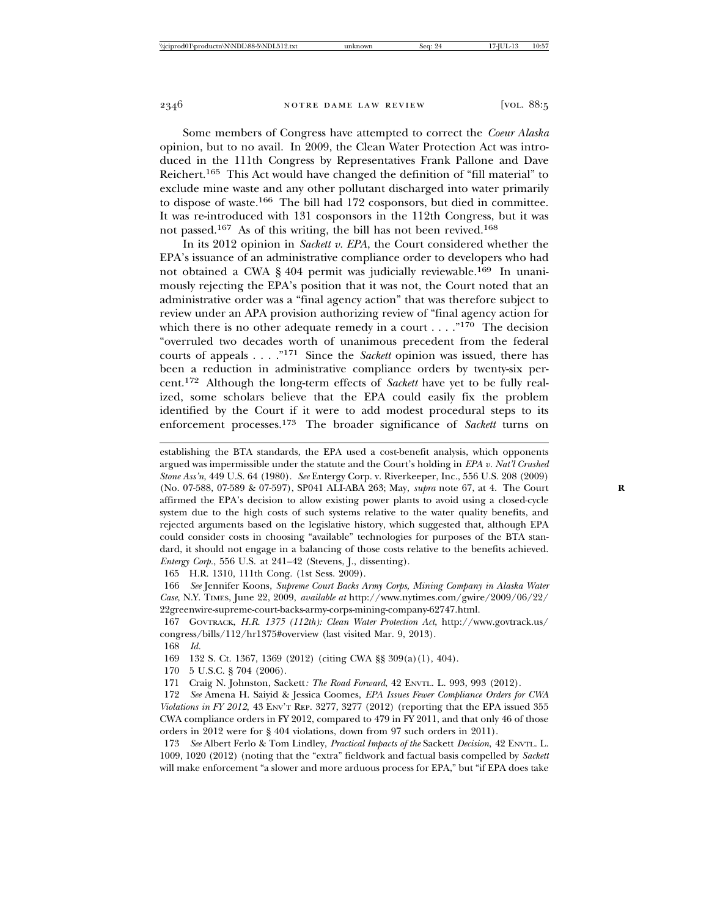Some members of Congress have attempted to correct the *Coeur Alaska* opinion, but to no avail. In 2009, the Clean Water Protection Act was introduced in the 111th Congress by Representatives Frank Pallone and Dave Reichert.165 This Act would have changed the definition of "fill material" to exclude mine waste and any other pollutant discharged into water primarily to dispose of waste.166 The bill had 172 cosponsors, but died in committee. It was re-introduced with 131 cosponsors in the 112th Congress, but it was not passed.167 As of this writing, the bill has not been revived.168

In its 2012 opinion in *Sackett v. EPA*, the Court considered whether the EPA's issuance of an administrative compliance order to developers who had not obtained a CWA § 404 permit was judicially reviewable.<sup>169</sup> In unanimously rejecting the EPA's position that it was not, the Court noted that an administrative order was a "final agency action" that was therefore subject to review under an APA provision authorizing review of "final agency action for which there is no other adequate remedy in a court  $\dots$ ."<sup>170</sup> The decision "overruled two decades worth of unanimous precedent from the federal courts of appeals . . . ."171 Since the *Sackett* opinion was issued, there has been a reduction in administrative compliance orders by twenty-six percent.172 Although the long-term effects of *Sackett* have yet to be fully realized, some scholars believe that the EPA could easily fix the problem identified by the Court if it were to add modest procedural steps to its enforcement processes.173 The broader significance of *Sackett* turns on

establishing the BTA standards, the EPA used a cost-benefit analysis, which opponents argued was impermissible under the statute and the Court's holding in *EPA v. Nat'l Crushed Stone Ass'n*, 449 U.S. 64 (1980). *See* Entergy Corp. v. Riverkeeper, Inc., 556 U.S. 208 (2009) (No. 07-588, 07-589 & 07-597), SP041 ALI-ABA 263; May, *supra* note 67, at 4. The Court **R** affirmed the EPA's decision to allow existing power plants to avoid using a closed-cycle system due to the high costs of such systems relative to the water quality benefits, and rejected arguments based on the legislative history, which suggested that, although EPA could consider costs in choosing "available" technologies for purposes of the BTA standard, it should not engage in a balancing of those costs relative to the benefits achieved. *Entergy Corp.*, 556 U.S. at 241–42 (Stevens, J., dissenting).

165 H.R. 1310, 111th Cong. (1st Sess. 2009).

166 *See* Jennifer Koons, *Supreme Court Backs Army Corps, Mining Company in Alaska Water Case*, N.Y. TIMES, June 22, 2009, *available at* http://www.nytimes.com/gwire/2009/06/22/ 22greenwire-supreme-court-backs-army-corps-mining-company-62747.html.

167 GOVTRACK, *H.R. 1375 (112th): Clean Water Protection Act*, http://www.govtrack.us/ congress/bills/112/hr1375#overview (last visited Mar. 9, 2013).

168 *Id.*

169 132 S. Ct. 1367, 1369 (2012) (citing CWA §§ 309(a)(1), 404).

170 5 U.S.C. § 704 (2006).

171 Craig N. Johnston, Sackett*: The Road Forward*, 42 ENVTL. L. 993, 993 (2012).

172 *See* Amena H. Saiyid & Jessica Coomes, *EPA Issues Fewer Compliance Orders for CWA Violations in FY 2012*, 43 ENV'T REP. 3277, 3277 (2012) (reporting that the EPA issued 355 CWA compliance orders in FY 2012, compared to 479 in FY 2011, and that only 46 of those orders in 2012 were for § 404 violations, down from 97 such orders in 2011).

173 *See* Albert Ferlo & Tom Lindley, *Practical Impacts of the* Sackett *Decision*, 42 ENVTL. L. 1009, 1020 (2012) (noting that the "extra" fieldwork and factual basis compelled by *Sackett* will make enforcement "a slower and more arduous process for EPA," but "if EPA does take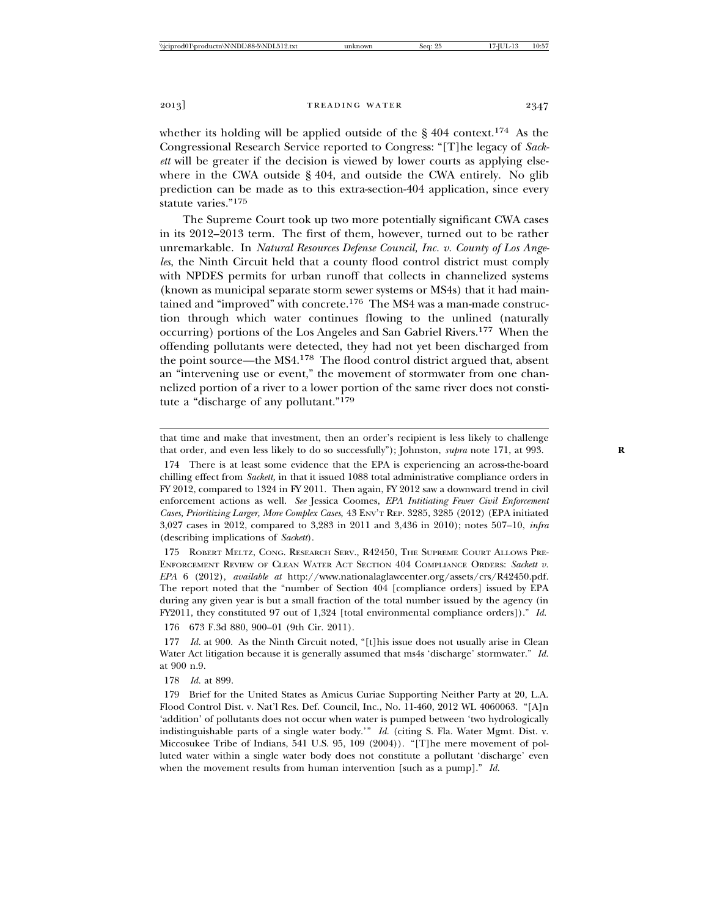whether its holding will be applied outside of the  $\S$  404 context.<sup>174</sup> As the Congressional Research Service reported to Congress: "[T]he legacy of *Sackett* will be greater if the decision is viewed by lower courts as applying elsewhere in the CWA outside § 404, and outside the CWA entirely. No glib prediction can be made as to this extra-section-404 application, since every statute varies."175

The Supreme Court took up two more potentially significant CWA cases in its 2012–2013 term. The first of them, however, turned out to be rather unremarkable. In *Natural Resources Defense Council, Inc. v. County of Los Angeles*, the Ninth Circuit held that a county flood control district must comply with NPDES permits for urban runoff that collects in channelized systems (known as municipal separate storm sewer systems or MS4s) that it had maintained and "improved" with concrete.<sup>176</sup> The MS4 was a man-made construction through which water continues flowing to the unlined (naturally occurring) portions of the Los Angeles and San Gabriel Rivers.177 When the offending pollutants were detected, they had not yet been discharged from the point source—the MS4.178 The flood control district argued that, absent an "intervening use or event," the movement of stormwater from one channelized portion of a river to a lower portion of the same river does not constitute a "discharge of any pollutant."179

174 There is at least some evidence that the EPA is experiencing an across-the-board chilling effect from *Sackett,* in that it issued 1088 total administrative compliance orders in FY 2012, compared to 1324 in FY 2011. Then again, FY 2012 saw a downward trend in civil enforcement actions as well. *See* Jessica Coomes, *EPA Intitiating Fewer Civil Enforcement Cases, Prioritizing Larger, More Complex Cases*, 43 ENV'T REP. 3285, 3285 (2012) (EPA initiated 3,027 cases in 2012, compared to 3,283 in 2011 and 3,436 in 2010); notes 507–10, *infra* (describing implications of *Sackett*).

175 ROBERT MELTZ, CONG. RESEARCH SERV., R42450, THE SUPREME COURT ALLOWS PRE-ENFORCEMENT REVIEW OF CLEAN WATER ACT SECTION 404 COMPLIANCE ORDERS: *Sackett v. EPA* 6 (2012), *available at* http://www.nationalaglawcenter.org/assets/crs/R42450.pdf. The report noted that the "number of Section 404 [compliance orders] issued by EPA during any given year is but a small fraction of the total number issued by the agency (in FY2011, they constituted 97 out of 1,324 [total environmental compliance orders])." *Id.*

176 673 F.3d 880, 900–01 (9th Cir. 2011).

177 *Id.* at 900. As the Ninth Circuit noted, "[t]his issue does not usually arise in Clean Water Act litigation because it is generally assumed that ms4s 'discharge' stormwater." *Id.* at 900 n.9.

178 *Id.* at 899.

179 Brief for the United States as Amicus Curiae Supporting Neither Party at 20, L.A. Flood Control Dist. v. Nat'l Res. Def. Council, Inc., No. 11-460, 2012 WL 4060063. "[A]n 'addition' of pollutants does not occur when water is pumped between 'two hydrologically indistinguishable parts of a single water body.'" *Id.* (citing S. Fla. Water Mgmt. Dist. v. Miccosukee Tribe of Indians, 541 U.S. 95, 109 (2004)). "[T]he mere movement of polluted water within a single water body does not constitute a pollutant 'discharge' even when the movement results from human intervention [such as a pump]." *Id.*

that time and make that investment, then an order's recipient is less likely to challenge that order, and even less likely to do so successfully"); Johnston, *supra* note 171, at 993. **R**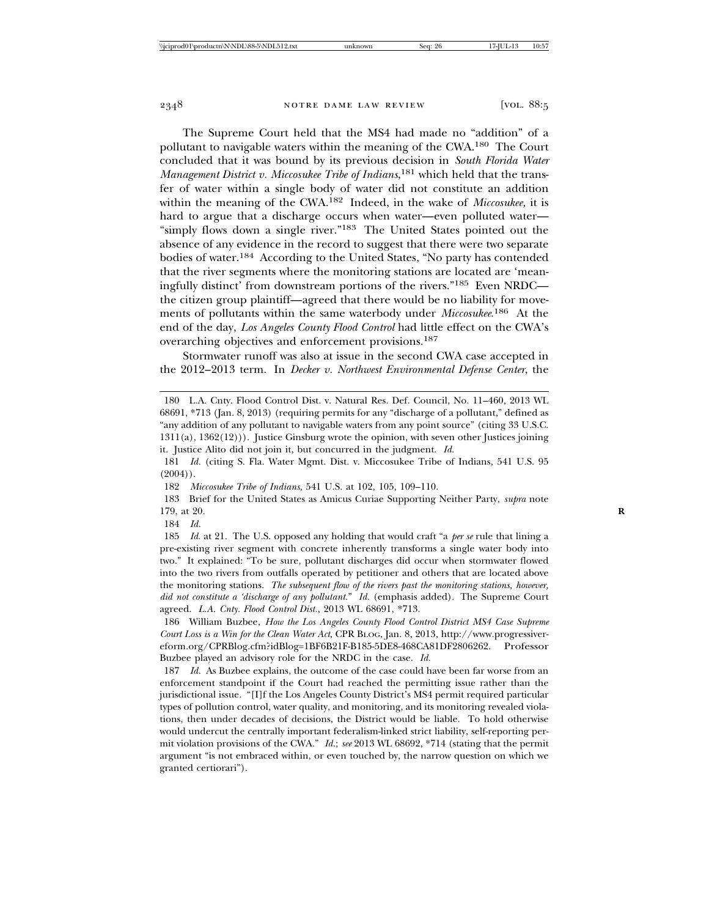The Supreme Court held that the MS4 had made no "addition" of a pollutant to navigable waters within the meaning of the CWA.180 The Court concluded that it was bound by its previous decision in *South Florida Water Management District v. Miccosukee Tribe of Indians*, 181 which held that the transfer of water within a single body of water did not constitute an addition within the meaning of the CWA.182 Indeed, in the wake of *Miccosukee,* it is hard to argue that a discharge occurs when water—even polluted water— "simply flows down a single river."183 The United States pointed out the absence of any evidence in the record to suggest that there were two separate bodies of water.184 According to the United States, "No party has contended that the river segments where the monitoring stations are located are 'meaningfully distinct' from downstream portions of the rivers."185 Even NRDC the citizen group plaintiff—agreed that there would be no liability for movements of pollutants within the same waterbody under *Miccosukee*. 186 At the end of the day, *Los Angeles County Flood Control* had little effect on the CWA's overarching objectives and enforcement provisions.187

Stormwater runoff was also at issue in the second CWA case accepted in the 2012–2013 term. In *Decker v. Northwest Environmental Defense Center*, the

182 *Miccosukee Tribe of Indians*, 541 U.S. at 102, 105, 109–110.

183 Brief for the United States as Amicus Curiae Supporting Neither Party, *supra* note 179, at 20. **R**

184 *Id.*

<sup>180</sup> L.A. Cnty. Flood Control Dist. v. Natural Res. Def. Council, No. 11–460, 2013 WL 68691, \*713 (Jan. 8, 2013) (requiring permits for any "discharge of a pollutant," defined as "any addition of any pollutant to navigable waters from any point source" (citing 33 U.S.C. 1311(a), 1362(12))). Justice Ginsburg wrote the opinion, with seven other Justices joining it. Justice Alito did not join it, but concurred in the judgment. *Id.*

<sup>181</sup> *Id.* (citing S. Fla. Water Mgmt. Dist. v. Miccosukee Tribe of Indians, 541 U.S. 95  $(2004)$ .

<sup>185</sup> *Id*. at 21. The U.S. opposed any holding that would craft "a *per se* rule that lining a pre-existing river segment with concrete inherently transforms a single water body into two." It explained: "To be sure, pollutant discharges did occur when stormwater flowed into the two rivers from outfalls operated by petitioner and others that are located above the monitoring stations. *The subsequent flow of the rivers past the monitoring stations, however, did not constitute a 'discharge of any pollutant.*" *Id.* (emphasis added). The Supreme Court agreed. *L.A. Cnty. Flood Control Dist.*, 2013 WL 68691, \*713.

<sup>186</sup> William Buzbee, *How the Los Angeles County Flood Control District MS4 Case Supreme Court Loss is a Win for the Clean Water Act*, CPR BLOG, Jan. 8, 2013, http://www.progressivereform.org/CPRBlog.cfm?idBlog=1BF6B21F-B185-5DE8-468CA81DF2806262. Professor Buzbee played an advisory role for the NRDC in the case. *Id.*

<sup>187</sup> *Id.* As Buzbee explains, the outcome of the case could have been far worse from an enforcement standpoint if the Court had reached the permitting issue rather than the jurisdictional issue. "[I]f the Los Angeles County District's MS4 permit required particular types of pollution control, water quality, and monitoring, and its monitoring revealed violations, then under decades of decisions, the District would be liable. To hold otherwise would undercut the centrally important federalism-linked strict liability, self-reporting permit violation provisions of the CWA." *Id.*; *see* 2013 WL 68692, \*714 (stating that the permit argument "is not embraced within, or even touched by, the narrow question on which we granted certiorari").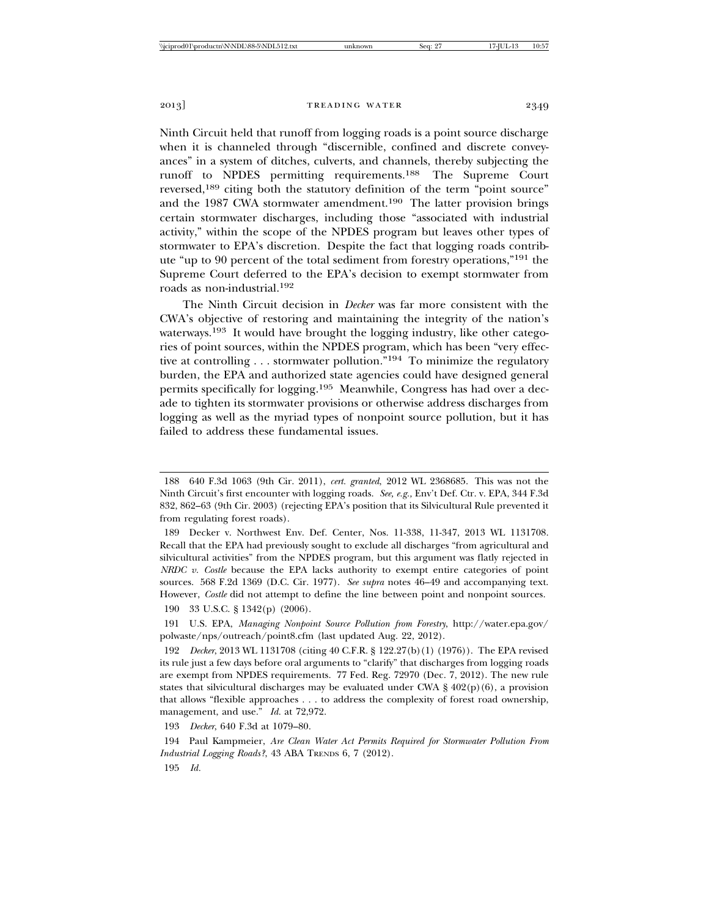Ninth Circuit held that runoff from logging roads is a point source discharge when it is channeled through "discernible, confined and discrete conveyances" in a system of ditches, culverts, and channels, thereby subjecting the runoff to NPDES permitting requirements.188 The Supreme Court reversed,<sup>189</sup> citing both the statutory definition of the term "point source" and the 1987 CWA stormwater amendment.<sup>190</sup> The latter provision brings certain stormwater discharges, including those "associated with industrial activity," within the scope of the NPDES program but leaves other types of stormwater to EPA's discretion. Despite the fact that logging roads contribute "up to 90 percent of the total sediment from forestry operations,"191 the Supreme Court deferred to the EPA's decision to exempt stormwater from roads as non-industrial.192

The Ninth Circuit decision in *Decker* was far more consistent with the CWA's objective of restoring and maintaining the integrity of the nation's waterways.<sup>193</sup> It would have brought the logging industry, like other categories of point sources, within the NPDES program, which has been "very effective at controlling . . . stormwater pollution."194 To minimize the regulatory burden, the EPA and authorized state agencies could have designed general permits specifically for logging.195 Meanwhile, Congress has had over a decade to tighten its stormwater provisions or otherwise address discharges from logging as well as the myriad types of nonpoint source pollution, but it has failed to address these fundamental issues.

192 *Decker*, 2013 WL 1131708 (citing 40 C.F.R. § 122.27(b)(1) (1976)). The EPA revised its rule just a few days before oral arguments to "clarify" that discharges from logging roads are exempt from NPDES requirements. 77 Fed. Reg. 72970 (Dec. 7, 2012). The new rule states that silvicultural discharges may be evaluated under CWA  $\S$  402(p)(6), a provision that allows "flexible approaches . . . to address the complexity of forest road ownership, management, and use." *Id.* at 72,972.

193 *Decker*, 640 F.3d at 1079–80.

194 Paul Kampmeier, *Are Clean Water Act Permits Required for Stormwater Pollution From Industrial Logging Roads?*, 43 ABA TRENDS 6, 7 (2012).

195 *Id.*

<sup>188 640</sup> F.3d 1063 (9th Cir. 2011), *cert. granted*, 2012 WL 2368685. This was not the Ninth Circuit's first encounter with logging roads. *See, e.g.,* Env't Def. Ctr. v. EPA, 344 F.3d 832, 862–63 (9th Cir. 2003) (rejecting EPA's position that its Silvicultural Rule prevented it from regulating forest roads).

<sup>189</sup> Decker v. Northwest Env. Def. Center, Nos. 11-338, 11-347, 2013 WL 1131708. Recall that the EPA had previously sought to exclude all discharges "from agricultural and silvicultural activities" from the NPDES program, but this argument was flatly rejected in *NRDC v. Costle* because the EPA lacks authority to exempt entire categories of point sources. 568 F.2d 1369 (D.C. Cir. 1977). *See supra* notes 46–49 and accompanying text. However, *Costle* did not attempt to define the line between point and nonpoint sources.

<sup>190 33</sup> U.S.C. § 1342(p) (2006).

<sup>191</sup> U.S. EPA, *Managing Nonpoint Source Pollution from Forestry*, http://water.epa.gov/ polwaste/nps/outreach/point8.cfm (last updated Aug. 22, 2012).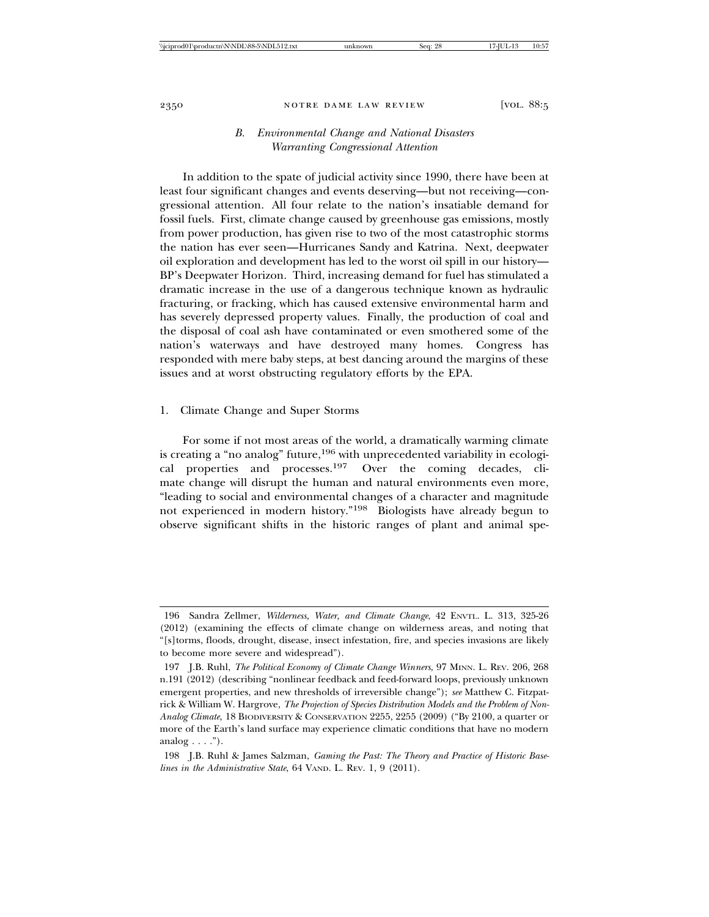#### *B. Environmental Change and National Disasters Warranting Congressional Attention*

In addition to the spate of judicial activity since 1990, there have been at least four significant changes and events deserving—but not receiving—congressional attention. All four relate to the nation's insatiable demand for fossil fuels. First, climate change caused by greenhouse gas emissions, mostly from power production, has given rise to two of the most catastrophic storms the nation has ever seen—Hurricanes Sandy and Katrina. Next, deepwater oil exploration and development has led to the worst oil spill in our history— BP's Deepwater Horizon. Third, increasing demand for fuel has stimulated a dramatic increase in the use of a dangerous technique known as hydraulic fracturing, or fracking, which has caused extensive environmental harm and has severely depressed property values. Finally, the production of coal and the disposal of coal ash have contaminated or even smothered some of the nation's waterways and have destroyed many homes. Congress has responded with mere baby steps, at best dancing around the margins of these issues and at worst obstructing regulatory efforts by the EPA.

#### 1. Climate Change and Super Storms

For some if not most areas of the world, a dramatically warming climate is creating a "no analog" future,  $196$  with unprecedented variability in ecological properties and processes.197 Over the coming decades, climate change will disrupt the human and natural environments even more, "leading to social and environmental changes of a character and magnitude not experienced in modern history."198 Biologists have already begun to observe significant shifts in the historic ranges of plant and animal spe-

<sup>196</sup> Sandra Zellmer, *Wilderness, Water, and Climate Change*, 42 ENVTL. L. 313, 325-26 (2012) (examining the effects of climate change on wilderness areas, and noting that "[s]torms, floods, drought, disease, insect infestation, fire, and species invasions are likely to become more severe and widespread").

<sup>197</sup> J.B. Ruhl, *The Political Economy of Climate Change Winners*, 97 MINN. L. REV. 206, 268 n.191 (2012) (describing "nonlinear feedback and feed-forward loops, previously unknown emergent properties, and new thresholds of irreversible change"); *see* Matthew C. Fitzpatrick & William W. Hargrove, *The Projection of Species Distribution Models and the Problem of Non-Analog Climate*, 18 BIODIVERSITY & CONSERVATION 2255, 2255 (2009) ("By 2100, a quarter or more of the Earth's land surface may experience climatic conditions that have no modern analog  $\ldots$ .").

<sup>198</sup> J.B. Ruhl & James Salzman, *Gaming the Past: The Theory and Practice of Historic Baselines in the Administrative State*, 64 VAND. L. REV. 1, 9 (2011).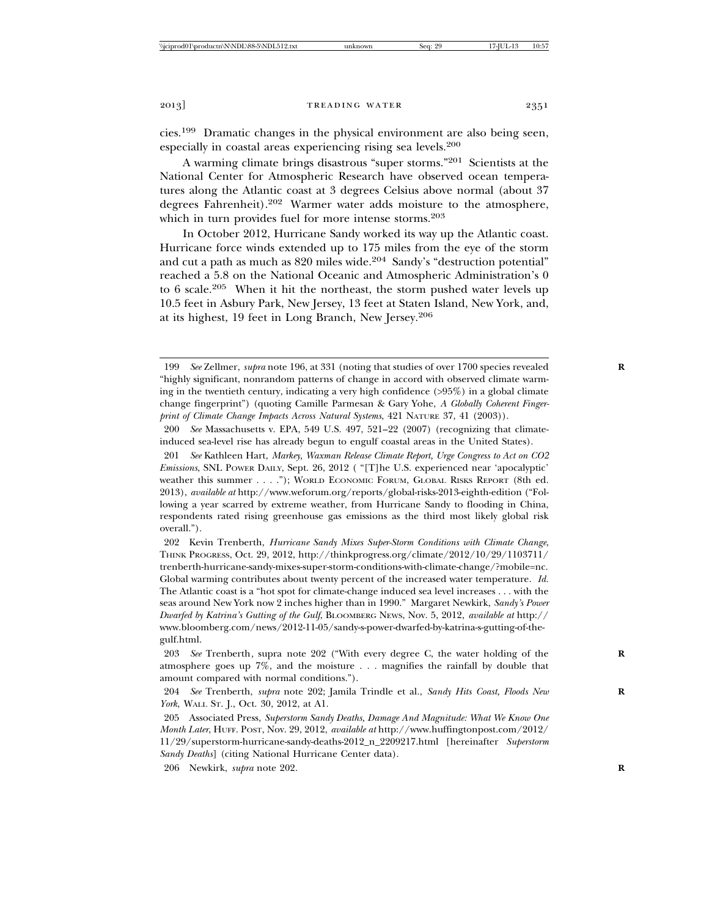cies.199 Dramatic changes in the physical environment are also being seen, especially in coastal areas experiencing rising sea levels.200

A warming climate brings disastrous "super storms."201 Scientists at the National Center for Atmospheric Research have observed ocean temperatures along the Atlantic coast at 3 degrees Celsius above normal (about 37 degrees Fahrenheit).202 Warmer water adds moisture to the atmosphere, which in turn provides fuel for more intense storms.<sup>203</sup>

In October 2012, Hurricane Sandy worked its way up the Atlantic coast. Hurricane force winds extended up to 175 miles from the eye of the storm and cut a path as much as 820 miles wide.<sup>204</sup> Sandy's "destruction potential" reached a 5.8 on the National Oceanic and Atmospheric Administration's 0 to 6 scale.205 When it hit the northeast, the storm pushed water levels up 10.5 feet in Asbury Park, New Jersey, 13 feet at Staten Island, New York, and, at its highest, 19 feet in Long Branch, New Jersey.206

206 Newkirk, *supra* note 202. **R**

<sup>199</sup> *See* Zellmer, *supra* note 196, at 331 (noting that studies of over 1700 species revealed **R** "highly significant, nonrandom patterns of change in accord with observed climate warming in the twentieth century, indicating a very high confidence (>95%) in a global climate change fingerprint") (quoting Camille Parmesan & Gary Yohe, *A Globally Coherent Fingerprint of Climate Change Impacts Across Natural Systems*, 421 NATURE 37, 41 (2003)).

<sup>200</sup> *See* Massachusetts v. EPA, 549 U.S. 497, 521–22 (2007) (recognizing that climateinduced sea-level rise has already begun to engulf coastal areas in the United States).

<sup>201</sup> *See* Kathleen Hart, *Markey, Waxman Release Climate Report, Urge Congress to Act on CO2 Emissions*, SNL POWER DAILY, Sept. 26, 2012 ( "[T]he U.S. experienced near 'apocalyptic' weather this summer . . . ."); WORLD ECONOMIC FORUM, GLOBAL RISKS REPORT (8th ed. 2013), *available at* http://www.weforum.org/reports/global-risks-2013-eighth-edition ("Following a year scarred by extreme weather, from Hurricane Sandy to flooding in China, respondents rated rising greenhouse gas emissions as the third most likely global risk overall.").

<sup>202</sup> Kevin Trenberth, *Hurricane Sandy Mixes Super-Storm Conditions with Climate Change*, THINK PROGRESS, Oct. 29, 2012, http://thinkprogress.org/climate/2012/10/29/1103711/ trenberth-hurricane-sandy-mixes-super-storm-conditions-with-climate-change/?mobile=nc. Global warming contributes about twenty percent of the increased water temperature. *Id.* The Atlantic coast is a "hot spot for climate-change induced sea level increases . . . with the seas around New York now 2 inches higher than in 1990." Margaret Newkirk, *Sandy's Power Dwarfed by Katrina's Gutting of the Gulf*, BLOOMBERG NEWS, Nov. 5, 2012, *available at* http:// www.bloomberg.com/news/2012-11-05/sandy-s-power-dwarfed-by-katrina-s-gutting-of-thegulf.html.

<sup>203</sup> *See* Trenberth*,* supra note 202 ("With every degree C, the water holding of the **R** atmosphere goes up 7%, and the moisture . . . magnifies the rainfall by double that amount compared with normal conditions.").

<sup>204</sup> *See* Trenberth, *supra* note 202; Jamila Trindle et al., *Sandy Hits Coast, Floods New* **R** *York*, WALL ST. J., Oct. 30, 2012, at A1.

<sup>205</sup> Associated Press, *Superstorm Sandy Deaths, Damage And Magnitude: What We Know One Month Later*, HUFF. POST, Nov. 29, 2012, *available at* http://www.huffingtonpost.com/2012/ 11/29/superstorm-hurricane-sandy-deaths-2012\_n\_2209217.html [hereinafter *Superstorm Sandy Deaths*] (citing National Hurricane Center data).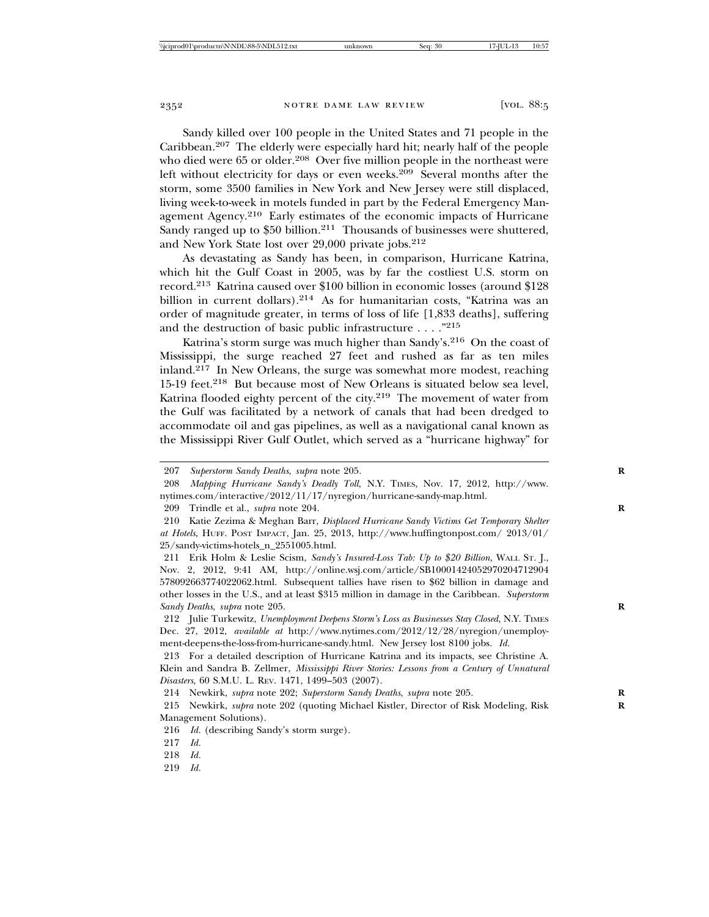Sandy killed over 100 people in the United States and 71 people in the Caribbean.207 The elderly were especially hard hit; nearly half of the people who died were 65 or older.<sup>208</sup> Over five million people in the northeast were left without electricity for days or even weeks.<sup>209</sup> Several months after the storm, some 3500 families in New York and New Jersey were still displaced, living week-to-week in motels funded in part by the Federal Emergency Management Agency.<sup>210</sup> Early estimates of the economic impacts of Hurricane Sandy ranged up to  $$50$  billion.<sup>211</sup> Thousands of businesses were shuttered, and New York State lost over 29,000 private jobs.212

As devastating as Sandy has been, in comparison, Hurricane Katrina, which hit the Gulf Coast in 2005, was by far the costliest U.S. storm on record.213 Katrina caused over \$100 billion in economic losses (around \$128 billion in current dollars).<sup>214</sup> As for humanitarian costs, "Katrina was an order of magnitude greater, in terms of loss of life [1,833 deaths], suffering and the destruction of basic public infrastructure . . . ."215

Katrina's storm surge was much higher than Sandy's.216 On the coast of Mississippi, the surge reached 27 feet and rushed as far as ten miles inland.217 In New Orleans, the surge was somewhat more modest, reaching 15-19 feet.<sup>218</sup> But because most of New Orleans is situated below sea level, Katrina flooded eighty percent of the city.219 The movement of water from the Gulf was facilitated by a network of canals that had been dredged to accommodate oil and gas pipelines, as well as a navigational canal known as the Mississippi River Gulf Outlet, which served as a "hurricane highway" for

209 Trindle et al., *supra* note 204. **R**

219 *Id.*

<sup>207</sup> *Superstorm Sandy Deaths*, *supra* note 205. **R**

<sup>208</sup> *Mapping Hurricane Sandy's Deadly Toll*, N.Y. TIMES, Nov. 17, 2012, http://www. nytimes.com/interactive/2012/11/17/nyregion/hurricane-sandy-map.html.

<sup>210</sup> Katie Zezima & Meghan Barr, *Displaced Hurricane Sandy Victims Get Temporary Shelter at Hotels*, HUFF. POST IMPACT, Jan. 25, 2013, http://www.huffingtonpost.com/ 2013/01/ 25/sandy-victims-hotels\_n\_2551005.html.

<sup>211</sup> Erik Holm & Leslie Scism, *Sandy's Insured-Loss Tab: Up to \$20 Billion*, WALL ST. J., Nov. 2, 2012, 9:41 AM, http://online.wsj.com/article/SB10001424052970204712904 578092663774022062.html. Subsequent tallies have risen to \$62 billion in damage and other losses in the U.S., and at least \$315 million in damage in the Caribbean. *Superstorm Sandy Deaths*, *supra* note 205. **R**

<sup>212</sup> Julie Turkewitz, *Unemployment Deepens Storm's Loss as Businesses Stay Closed*, N.Y. TIMES Dec. 27, 2012, *available at* http://www.nytimes.com/2012/12/28/nyregion/unemployment-deepens-the-loss-from-hurricane-sandy.html. New Jersey lost 8100 jobs. *Id.*

<sup>213</sup> For a detailed description of Hurricane Katrina and its impacts, see Christine A. Klein and Sandra B. Zellmer, *Mississippi River Stories: Lessons from a Century of Unnatural Disasters*, 60 S.M.U. L. REV. 1471, 1499–503 (2007).

<sup>214</sup> Newkirk, *supra* note 202; *Superstorm Sandy Deaths*, *supra* note 205. **R**

<sup>215</sup> Newkirk, *supra* note 202 (quoting Michael Kistler, Director of Risk Modeling, Risk **R** Management Solutions).

<sup>216</sup> *Id.* (describing Sandy's storm surge).

<sup>217</sup> *Id.*

<sup>218</sup> *Id.*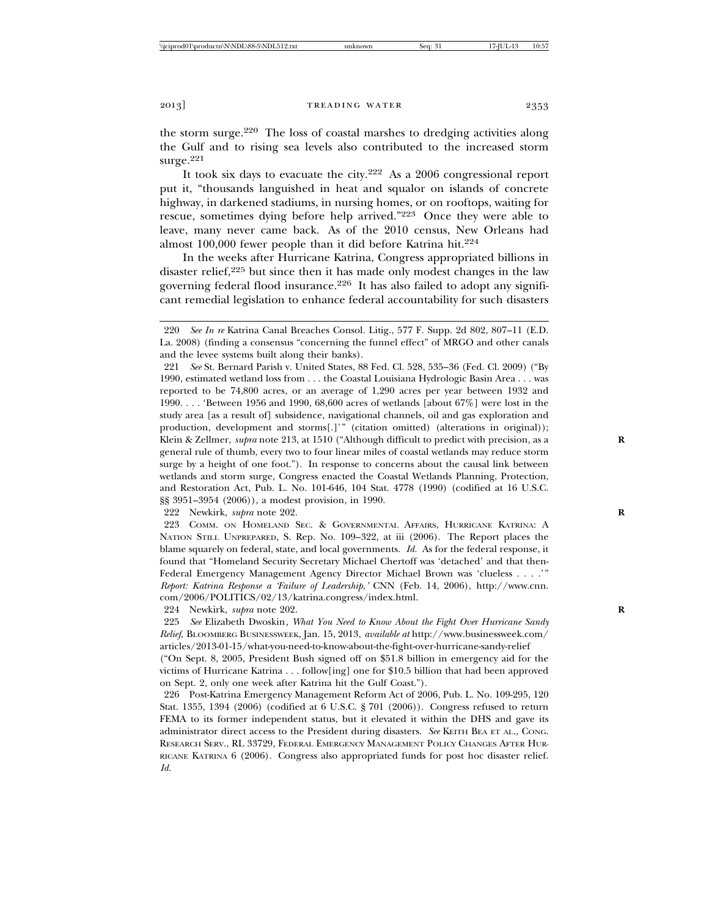the storm surge.220 The loss of coastal marshes to dredging activities along the Gulf and to rising sea levels also contributed to the increased storm surge.<sup>221</sup>

It took six days to evacuate the city.222 As a 2006 congressional report put it, "thousands languished in heat and squalor on islands of concrete highway, in darkened stadiums, in nursing homes, or on rooftops, waiting for rescue, sometimes dying before help arrived."223 Once they were able to leave, many never came back. As of the 2010 census, New Orleans had almost 100,000 fewer people than it did before Katrina hit.224

In the weeks after Hurricane Katrina, Congress appropriated billions in disaster relief,<sup>225</sup> but since then it has made only modest changes in the law governing federal flood insurance.<sup>226</sup> It has also failed to adopt any significant remedial legislation to enhance federal accountability for such disasters

221 *See* St. Bernard Parish v. United States, 88 Fed. Cl. 528, 535–36 (Fed. Cl. 2009) ("By 1990, estimated wetland loss from . . . the Coastal Louisiana Hydrologic Basin Area . . . was reported to be 74,800 acres, or an average of 1,290 acres per year between 1932 and 1990. . . . 'Between 1956 and 1990, 68,600 acres of wetlands [about 67%] were lost in the study area [as a result of] subsidence, navigational channels, oil and gas exploration and production, development and storms[.]'" (citation omitted) (alterations in original)); Klein & Zellmer, *supra* note 213, at 1510 ("Although difficult to predict with precision, as a general rule of thumb, every two to four linear miles of coastal wetlands may reduce storm surge by a height of one foot."). In response to concerns about the causal link between wetlands and storm surge, Congress enacted the Coastal Wetlands Planning, Protection, and Restoration Act, Pub. L. No. 101-646, 104 Stat. 4778 (1990) (codified at 16 U.S.C. §§ 3951–3954 (2006)), a modest provision, in 1990.

222 Newkirk, *supra* note 202. **R**

223 COMM. ON HOMELAND SEC. & GOVERNMENTAL AFFAIRS, HURRICANE KATRINA: A NATION STILL UNPREPARED, S. Rep. No. 109–322, at iii (2006). The Report places the blame squarely on federal, state, and local governments. *Id.* As for the federal response, it found that "Homeland Security Secretary Michael Chertoff was 'detached' and that then-Federal Emergency Management Agency Director Michael Brown was 'clueless . . . .'" *Report: Katrina Response a 'Failure of Leadership*,*'* CNN (Feb. 14, 2006), http://www.cnn. com/2006/POLITICS/02/13/katrina.congress/index.html.

224 Newkirk, *supra* note 202. **R**

225 *See* Elizabeth Dwoskin*, What You Need to Know About the Fight Over Hurricane Sandy Relief*, BLOOMBERG BUSINESSWEEK, Jan. 15, 2013, *available at* http://www.businessweek.com/ articles/2013-01-15/what-you-need-to-know-about-the-fight-over-hurricane-sandy-relief

("On Sept. 8, 2005, President Bush signed off on \$51.8 billion in emergency aid for the victims of Hurricane Katrina . . . follow[ing] one for \$10.5 billion that had been approved on Sept. 2, only one week after Katrina hit the Gulf Coast.").

226 Post-Katrina Emergency Management Reform Act of 2006, Pub. L. No. 109-295, 120 Stat. 1355, 1394 (2006) (codified at 6 U.S.C. § 701 (2006)). Congress refused to return FEMA to its former independent status, but it elevated it within the DHS and gave its administrator direct access to the President during disasters. *See* KEITH BEA ET AL., CONG. RESEARCH SERV., RL 33729, FEDERAL EMERGENCY MANAGEMENT POLICY CHANGES AFTER HUR-RICANE KATRINA 6 (2006). Congress also appropriated funds for post hoc disaster relief. *Id.*

<sup>220</sup> *See In re* Katrina Canal Breaches Consol. Litig., 577 F. Supp. 2d 802, 807–11 (E.D. La. 2008) (finding a consensus "concerning the funnel effect" of MRGO and other canals and the levee systems built along their banks).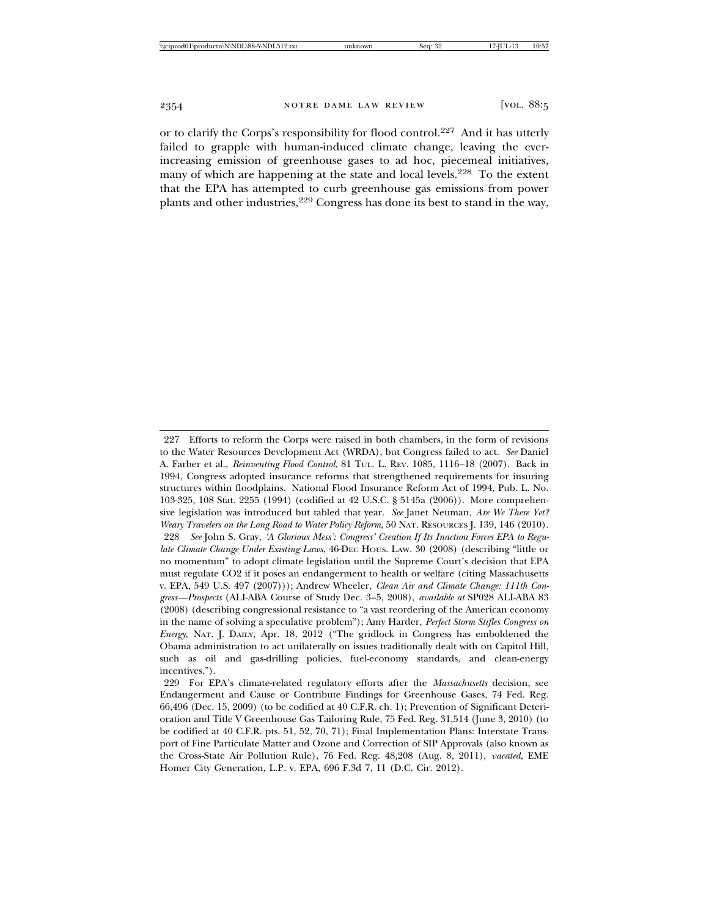or to clarify the Corps's responsibility for flood control.227 And it has utterly failed to grapple with human-induced climate change, leaving the everincreasing emission of greenhouse gases to ad hoc, piecemeal initiatives, many of which are happening at the state and local levels.<sup>228</sup> To the extent that the EPA has attempted to curb greenhouse gas emissions from power plants and other industries,<sup>229</sup> Congress has done its best to stand in the way,

<sup>227</sup> Efforts to reform the Corps were raised in both chambers, in the form of revisions to the Water Resources Development Act (WRDA), but Congress failed to act. *See* Daniel A. Farber et al., *Reinventing Flood Control*, 81 TUL. L. REV. 1085, 1116–18 (2007). Back in 1994, Congress adopted insurance reforms that strengthened requirements for insuring structures within floodplains. National Flood Insurance Reform Act of 1994, Pub. L. No. 103-325, 108 Stat. 2255 (1994) (codified at 42 U.S.C. § 5145a (2006)). More comprehensive legislation was introduced but tabled that year. *See* Janet Neuman, *Are We There Yet? Weary Travelers on the Long Road to Water Policy Reform*, 50 NAT. RESOURCES J. 139, 146 (2010). 228 *See* John S. Gray, *'A Glorious Mess': Congress' Creation If Its Inaction Forces EPA to Regulate Climate Change Under Existing Laws*, 46-DEC HOUS. LAW. 30 (2008) (describing "little or no momentum" to adopt climate legislation until the Supreme Court's decision that EPA must regulate CO2 if it poses an endangerment to health or welfare (citing Massachusetts v. EPA, 549 U.S. 497 (2007))); Andrew Wheeler, *Clean Air and Climate Change: 111th Congress—Prospects* (ALI-ABA Course of Study Dec. 3–5, 2008), *available at* SP028 ALI-ABA 83 (2008) (describing congressional resistance to "a vast reordering of the American economy in the name of solving a speculative problem"); Amy Harder, *Perfect Storm Stifles Congress on Energy*, NAT. J. DAILY, Apr. 18, 2012 ("The gridlock in Congress has emboldened the Obama administration to act unilaterally on issues traditionally dealt with on Capitol Hill, such as oil and gas-drilling policies, fuel-economy standards, and clean-energy incentives.").

<sup>229</sup> For EPA's climate-related regulatory efforts after the *Massachusetts* decision, see Endangerment and Cause or Contribute Findings for Greenhouse Gases, 74 Fed. Reg. 66,496 (Dec. 15, 2009) (to be codified at 40 C.F.R. ch. 1); Prevention of Significant Deterioration and Title V Greenhouse Gas Tailoring Rule, 75 Fed. Reg. 31,514 (June 3, 2010) (to be codified at 40 C.F.R. pts. 51, 52, 70, 71); Final Implementation Plans: Interstate Transport of Fine Particulate Matter and Ozone and Correction of SIP Approvals (also known as the Cross-State Air Pollution Rule), 76 Fed. Reg. 48,208 (Aug. 8, 2011), *vacated*, EME Homer City Generation, L.P. v. EPA, 696 F.3d 7, 11 (D.C. Cir. 2012).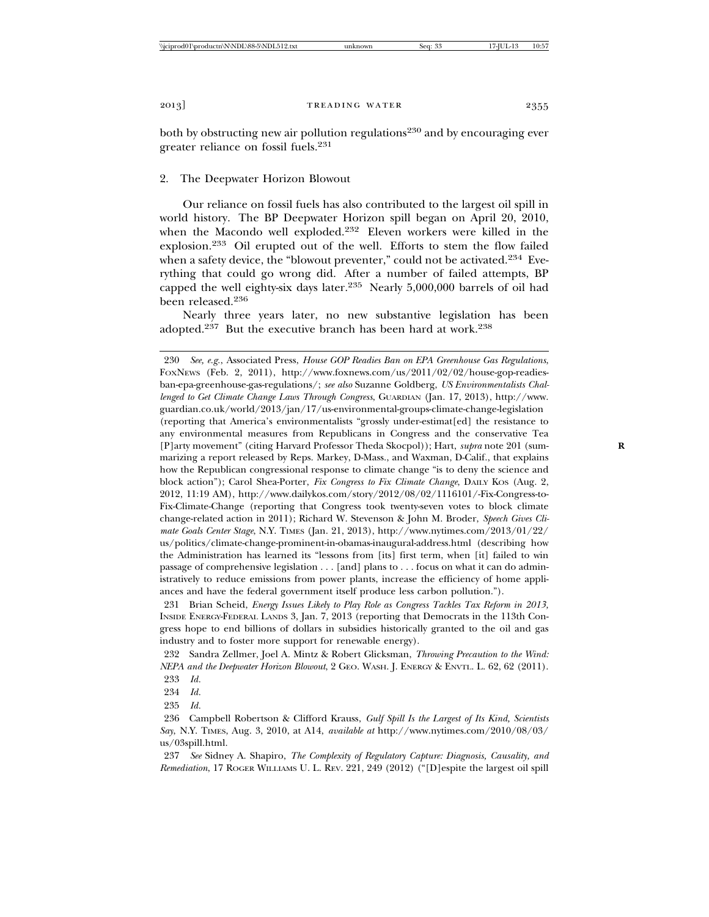both by obstructing new air pollution regulations<sup>230</sup> and by encouraging ever greater reliance on fossil fuels.231

### 2. The Deepwater Horizon Blowout

Our reliance on fossil fuels has also contributed to the largest oil spill in world history. The BP Deepwater Horizon spill began on April 20, 2010, when the Macondo well exploded.232 Eleven workers were killed in the explosion.233 Oil erupted out of the well. Efforts to stem the flow failed when a safety device, the "blowout preventer," could not be activated.<sup>234</sup> Everything that could go wrong did. After a number of failed attempts, BP capped the well eighty-six days later.<sup>235</sup> Nearly  $5,000,000$  barrels of oil had been released.236

Nearly three years later, no new substantive legislation has been adopted.<sup>237</sup> But the executive branch has been hard at work.<sup>238</sup>

234 *Id.*

235 *Id.*

<sup>230</sup> *See, e.g.*, Associated Press, *House GOP Readies Ban on EPA Greenhouse Gas Regulations*, FOXNEWS (Feb. 2, 2011), http://www.foxnews.com/us/2011/02/02/house-gop-readiesban-epa-greenhouse-gas-regulations/; *see also* Suzanne Goldberg, *US Environmentalists Challenged to Get Climate Change Laws Through Congress*, GUARDIAN (Jan. 17, 2013), http://www. guardian.co.uk/world/2013/jan/17/us-environmental-groups-climate-change-legislation (reporting that America's environmentalists "grossly under-estimat[ed] the resistance to any environmental measures from Republicans in Congress and the conservative Tea [P]arty movement" (citing Harvard Professor Theda Skocpol)); Hart, *supra* note 201 (sum- **R** marizing a report released by Reps. Markey, D-Mass., and Waxman, D-Calif., that explains how the Republican congressional response to climate change "is to deny the science and block action"); Carol Shea-Porter, *Fix Congress to Fix Climate Change*, DAILY Kos (Aug. 2, 2012, 11:19 AM), http://www.dailykos.com/story/2012/08/02/1116101/-Fix-Congress-to-Fix-Climate-Change (reporting that Congress took twenty-seven votes to block climate change-related action in 2011); Richard W. Stevenson & John M. Broder, *Speech Gives Climate Goals Center Stage*, N.Y. TIMES (Jan. 21, 2013), http://www.nytimes.com/2013/01/22/ us/politics/climate-change-prominent-in-obamas-inaugural-address.html (describing how the Administration has learned its "lessons from [its] first term, when [it] failed to win passage of comprehensive legislation . . . [and] plans to . . . focus on what it can do administratively to reduce emissions from power plants, increase the efficiency of home appliances and have the federal government itself produce less carbon pollution.").

<sup>231</sup> Brian Scheid, *Energy Issues Likely to Play Role as Congress Tackles Tax Reform in 2013,* INSIDE ENERGY-FEDERAL LANDS 3, Jan. 7, 2013 (reporting that Democrats in the 113th Congress hope to end billions of dollars in subsidies historically granted to the oil and gas industry and to foster more support for renewable energy).

<sup>232</sup> Sandra Zellmer, Joel A. Mintz & Robert Glicksman, *Throwing Precaution to the Wind: NEPA and the Deepwater Horizon Blowout*, 2 GEO. WASH. J. ENERGY & ENVTL. L. 62, 62 (2011). 233 *Id.*

<sup>236</sup> Campbell Robertson & Clifford Krauss, *Gulf Spill Is the Largest of Its Kind, Scientists Say*, N.Y. TIMES, Aug. 3, 2010, at A14, *available at* http://www.nytimes.com/2010/08/03/ us/03spill.html.

<sup>237</sup> *See* Sidney A. Shapiro, *The Complexity of Regulatory Capture: Diagnosis, Causality, and Remediation*, 17 ROGER WILLIAMS U. L. REV. 221, 249 (2012) ("[D]espite the largest oil spill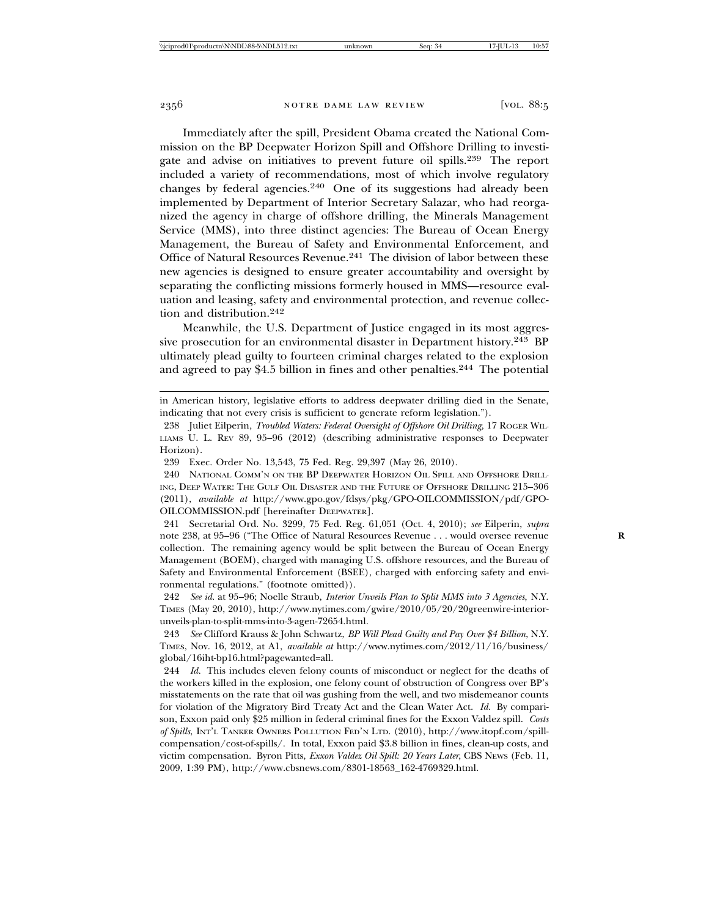Immediately after the spill, President Obama created the National Commission on the BP Deepwater Horizon Spill and Offshore Drilling to investigate and advise on initiatives to prevent future oil spills.<sup>239</sup> The report included a variety of recommendations, most of which involve regulatory changes by federal agencies. $240$  One of its suggestions had already been implemented by Department of Interior Secretary Salazar, who had reorganized the agency in charge of offshore drilling, the Minerals Management Service (MMS), into three distinct agencies: The Bureau of Ocean Energy Management, the Bureau of Safety and Environmental Enforcement, and Office of Natural Resources Revenue.<sup>241</sup> The division of labor between these new agencies is designed to ensure greater accountability and oversight by separating the conflicting missions formerly housed in MMS—resource evaluation and leasing, safety and environmental protection, and revenue collection and distribution.242

Meanwhile, the U.S. Department of Justice engaged in its most aggressive prosecution for an environmental disaster in Department history.<sup>243</sup> BP ultimately plead guilty to fourteen criminal charges related to the explosion and agreed to pay \$4.5 billion in fines and other penalties.<sup>244</sup> The potential

in American history, legislative efforts to address deepwater drilling died in the Senate, indicating that not every crisis is sufficient to generate reform legislation.").

239 Exec. Order No. 13,543, 75 Fed. Reg. 29,397 (May 26, 2010).

240 NATIONAL COMM'N ON THE BP DEEPWATER HORIZON OIL SPILL AND OFFSHORE DRILL-ING, DEEP WATER: THE GULF OIL DISASTER AND THE FUTURE OF OFFSHORE DRILLING 215–306 (2011), *available at* http://www.gpo.gov/fdsys/pkg/GPO-OILCOMMISSION/pdf/GPO-OILCOMMISSION.pdf [hereinafter DEEPWATER].

241 Secretarial Ord. No. 3299, 75 Fed. Reg. 61,051 (Oct. 4, 2010); *see* Eilperin, *supra* note 238, at 95–96 ("The Office of Natural Resources Revenue . . . would oversee revenue collection. The remaining agency would be split between the Bureau of Ocean Energy Management (BOEM), charged with managing U.S. offshore resources, and the Bureau of Safety and Environmental Enforcement (BSEE), charged with enforcing safety and environmental regulations." (footnote omitted)).

242 *See id.* at 95–96; Noelle Straub, *Interior Unveils Plan to Split MMS into 3 Agencies*, N.Y. TIMES (May 20, 2010), http://www.nytimes.com/gwire/2010/05/20/20greenwire-interiorunveils-plan-to-split-mms-into-3-agen-72654.html.

243 *See* Clifford Krauss & John Schwartz, *BP Will Plead Guilty and Pay Over \$4 Billion*, N.Y. TIMES, Nov. 16, 2012, at A1, *available at* http://www.nytimes.com/2012/11/16/business/ global/16iht-bp16.html?pagewanted=all.

244 *Id.* This includes eleven felony counts of misconduct or neglect for the deaths of the workers killed in the explosion, one felony count of obstruction of Congress over BP's misstatements on the rate that oil was gushing from the well, and two misdemeanor counts for violation of the Migratory Bird Treaty Act and the Clean Water Act. *Id.* By comparison, Exxon paid only \$25 million in federal criminal fines for the Exxon Valdez spill. *Costs of Spills*, INT'L TANKER OWNERS POLLUTION FED'N LTD. (2010), http://www.itopf.com/spillcompensation/cost-of-spills/. In total, Exxon paid \$3.8 billion in fines, clean-up costs, and victim compensation. Byron Pitts, *Exxon Valdez Oil Spill: 20 Years Later*, CBS NEWS (Feb. 11, 2009, 1:39 PM), http://www.cbsnews.com/8301-18563\_162-4769329.html.

<sup>238</sup> Juliet Eilperin, *Troubled Waters: Federal Oversight of Offshore Oil Drilling*, 17 ROGER WIL-LIAMS U. L. REV 89, 95–96 (2012) (describing administrative responses to Deepwater Horizon).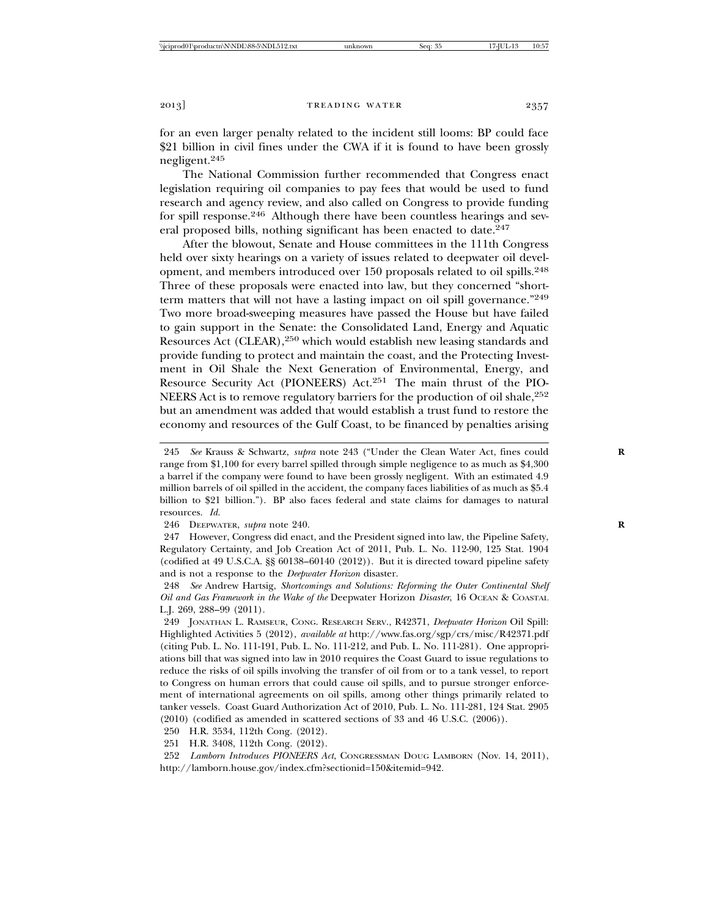for an even larger penalty related to the incident still looms: BP could face \$21 billion in civil fines under the CWA if it is found to have been grossly negligent.<sup>245</sup>

The National Commission further recommended that Congress enact legislation requiring oil companies to pay fees that would be used to fund research and agency review, and also called on Congress to provide funding for spill response.<sup>246</sup> Although there have been countless hearings and several proposed bills, nothing significant has been enacted to date.<sup>247</sup>

After the blowout, Senate and House committees in the 111th Congress held over sixty hearings on a variety of issues related to deepwater oil development, and members introduced over 150 proposals related to oil spills.248 Three of these proposals were enacted into law, but they concerned "shortterm matters that will not have a lasting impact on oil spill governance."<sup>249</sup> Two more broad-sweeping measures have passed the House but have failed to gain support in the Senate: the Consolidated Land, Energy and Aquatic Resources Act (CLEAR),<sup>250</sup> which would establish new leasing standards and provide funding to protect and maintain the coast, and the Protecting Investment in Oil Shale the Next Generation of Environmental, Energy, and Resource Security Act (PIONEERS) Act.<sup>251</sup> The main thrust of the PIO-NEERS Act is to remove regulatory barriers for the production of oil shale,  $252$ but an amendment was added that would establish a trust fund to restore the economy and resources of the Gulf Coast, to be financed by penalties arising

246 DEEPWATER, *supra* note 240. **R**

247 However, Congress did enact, and the President signed into law, the Pipeline Safety, Regulatory Certainty, and Job Creation Act of 2011, Pub. L. No. 112-90, 125 Stat. 1904 (codified at 49 U.S.C.A. §§ 60138–60140 (2012)). But it is directed toward pipeline safety and is not a response to the *Deepwater Horizon* disaster.

248 *See* Andrew Hartsig, *Shortcomings and Solutions: Reforming the Outer Continental Shelf Oil and Gas Framework in the Wake of the* Deepwater Horizon *Disaster*, 16 OCEAN & COASTAL L.J. 269, 288–99 (2011).

249 JONATHAN L. RAMSEUR, CONG. RESEARCH SERV., R42371, *Deepwater Horizon* Oil Spill: Highlighted Activities 5 (2012), *available at* http://www.fas.org/sgp/crs/misc/R42371.pdf (citing Pub. L. No. 111-191, Pub. L. No. 111-212, and Pub. L. No. 111-281). One appropriations bill that was signed into law in 2010 requires the Coast Guard to issue regulations to reduce the risks of oil spills involving the transfer of oil from or to a tank vessel, to report to Congress on human errors that could cause oil spills, and to pursue stronger enforcement of international agreements on oil spills, among other things primarily related to tanker vessels. Coast Guard Authorization Act of 2010, Pub. L. No. 111-281, 124 Stat. 2905 (2010) (codified as amended in scattered sections of 33 and 46 U.S.C. (2006)).

250 H.R. 3534, 112th Cong. (2012).

251 H.R. 3408, 112th Cong. (2012).

252 *Lamborn Introduces PIONEERS Act*, CONGRESSMAN DOUG LAMBORN (Nov. 14, 2011), http://lamborn.house.gov/index.cfm?sectionid=150&itemid=942.

<sup>245</sup> *See* Krauss & Schwartz, *supra* note 243 ("Under the Clean Water Act, fines could **R** range from \$1,100 for every barrel spilled through simple negligence to as much as \$4,300 a barrel if the company were found to have been grossly negligent. With an estimated 4.9 million barrels of oil spilled in the accident, the company faces liabilities of as much as \$5.4 billion to \$21 billion."). BP also faces federal and state claims for damages to natural resources. *Id.*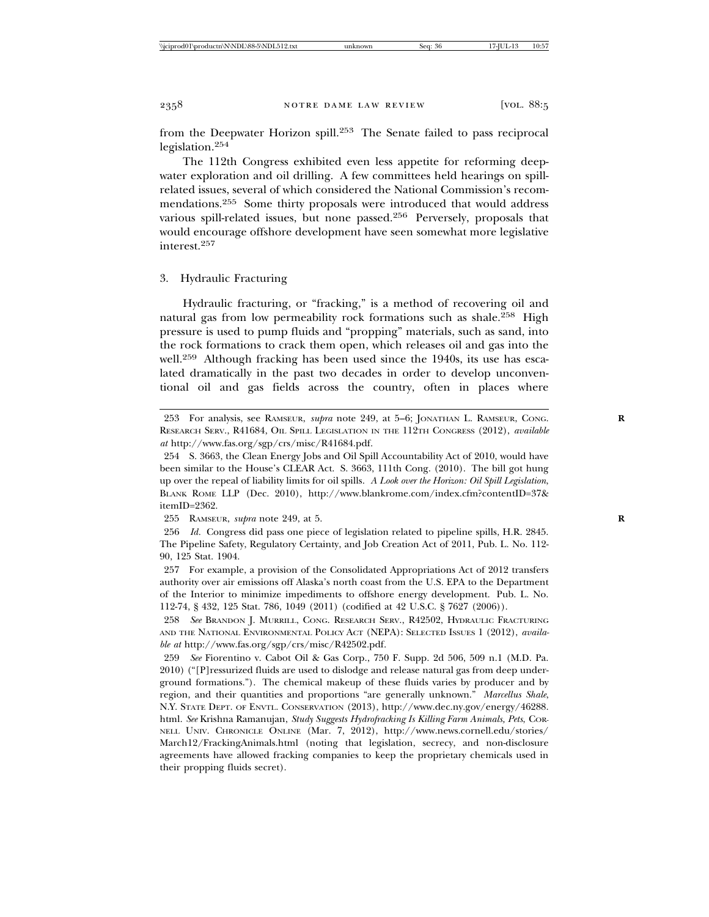from the Deepwater Horizon spill.253 The Senate failed to pass reciprocal legislation.<sup>254</sup>

The 112th Congress exhibited even less appetite for reforming deepwater exploration and oil drilling. A few committees held hearings on spillrelated issues, several of which considered the National Commission's recommendations.255 Some thirty proposals were introduced that would address various spill-related issues, but none passed.256 Perversely, proposals that would encourage offshore development have seen somewhat more legislative interest.<sup>257</sup>

#### 3. Hydraulic Fracturing

Hydraulic fracturing, or "fracking," is a method of recovering oil and natural gas from low permeability rock formations such as shale.<sup>258</sup> High pressure is used to pump fluids and "propping" materials, such as sand, into the rock formations to crack them open, which releases oil and gas into the well.<sup>259</sup> Although fracking has been used since the 1940s, its use has escalated dramatically in the past two decades in order to develop unconventional oil and gas fields across the country, often in places where

255 RAMSEUR, *supra* note 249, at 5. **R**

256 *Id.* Congress did pass one piece of legislation related to pipeline spills, H.R. 2845. The Pipeline Safety, Regulatory Certainty, and Job Creation Act of 2011, Pub. L. No. 112- 90, 125 Stat. 1904.

257 For example, a provision of the Consolidated Appropriations Act of 2012 transfers authority over air emissions off Alaska's north coast from the U.S. EPA to the Department of the Interior to minimize impediments to offshore energy development. Pub. L. No. 112-74, § 432, 125 Stat. 786, 1049 (2011) (codified at 42 U.S.C. § 7627 (2006)).

258 *See* BRANDON J. MURRILL, CONG. RESEARCH SERV., R42502, HYDRAULIC FRACTURING AND THE NATIONAL ENVIRONMENTAL POLICY ACT (NEPA): SELECTED ISSUES 1 (2012), *available at* http://www.fas.org/sgp/crs/misc/R42502.pdf.

259 *See* Fiorentino v. Cabot Oil & Gas Corp., 750 F. Supp. 2d 506, 509 n.1 (M.D. Pa. 2010) ("[P]ressurized fluids are used to dislodge and release natural gas from deep underground formations."). The chemical makeup of these fluids varies by producer and by region, and their quantities and proportions "are generally unknown." *Marcellus Shale*, N.Y. STATE DEPT. OF ENVTL. CONSERVATION (2013), http://www.dec.ny.gov/energy/46288. html. *See* Krishna Ramanujan, *Study Suggests Hydrofracking Is Killing Farm Animals, Pets*, COR-NELL UNIV. CHRONICLE ONLINE (Mar. 7, 2012), http://www.news.cornell.edu/stories/ March12/FrackingAnimals.html (noting that legislation, secrecy, and non-disclosure agreements have allowed fracking companies to keep the proprietary chemicals used in their propping fluids secret).

<sup>253</sup> For analysis, see RAMSEUR, *supra* note 249, at 5–6; JONATHAN L. RAMSEUR, CONG. **R** RESEARCH SERV., R41684, OIL SPILL LEGISLATION IN THE 112TH CONGRESS (2012), *available at* http://www.fas.org/sgp/crs/misc/R41684.pdf.

<sup>254</sup> S. 3663, the Clean Energy Jobs and Oil Spill Accountability Act of 2010, would have been similar to the House's CLEAR Act. S. 3663, 111th Cong. (2010). The bill got hung up over the repeal of liability limits for oil spills. *A Look over the Horizon: Oil Spill Legislation*, BLANK ROME LLP (Dec. 2010), http://www.blankrome.com/index.cfm?contentID=37& itemID=2362.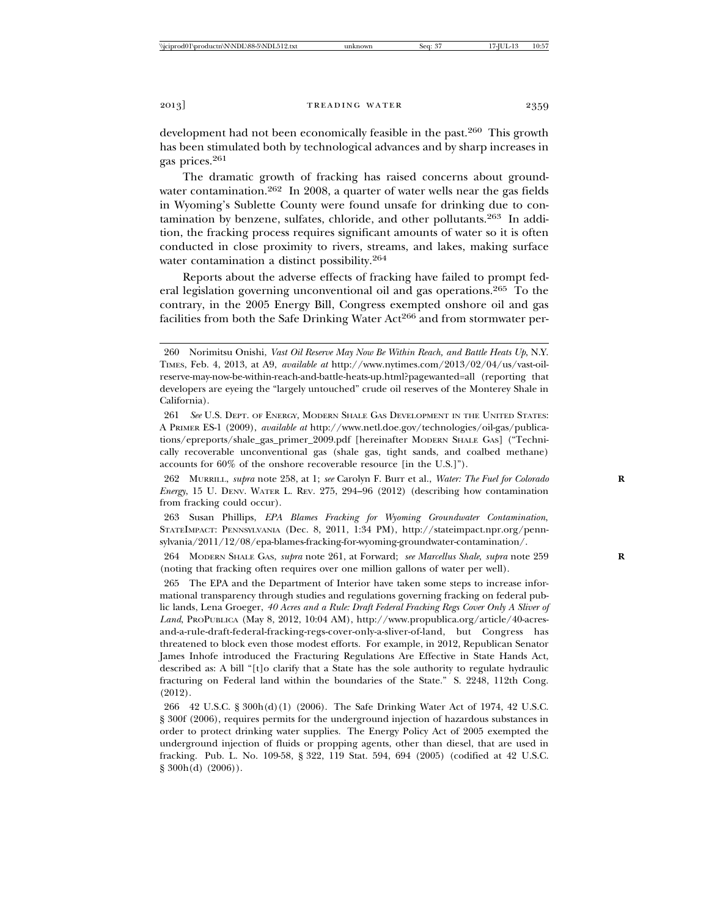development had not been economically feasible in the past.<sup>260</sup> This growth has been stimulated both by technological advances and by sharp increases in gas prices.261

The dramatic growth of fracking has raised concerns about groundwater contamination.<sup>262</sup> In 2008, a quarter of water wells near the gas fields in Wyoming's Sublette County were found unsafe for drinking due to contamination by benzene, sulfates, chloride, and other pollutants.<sup>263</sup> In addition, the fracking process requires significant amounts of water so it is often conducted in close proximity to rivers, streams, and lakes, making surface water contamination a distinct possibility.<sup>264</sup>

Reports about the adverse effects of fracking have failed to prompt federal legislation governing unconventional oil and gas operations.265 To the contrary, in the 2005 Energy Bill, Congress exempted onshore oil and gas facilities from both the Safe Drinking Water Act<sup>266</sup> and from stormwater per-

263 Susan Phillips, *EPA Blames Fracking for Wyoming Groundwater Contamination*, STATEIMPACT: PENNSYLVANIA (Dec. 8, 2011, 1:34 PM), http://stateimpact.npr.org/pennsylvania/2011/12/08/epa-blames-fracking-for-wyoming-groundwater-contamination/.

<sup>260</sup> Norimitsu Onishi, *Vast Oil Reserve May Now Be Within Reach, and Battle Heats Up*, N.Y. TIMES, Feb. 4, 2013, at A9, *available at* http://www.nytimes.com/2013/02/04/us/vast-oilreserve-may-now-be-within-reach-and-battle-heats-up.html?pagewanted=all (reporting that developers are eyeing the "largely untouched" crude oil reserves of the Monterey Shale in California).

<sup>261</sup> *See* U.S. DEPT. OF ENERGY, MODERN SHALE GAS DEVELOPMENT IN THE UNITED STATES: A PRIMER ES-1 (2009), *available at* http://www.netl.doe.gov/technologies/oil-gas/publications/epreports/shale\_gas\_primer\_2009.pdf [hereinafter MODERN SHALE GAS] ("Technically recoverable unconventional gas (shale gas, tight sands, and coalbed methane) accounts for 60% of the onshore recoverable resource [in the U.S.]").

<sup>262</sup> MURRILL, *supra* note 258, at 1; *see* Carolyn F. Burr et al., *Water: The Fuel for Colorado* **R** *Energy*, 15 U. DENV. WATER L. REV. 275, 294–96 (2012) (describing how contamination from fracking could occur).

<sup>264</sup> MODERN SHALE GAS, *supra* note 261, at Forward; *see Marcellus Shale*, *supra* note 259 **R** (noting that fracking often requires over one million gallons of water per well).

<sup>265</sup> The EPA and the Department of Interior have taken some steps to increase informational transparency through studies and regulations governing fracking on federal public lands, Lena Groeger, *40 Acres and a Rule: Draft Federal Fracking Regs Cover Only A Sliver of Land*, PROPUBLICA (May 8, 2012, 10:04 AM), http://www.propublica.org/article/40-acresand-a-rule-draft-federal-fracking-regs-cover-only-a-sliver-of-land, but Congress has threatened to block even those modest efforts. For example, in 2012, Republican Senator James Inhofe introduced the Fracturing Regulations Are Effective in State Hands Act, described as: A bill "[t]o clarify that a State has the sole authority to regulate hydraulic fracturing on Federal land within the boundaries of the State." S. 2248, 112th Cong. (2012).

<sup>266 42</sup> U.S.C. § 300h(d)(1) (2006). The Safe Drinking Water Act of 1974, 42 U.S.C. § 300f (2006), requires permits for the underground injection of hazardous substances in order to protect drinking water supplies. The Energy Policy Act of 2005 exempted the underground injection of fluids or propping agents, other than diesel, that are used in fracking. Pub. L. No. 109-58, § 322, 119 Stat. 594, 694 (2005) (codified at 42 U.S.C.  $§ 300h(d) (2006)$ .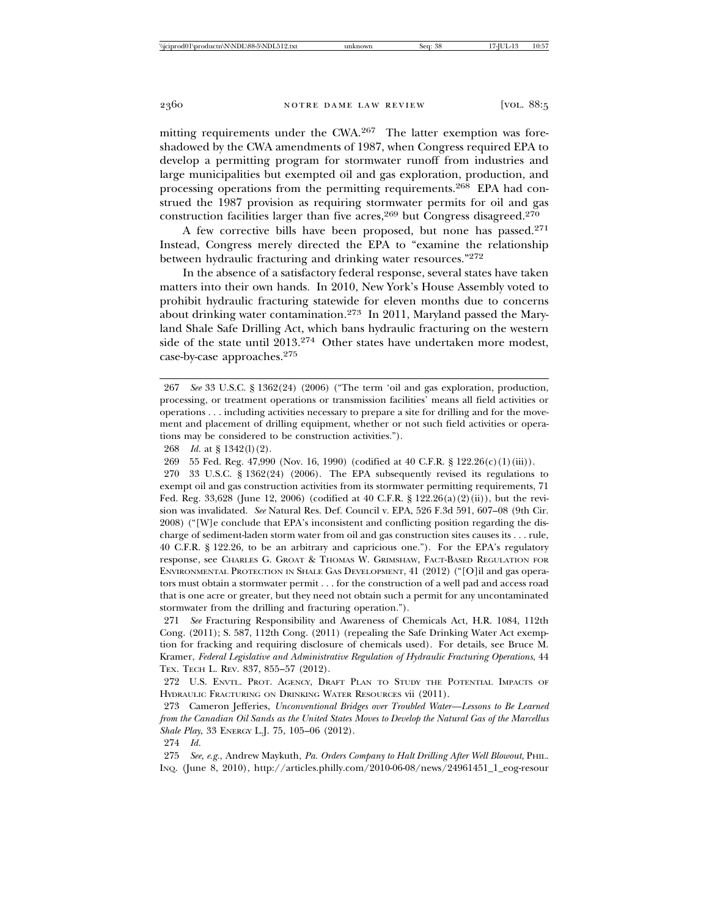mitting requirements under the CWA.<sup>267</sup> The latter exemption was foreshadowed by the CWA amendments of 1987, when Congress required EPA to develop a permitting program for stormwater runoff from industries and large municipalities but exempted oil and gas exploration, production, and processing operations from the permitting requirements.<sup>268</sup> EPA had construed the 1987 provision as requiring stormwater permits for oil and gas construction facilities larger than five acres,  $269$  but Congress disagreed.  $270$ 

A few corrective bills have been proposed, but none has passed.271 Instead, Congress merely directed the EPA to "examine the relationship between hydraulic fracturing and drinking water resources."272

In the absence of a satisfactory federal response, several states have taken matters into their own hands. In 2010, New York's House Assembly voted to prohibit hydraulic fracturing statewide for eleven months due to concerns about drinking water contamination.<sup>273</sup> In 2011, Maryland passed the Maryland Shale Safe Drilling Act, which bans hydraulic fracturing on the western side of the state until 2013.<sup>274</sup> Other states have undertaken more modest, case-by-case approaches.275

270 33 U.S.C. § 1362(24) (2006). The EPA subsequently revised its regulations to exempt oil and gas construction activities from its stormwater permitting requirements, 71 Fed. Reg. 33,628 (June 12, 2006) (codified at 40 C.F.R. § 122.26(a)(2)(ii)), but the revision was invalidated. *See* Natural Res. Def. Council v. EPA, 526 F.3d 591, 607–08 (9th Cir. 2008) ("[W]e conclude that EPA's inconsistent and conflicting position regarding the discharge of sediment-laden storm water from oil and gas construction sites causes its . . . rule, 40 C.F.R. § 122.26, to be an arbitrary and capricious one."). For the EPA's regulatory response, see CHARLES G. GROAT & THOMAS W. GRIMSHAW, FACT-BASED REGULATION FOR ENVIRONMENTAL PROTECTION IN SHALE GAS DEVELOPMENT, 41 (2012) ("[O]il and gas operators must obtain a stormwater permit . . . for the construction of a well pad and access road that is one acre or greater, but they need not obtain such a permit for any uncontaminated stormwater from the drilling and fracturing operation.").

271 *See* Fracturing Responsibility and Awareness of Chemicals Act, H.R. 1084, 112th Cong. (2011); S. 587, 112th Cong. (2011) (repealing the Safe Drinking Water Act exemption for fracking and requiring disclosure of chemicals used). For details, see Bruce M. Kramer, *Federal Legislative and Administrative Regulation of Hydraulic Fracturing Operations*, 44 TEX. TECH L. REV. 837, 855–57 (2012).

272 U.S. ENVTL. PROT. AGENCY, DRAFT PLAN TO STUDY THE POTENTIAL IMPACTS OF HYDRAULIC FRACTURING ON DRINKING WATER RESOURCES vii (2011).

273 Cameron Jefferies, *Unconventional Bridges over Troubled Water—Lessons to Be Learned from the Canadian Oil Sands as the United States Moves to Develop the Natural Gas of the Marcellus Shale Play*, 33 ENERGY L.J. 75, 105–06 (2012).

274 *Id.*

275 *See, e.g.*, Andrew Maykuth, *Pa. Orders Company to Halt Drilling After Well Blowout*, PHIL. INQ. (June 8, 2010), http://articles.philly.com/2010-06-08/news/24961451\_1\_eog-resour

<sup>267</sup> *See* 33 U.S.C. § 1362(24) (2006) ("The term 'oil and gas exploration, production, processing, or treatment operations or transmission facilities' means all field activities or operations . . . including activities necessary to prepare a site for drilling and for the movement and placement of drilling equipment, whether or not such field activities or operations may be considered to be construction activities.").

<sup>268</sup> *Id.* at § 1342(l)(2).

<sup>269 55</sup> Fed. Reg. 47,990 (Nov. 16, 1990) (codified at 40 C.F.R. § 122.26(c)(1)(iii)).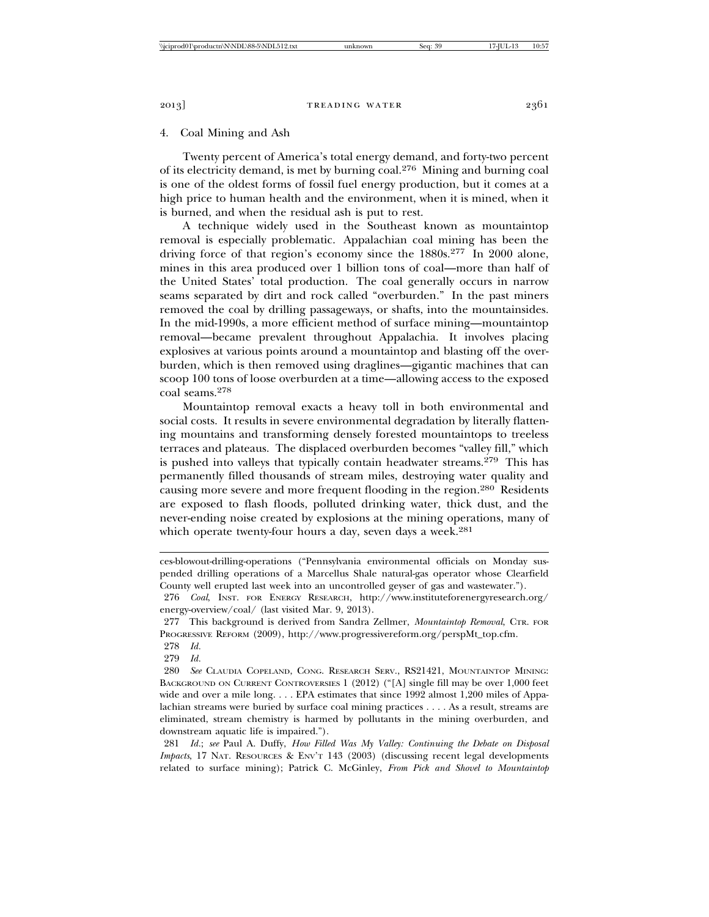## 4. Coal Mining and Ash

Twenty percent of America's total energy demand, and forty-two percent of its electricity demand, is met by burning coal.276 Mining and burning coal is one of the oldest forms of fossil fuel energy production, but it comes at a high price to human health and the environment, when it is mined, when it is burned, and when the residual ash is put to rest.

A technique widely used in the Southeast known as mountaintop removal is especially problematic. Appalachian coal mining has been the driving force of that region's economy since the 1880s.<sup>277</sup> In 2000 alone, mines in this area produced over 1 billion tons of coal—more than half of the United States' total production. The coal generally occurs in narrow seams separated by dirt and rock called "overburden." In the past miners removed the coal by drilling passageways, or shafts, into the mountainsides. In the mid-1990s, a more efficient method of surface mining—mountaintop removal—became prevalent throughout Appalachia. It involves placing explosives at various points around a mountaintop and blasting off the overburden, which is then removed using draglines—gigantic machines that can scoop 100 tons of loose overburden at a time—allowing access to the exposed coal seams.278

Mountaintop removal exacts a heavy toll in both environmental and social costs. It results in severe environmental degradation by literally flattening mountains and transforming densely forested mountaintops to treeless terraces and plateaus. The displaced overburden becomes "valley fill," which is pushed into valleys that typically contain headwater streams.<sup>279</sup> This has permanently filled thousands of stream miles, destroying water quality and causing more severe and more frequent flooding in the region.<sup>280</sup> Residents are exposed to flash floods, polluted drinking water, thick dust, and the never-ending noise created by explosions at the mining operations, many of which operate twenty-four hours a day, seven days a week.<sup>281</sup>

ces-blowout-drilling-operations ("Pennsylvania environmental officials on Monday suspended drilling operations of a Marcellus Shale natural-gas operator whose Clearfield County well erupted last week into an uncontrolled geyser of gas and wastewater.").

<sup>276</sup> *Coal*, INST. FOR ENERGY RESEARCH, http://www.instituteforenergyresearch.org/ energy-overview/coal/ (last visited Mar. 9, 2013).

<sup>277</sup> This background is derived from Sandra Zellmer, *Mountaintop Removal*, CTR. FOR PROGRESSIVE REFORM (2009), http://www.progressivereform.org/perspMt\_top.cfm.

<sup>278</sup> *Id.*

<sup>279</sup> *Id.*

<sup>280</sup> *See* CLAUDIA COPELAND, CONG. RESEARCH SERV., RS21421, MOUNTAINTOP MINING: BACKGROUND ON CURRENT CONTROVERSIES 1 (2012) ("[A] single fill may be over 1,000 feet wide and over a mile long. . . . EPA estimates that since 1992 almost 1,200 miles of Appalachian streams were buried by surface coal mining practices . . . . As a result, streams are eliminated, stream chemistry is harmed by pollutants in the mining overburden, and downstream aquatic life is impaired.").

<sup>281</sup> *Id.*; *see* Paul A. Duffy, *How Filled Was My Valley: Continuing the Debate on Disposal Impacts*, 17 NAT. RESOURCES & ENV'T 143 (2003) (discussing recent legal developments related to surface mining); Patrick C. McGinley, *From Pick and Shovel to Mountaintop*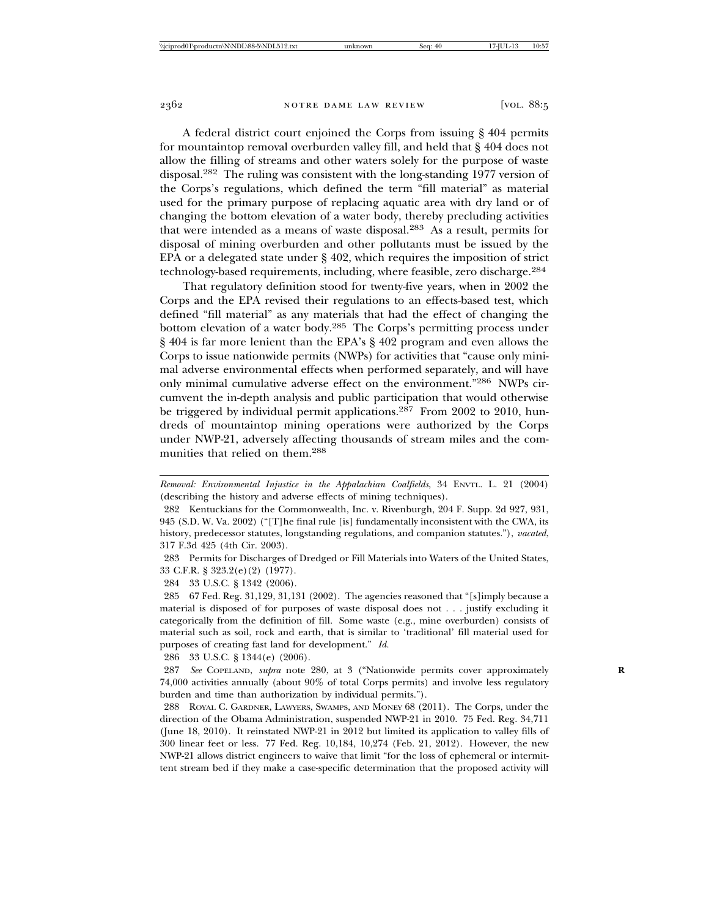A federal district court enjoined the Corps from issuing § 404 permits for mountaintop removal overburden valley fill, and held that § 404 does not allow the filling of streams and other waters solely for the purpose of waste disposal.282 The ruling was consistent with the long-standing 1977 version of the Corps's regulations, which defined the term "fill material" as material used for the primary purpose of replacing aquatic area with dry land or of changing the bottom elevation of a water body, thereby precluding activities that were intended as a means of waste disposal.283 As a result, permits for disposal of mining overburden and other pollutants must be issued by the EPA or a delegated state under § 402, which requires the imposition of strict technology-based requirements, including, where feasible, zero discharge.284

That regulatory definition stood for twenty-five years, when in 2002 the Corps and the EPA revised their regulations to an effects-based test, which defined "fill material" as any materials that had the effect of changing the bottom elevation of a water body.<sup>285</sup> The Corps's permitting process under § 404 is far more lenient than the EPA's § 402 program and even allows the Corps to issue nationwide permits (NWPs) for activities that "cause only minimal adverse environmental effects when performed separately, and will have only minimal cumulative adverse effect on the environment."286 NWPs circumvent the in-depth analysis and public participation that would otherwise be triggered by individual permit applications.<sup>287</sup> From 2002 to 2010, hundreds of mountaintop mining operations were authorized by the Corps under NWP-21, adversely affecting thousands of stream miles and the communities that relied on them.288

283 Permits for Discharges of Dredged or Fill Materials into Waters of the United States, 33 C.F.R. § 323.2(e)(2) (1977).

284 33 U.S.C. § 1342 (2006).

286 33 U.S.C. § 1344(e) (2006).

287 *See* COPELAND, *supra* note 280, at 3 ("Nationwide permits cover approximately **R** 74,000 activities annually (about 90% of total Corps permits) and involve less regulatory burden and time than authorization by individual permits.").

288 ROYAL C. GARDNER, LAWYERS, SWAMPS, AND MONEY 68 (2011). The Corps, under the direction of the Obama Administration, suspended NWP-21 in 2010. 75 Fed. Reg. 34,711 (June 18, 2010). It reinstated NWP-21 in 2012 but limited its application to valley fills of 300 linear feet or less. 77 Fed. Reg. 10,184, 10,274 (Feb. 21, 2012). However, the new NWP-21 allows district engineers to waive that limit "for the loss of ephemeral or intermittent stream bed if they make a case-specific determination that the proposed activity will

*Removal: Environmental Injustice in the Appalachian Coalfields*, 34 ENVTL. L. 21 (2004) (describing the history and adverse effects of mining techniques).

<sup>282</sup> Kentuckians for the Commonwealth, Inc. v. Rivenburgh, 204 F. Supp. 2d 927, 931, 945 (S.D. W. Va. 2002) ("[T]he final rule [is] fundamentally inconsistent with the CWA, its history, predecessor statutes, longstanding regulations, and companion statutes."), *vacated*, 317 F.3d 425 (4th Cir. 2003).

<sup>285 67</sup> Fed. Reg. 31,129, 31,131 (2002). The agencies reasoned that "[s]imply because a material is disposed of for purposes of waste disposal does not . . . justify excluding it categorically from the definition of fill. Some waste (e.g., mine overburden) consists of material such as soil, rock and earth, that is similar to 'traditional' fill material used for purposes of creating fast land for development." *Id.*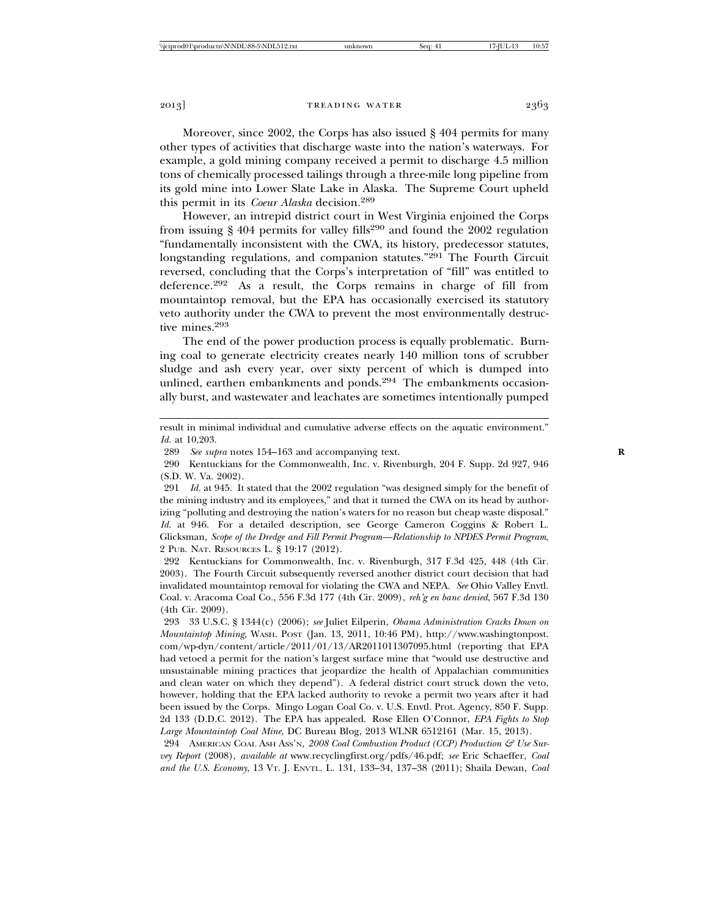Moreover, since 2002, the Corps has also issued § 404 permits for many other types of activities that discharge waste into the nation's waterways. For example, a gold mining company received a permit to discharge 4.5 million tons of chemically processed tailings through a three-mile long pipeline from its gold mine into Lower Slate Lake in Alaska. The Supreme Court upheld this permit in its *Coeur Alaska* decision.<sup>289</sup>

However, an intrepid district court in West Virginia enjoined the Corps from issuing  $\S$  404 permits for valley fills<sup>290</sup> and found the 2002 regulation "fundamentally inconsistent with the CWA, its history, predecessor statutes, longstanding regulations, and companion statutes."<sup>291</sup> The Fourth Circuit reversed, concluding that the Corps's interpretation of "fill" was entitled to deference.292 As a result, the Corps remains in charge of fill from mountaintop removal, but the EPA has occasionally exercised its statutory veto authority under the CWA to prevent the most environmentally destructive mines.293

The end of the power production process is equally problematic. Burning coal to generate electricity creates nearly 140 million tons of scrubber sludge and ash every year, over sixty percent of which is dumped into unlined, earthen embankments and ponds.<sup>294</sup> The embankments occasionally burst, and wastewater and leachates are sometimes intentionally pumped

292 Kentuckians for Commonwealth, Inc. v. Rivenburgh, 317 F.3d 425, 448 (4th Cir. 2003). The Fourth Circuit subsequently reversed another district court decision that had invalidated mountaintop removal for violating the CWA and NEPA. *See* Ohio Valley Envtl. Coal. v. Aracoma Coal Co., 556 F.3d 177 (4th Cir. 2009), *reh'g en banc denied*, 567 F.3d 130 (4th Cir. 2009).

293 33 U.S.C. § 1344(c) (2006); *see* Juliet Eilperin, *Obama Administration Cracks Down on Mountaintop Mining*, WASH. POST (Jan. 13, 2011, 10:46 PM), http://www.washingtonpost. com/wp-dyn/content/article/2011/01/13/AR2011011307095.html (reporting that EPA had vetoed a permit for the nation's largest surface mine that "would use destructive and unsustainable mining practices that jeopardize the health of Appalachian communities and clean water on which they depend"). A federal district court struck down the veto, however, holding that the EPA lacked authority to revoke a permit two years after it had been issued by the Corps. Mingo Logan Coal Co. v. U.S. Envtl. Prot. Agency, 850 F. Supp. 2d 133 (D.D.C. 2012). The EPA has appealed. Rose Ellen O'Connor, *EPA Fights to Stop Large Mountaintop Coal Mine,* DC Bureau Blog, 2013 WLNR 6512161 (Mar. 15, 2013).

294 AMERICAN COAL ASH Ass'N, 2008 Coal Combustion Product (CCP) Production & Use Sur*vey Report* (2008), *available at* www.recyclingfirst.org/pdfs/46.pdf; *see* Eric Schaeffer, *Coal and the U.S. Economy*, 13 VT. J. ENVTL. L. 131, 133–34, 137–38 (2011); Shaila Dewan, *Coal*

result in minimal individual and cumulative adverse effects on the aquatic environment." *Id.* at 10,203.

<sup>289</sup> *See supra* notes 154–163 and accompanying text. **R**

<sup>290</sup> Kentuckians for the Commonwealth, Inc. v. Rivenburgh, 204 F. Supp. 2d 927, 946 (S.D. W. Va. 2002).

<sup>291</sup> *Id.* at 945. It stated that the 2002 regulation "was designed simply for the benefit of the mining industry and its employees," and that it turned the CWA on its head by authorizing "polluting and destroying the nation's waters for no reason but cheap waste disposal." *Id.* at 946. For a detailed description, see George Cameron Coggins & Robert L. Glicksman, *Scope of the Dredge and Fill Permit Program—Relationship to NPDES Permit Program*, 2 PUB. NAT. RESOURCES L. § 19:17 (2012).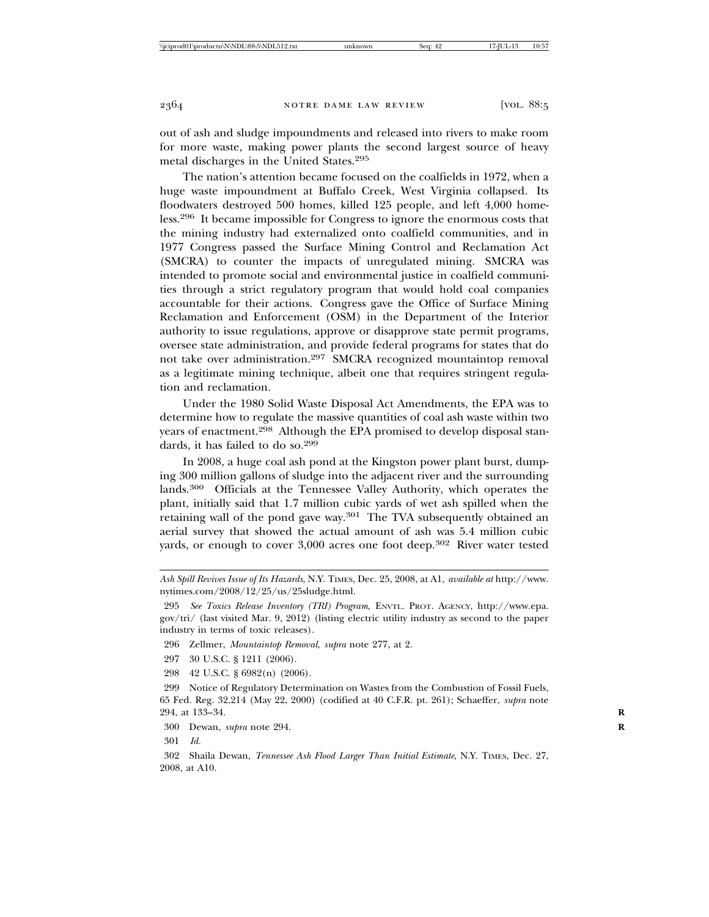out of ash and sludge impoundments and released into rivers to make room for more waste, making power plants the second largest source of heavy metal discharges in the United States.295

The nation's attention became focused on the coalfields in 1972, when a huge waste impoundment at Buffalo Creek, West Virginia collapsed. Its floodwaters destroyed 500 homes, killed 125 people, and left 4,000 homeless.296 It became impossible for Congress to ignore the enormous costs that the mining industry had externalized onto coalfield communities, and in 1977 Congress passed the Surface Mining Control and Reclamation Act (SMCRA) to counter the impacts of unregulated mining. SMCRA was intended to promote social and environmental justice in coalfield communities through a strict regulatory program that would hold coal companies accountable for their actions. Congress gave the Office of Surface Mining Reclamation and Enforcement (OSM) in the Department of the Interior authority to issue regulations, approve or disapprove state permit programs, oversee state administration, and provide federal programs for states that do not take over administration.<sup>297</sup> SMCRA recognized mountaintop removal as a legitimate mining technique, albeit one that requires stringent regulation and reclamation.

Under the 1980 Solid Waste Disposal Act Amendments, the EPA was to determine how to regulate the massive quantities of coal ash waste within two years of enactment.<sup>298</sup> Although the EPA promised to develop disposal standards, it has failed to do so.299

In 2008, a huge coal ash pond at the Kingston power plant burst, dumping 300 million gallons of sludge into the adjacent river and the surrounding lands.300 Officials at the Tennessee Valley Authority, which operates the plant, initially said that 1.7 million cubic yards of wet ash spilled when the retaining wall of the pond gave way. $301$  The TVA subsequently obtained an aerial survey that showed the actual amount of ash was 5.4 million cubic yards, or enough to cover 3,000 acres one foot deep.<sup>302</sup> River water tested

- 296 Zellmer, *Mountaintop Removal*, *supra* note 277, at 2.
- 297 30 U.S.C. § 1211 (2006).
- 298 42 U.S.C. § 6982(n) (2006).

299 Notice of Regulatory Determination on Wastes from the Combustion of Fossil Fuels, 65 Fed. Reg. 32,214 (May 22, 2000) (codified at 40 C.F.R. pt. 261); Schaeffer, *supra* note 294, at 133–34. **R**

300 Dewan, *supra* note 294. **R**

301 *Id.*

*Ash Spill Revives Issue of Its Hazards*, N.Y. TIMES, Dec. 25, 2008, at A1, *available at* http://www. nytimes.com/2008/12/25/us/25sludge.html.

<sup>295</sup> *See Toxics Release Inventory (TRI) Program*, ENVTL. PROT. AGENCY, http://www.epa. gov/tri/ (last visited Mar. 9, 2012) (listing electric utility industry as second to the paper industry in terms of toxic releases).

<sup>302</sup> Shaila Dewan, *Tennessee Ash Flood Larger Than Initial Estimate*, N.Y. TIMES, Dec. 27, 2008, at A10.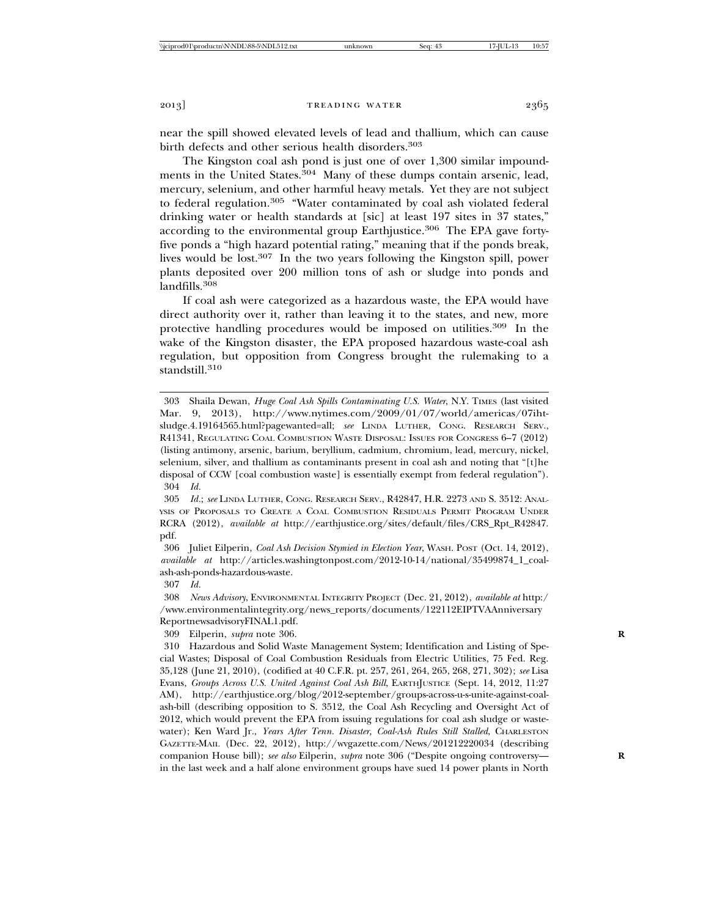near the spill showed elevated levels of lead and thallium, which can cause birth defects and other serious health disorders.<sup>303</sup>

The Kingston coal ash pond is just one of over 1,300 similar impoundments in the United States.<sup>304</sup> Many of these dumps contain arsenic, lead, mercury, selenium, and other harmful heavy metals. Yet they are not subject to federal regulation.<sup>305</sup> "Water contaminated by coal ash violated federal drinking water or health standards at [sic] at least 197 sites in 37 states," according to the environmental group Earthjustice.<sup>306</sup> The EPA gave fortyfive ponds a "high hazard potential rating," meaning that if the ponds break, lives would be lost.307 In the two years following the Kingston spill, power plants deposited over 200 million tons of ash or sludge into ponds and landfills.<sup>308</sup>

If coal ash were categorized as a hazardous waste, the EPA would have direct authority over it, rather than leaving it to the states, and new, more protective handling procedures would be imposed on utilities.309 In the wake of the Kingston disaster, the EPA proposed hazardous waste-coal ash regulation, but opposition from Congress brought the rulemaking to a standstill.<sup>310</sup>

307 *Id.*

308 *News Advisory*, ENVIRONMENTAL INTEGRITY PROJECT (Dec. 21, 2012), *available at* http:/ /www.environmentalintegrity.org/news\_reports/documents/122112EIPTVAAnniversary ReportnewsadvisoryFINAL1.pdf.

309 Eilperin, *supra* note 306. **R**

<sup>303</sup> Shaila Dewan, *Huge Coal Ash Spills Contaminating U.S. Water*, N.Y. TIMES (last visited Mar. 9, 2013), http://www.nytimes.com/2009/01/07/world/americas/07ihtsludge.4.19164565.html?pagewanted=all; *see* LINDA LUTHER, CONG. RESEARCH SERV., R41341, REGULATING COAL COMBUSTION WASTE DISPOSAL: ISSUES FOR CONGRESS 6–7 (2012) (listing antimony, arsenic, barium, beryllium, cadmium, chromium, lead, mercury, nickel, selenium, silver, and thallium as contaminants present in coal ash and noting that "[t]he disposal of CCW [coal combustion waste] is essentially exempt from federal regulation"). 304 *Id.*

<sup>305</sup> *Id.*; *see* LINDA LUTHER, CONG. RESEARCH SERV., R42847, H.R. 2273 AND S. 3512: ANAL-YSIS OF PROPOSALS TO CREATE A COAL COMBUSTION RESIDUALS PERMIT PROGRAM UNDER RCRA (2012), *available at* http://earthjustice.org/sites/default/files/CRS\_Rpt\_R42847. pdf.

<sup>306</sup> Juliet Eilperin, *Coal Ash Decision Stymied in Election Year*, WASH. POST (Oct. 14, 2012), *available at* http://articles.washingtonpost.com/2012-10-14/national/35499874\_1\_coalash-ash-ponds-hazardous-waste.

<sup>310</sup> Hazardous and Solid Waste Management System; Identification and Listing of Special Wastes; Disposal of Coal Combustion Residuals from Electric Utilities, 75 Fed. Reg. 35,128 (June 21, 2010), (codified at 40 C.F.R. pt. 257, 261, 264, 265, 268, 271, 302); *see* Lisa Evans, *Groups Across U.S. United Against Coal Ash Bill*, EARTHJUSTICE (Sept. 14, 2012, 11:27 AM), http://earthjustice.org/blog/2012-september/groups-across-u-s-unite-against-coalash-bill (describing opposition to S. 3512, the Coal Ash Recycling and Oversight Act of 2012, which would prevent the EPA from issuing regulations for coal ash sludge or wastewater); Ken Ward Jr., *Years After Tenn. Disaster, Coal-Ash Rules Still Stalled*, CHARLESTON GAZETTE-MAIL (Dec. 22, 2012), http://wvgazette.com/News/201212220034 (describing companion House bill); *see also* Eilperin, *supra* note 306 ("Despite ongoing controversy— **R** in the last week and a half alone environment groups have sued 14 power plants in North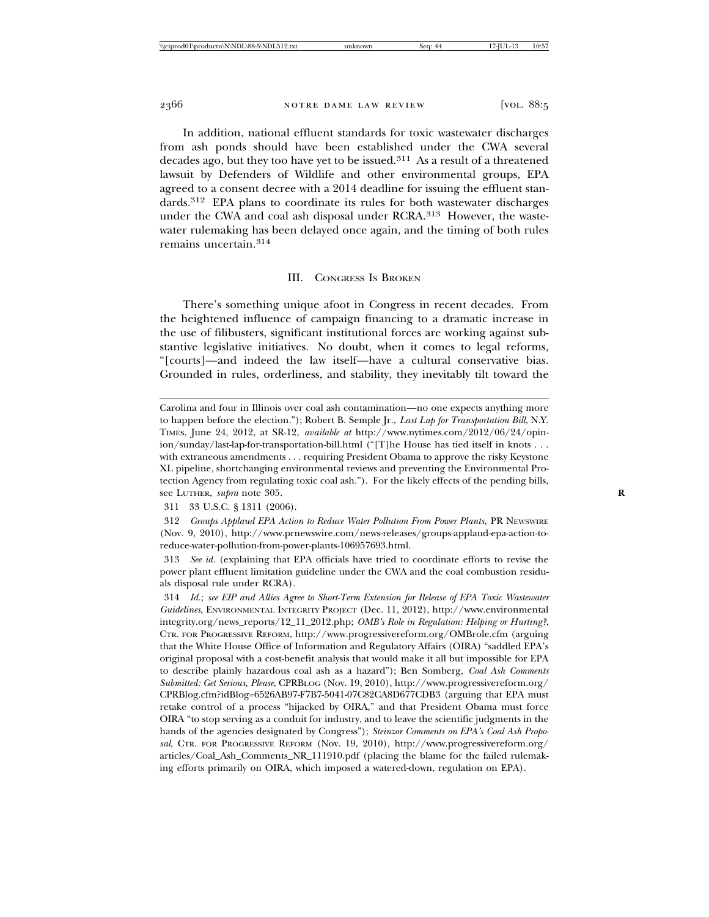In addition, national effluent standards for toxic wastewater discharges from ash ponds should have been established under the CWA several decades ago, but they too have yet to be issued.311 As a result of a threatened lawsuit by Defenders of Wildlife and other environmental groups, EPA agreed to a consent decree with a 2014 deadline for issuing the effluent standards.312 EPA plans to coordinate its rules for both wastewater discharges under the CWA and coal ash disposal under RCRA.<sup>313</sup> However, the wastewater rulemaking has been delayed once again, and the timing of both rules remains uncertain.314

#### III. CONGRESS IS BROKEN

There's something unique afoot in Congress in recent decades. From the heightened influence of campaign financing to a dramatic increase in the use of filibusters, significant institutional forces are working against substantive legislative initiatives. No doubt, when it comes to legal reforms, "[courts]—and indeed the law itself—have a cultural conservative bias. Grounded in rules, orderliness, and stability, they inevitably tilt toward the

Carolina and four in Illinois over coal ash contamination—no one expects anything more to happen before the election."); Robert B. Semple Jr., *Last Lap for Transportation Bill*, N.Y. TIMES, June 24, 2012, at SR-12, *available at* http://www.nytimes.com/2012/06/24/opinion/sunday/last-lap-for-transportation-bill.html ("[T]he House has tied itself in knots . . . with extraneous amendments . . . requiring President Obama to approve the risky Keystone XL pipeline, shortchanging environmental reviews and preventing the Environmental Protection Agency from regulating toxic coal ash."). For the likely effects of the pending bills, see LUTHER, *supra* note 305. **R**

311 33 U.S.C. § 1311 (2006).

312 *Groups Applaud EPA Action to Reduce Water Pollution From Power Plants*, PR NEWSWIRE (Nov. 9, 2010), http://www.prnewswire.com/news-releases/groups-applaud-epa-action-toreduce-water-pollution-from-power-plants-106957693.html.

313 *See id.* (explaining that EPA officials have tried to coordinate efforts to revise the power plant effluent limitation guideline under the CWA and the coal combustion residuals disposal rule under RCRA).

314 *Id.*; *see EIP and Allies Agree to Short-Term Extension for Release of EPA Toxic Wastewater Guidelines*, ENVIRONMENTAL INTEGRITY PROJECT (Dec. 11, 2012), http://www.environmental integrity.org/news\_reports/12\_11\_2012.php; *OMB's Role in Regulation: Helping or Hurting?*, CTR. FOR PROGRESSIVE REFORM, http://www.progressivereform.org/OMBrole.cfm (arguing that the White House Office of Information and Regulatory Affairs (OIRA) "saddled EPA's original proposal with a cost-benefit analysis that would make it all but impossible for EPA to describe plainly hazardous coal ash as a hazard"); Ben Somberg, *Coal Ash Comments Submitted: Get Serious, Please*, CPRBLOG (Nov. 19, 2010), http://www.progressivereform.org/ CPRBlog.cfm?idBlog=6526AB97-F7B7-5041-07C82CA8D677CDB3 (arguing that EPA must retake control of a process "hijacked by OIRA," and that President Obama must force OIRA "to stop serving as a conduit for industry, and to leave the scientific judgments in the hands of the agencies designated by Congress"); *Steinzor Comments on EPA's Coal Ash Proposal*, CTR. FOR PROGRESSIVE REFORM (Nov. 19, 2010), http://www.progressivereform.org/ articles/Coal\_Ash\_Comments\_NR\_111910.pdf (placing the blame for the failed rulemaking efforts primarily on OIRA, which imposed a watered-down, regulation on EPA).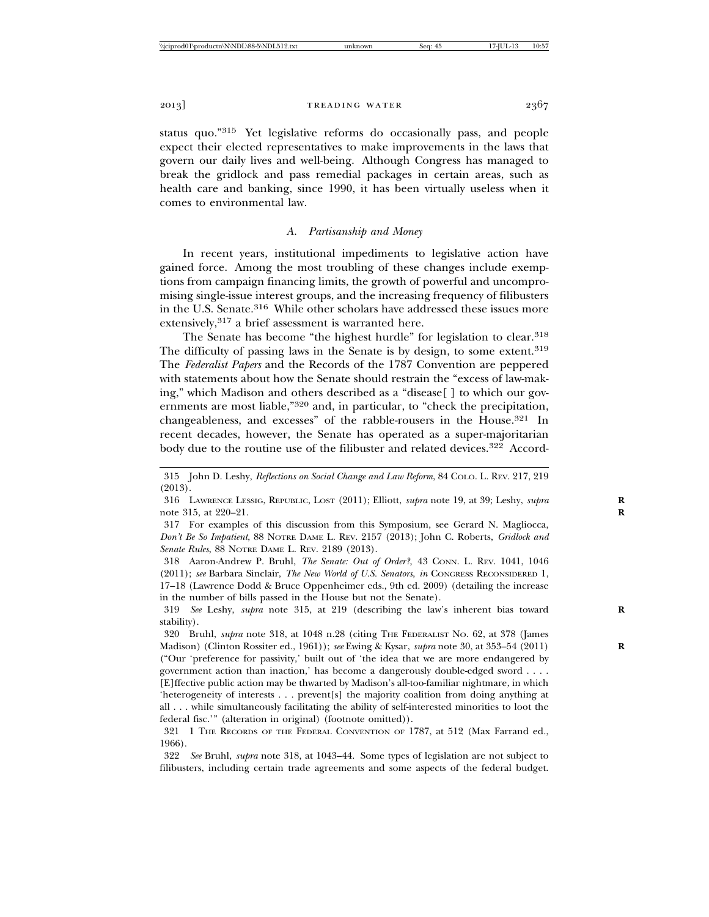status quo."315 Yet legislative reforms do occasionally pass, and people expect their elected representatives to make improvements in the laws that govern our daily lives and well-being. Although Congress has managed to break the gridlock and pass remedial packages in certain areas, such as health care and banking, since 1990, it has been virtually useless when it comes to environmental law.

#### *A. Partisanship and Money*

In recent years, institutional impediments to legislative action have gained force. Among the most troubling of these changes include exemptions from campaign financing limits, the growth of powerful and uncompromising single-issue interest groups, and the increasing frequency of filibusters in the U.S. Senate.<sup>316</sup> While other scholars have addressed these issues more extensively,<sup>317</sup> a brief assessment is warranted here.

The Senate has become "the highest hurdle" for legislation to clear.<sup>318</sup> The difficulty of passing laws in the Senate is by design, to some extent.<sup>319</sup> The *Federalist Papers* and the Records of the 1787 Convention are peppered with statements about how the Senate should restrain the "excess of law-making," which Madison and others described as a "disease[ ] to which our governments are most liable,"<sup>320</sup> and, in particular, to "check the precipitation, changeableness, and excesses" of the rabble-rousers in the House.<sup>321</sup> In recent decades, however, the Senate has operated as a super-majoritarian body due to the routine use of the filibuster and related devices.<sup>322</sup> Accord-

318 Aaron-Andrew P. Bruhl, *The Senate: Out of Order?*, 43 CONN. L. REV. 1041, 1046 (2011); *see* Barbara Sinclair, *The New World of U.S. Senators*, *in* CONGRESS RECONSIDERED 1, 17–18 (Lawrence Dodd & Bruce Oppenheimer eds., 9th ed. 2009) (detailing the increase in the number of bills passed in the House but not the Senate).

319 *See* Leshy, *supra* note 315, at 219 (describing the law's inherent bias toward **R** stability).

320 Bruhl, *supra* note 318, at 1048 n.28 (citing THE FEDERALIST NO. 62, at 378 (James Madison) (Clinton Rossiter ed., 1961)); *see* Ewing & Kysar, *supra* note 30, at 353–54 (2011) **R** ("Our 'preference for passivity,' built out of 'the idea that we are more endangered by government action than inaction,' has become a dangerously double-edged sword . . . . [E]ffective public action may be thwarted by Madison's all-too-familiar nightmare, in which 'heterogeneity of interests . . . prevent[s] the majority coalition from doing anything at all . . . while simultaneously facilitating the ability of self-interested minorities to loot the federal fisc.'" (alteration in original) (footnote omitted)).

<sup>315</sup> John D. Leshy, *Reflections on Social Change and Law Reform*, 84 COLO. L. REV. 217, 219 (2013).

<sup>316</sup> LAWRENCE LESSIG, REPUBLIC, LOST (2011); Elliott, *supra* note 19, at 39; Leshy, *supra* **R** note 315, at 220–21. **R**

<sup>317</sup> For examples of this discussion from this Symposium, see Gerard N. Magliocca, *Don't Be So Impatient*, 88 NOTRE DAME L. REV. 2157 (2013); John C. Roberts, *Gridlock and Senate Rules*, 88 NOTRE DAME L. REV. 2189 (2013).

<sup>321 1</sup> THE RECORDS OF THE FEDERAL CONVENTION OF 1787, at 512 (Max Farrand ed., 1966).

<sup>322</sup> *See* Bruhl, *supra* note 318, at 1043–44. Some types of legislation are not subject to filibusters, including certain trade agreements and some aspects of the federal budget.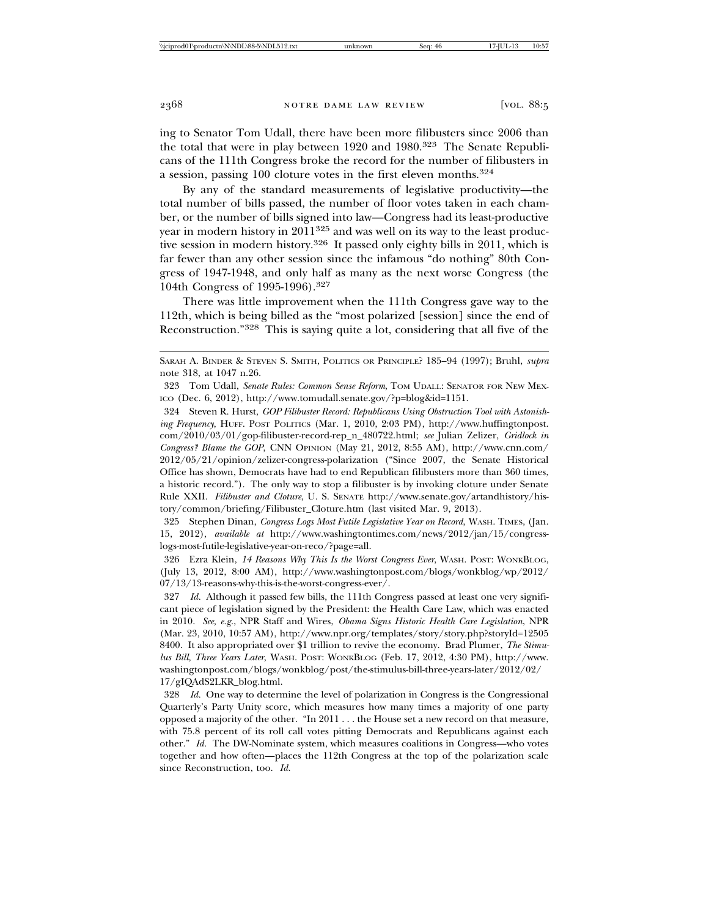ing to Senator Tom Udall, there have been more filibusters since 2006 than the total that were in play between 1920 and 1980.323 The Senate Republicans of the 111th Congress broke the record for the number of filibusters in a session, passing 100 cloture votes in the first eleven months.<sup>324</sup>

By any of the standard measurements of legislative productivity—the total number of bills passed, the number of floor votes taken in each chamber, or the number of bills signed into law—Congress had its least-productive year in modern history in  $2011^{325}$  and was well on its way to the least productive session in modern history.<sup>326</sup> It passed only eighty bills in 2011, which is far fewer than any other session since the infamous "do nothing" 80th Congress of 1947-1948, and only half as many as the next worse Congress (the 104th Congress of 1995-1996).327

There was little improvement when the 111th Congress gave way to the 112th, which is being billed as the "most polarized [session] since the end of Reconstruction."328 This is saying quite a lot, considering that all five of the

325 Stephen Dinan, *Congress Logs Most Futile Legislative Year on Record*, WASH. TIMES, (Jan. 15, 2012), *available at* http://www.washingtontimes.com/news/2012/jan/15/congresslogs-most-futile-legislative-year-on-reco/?page=all.

326 Ezra Klein, *14 Reasons Why This Is the Worst Congress Ever*, WASH. POST: WONKBLOG, (July 13, 2012, 8:00 AM), http://www.washingtonpost.com/blogs/wonkblog/wp/2012/ 07/13/13-reasons-why-this-is-the-worst-congress-ever/.

327 *Id.* Although it passed few bills, the 111th Congress passed at least one very significant piece of legislation signed by the President: the Health Care Law, which was enacted in 2010. *See, e.g.*, NPR Staff and Wires, *Obama Signs Historic Health Care Legislation*, NPR (Mar. 23, 2010, 10:57 AM), http://www.npr.org/templates/story/story.php?storyId=12505 8400. It also appropriated over \$1 trillion to revive the economy. Brad Plumer, *The Stimulus Bill, Three Years Later*, WASH. POST: WONKBLOG (Feb. 17, 2012, 4:30 PM), http://www. washingtonpost.com/blogs/wonkblog/post/the-stimulus-bill-three-years-later/2012/02/ 17/gIQAdS2LKR\_blog.html.

328 *Id.* One way to determine the level of polarization in Congress is the Congressional Quarterly's Party Unity score, which measures how many times a majority of one party opposed a majority of the other. "In 2011 . . . the House set a new record on that measure, with 75.8 percent of its roll call votes pitting Democrats and Republicans against each other." *Id.* The DW-Nominate system, which measures coalitions in Congress—who votes together and how often—places the 112th Congress at the top of the polarization scale since Reconstruction, too. *Id.*

SARAH A. BINDER & STEVEN S. SMITH, POLITICS OR PRINCIPLE? 185–94 (1997); Bruhl, *supra* note 318, at 1047 n.26.

<sup>323</sup> Tom Udall, *Senate Rules: Common Sense Reform*, TOM UDALL: SENATOR FOR NEW MEX-ICO (Dec. 6, 2012), http://www.tomudall.senate.gov/?p=blog&id=1151.

<sup>324</sup> Steven R. Hurst, *GOP Filibuster Record: Republicans Using Obstruction Tool with Astonishing Frequency*, HUFF. POST POLITICS (Mar. 1, 2010, 2:03 PM), http://www.huffingtonpost. com/2010/03/01/gop-filibuster-record-rep\_n\_480722.html; *see* Julian Zelizer, *Gridlock in Congress? Blame the GOP*, CNN OPINION (May 21, 2012, 8:55 AM), http://www.cnn.com/ 2012/05/21/opinion/zelizer-congress-polarization ("Since 2007, the Senate Historical Office has shown, Democrats have had to end Republican filibusters more than 360 times, a historic record."). The only way to stop a filibuster is by invoking cloture under Senate Rule XXII. *Filibuster and Cloture*, U. S. SENATE http://www.senate.gov/artandhistory/history/common/briefing/Filibuster\_Cloture.htm (last visited Mar. 9, 2013).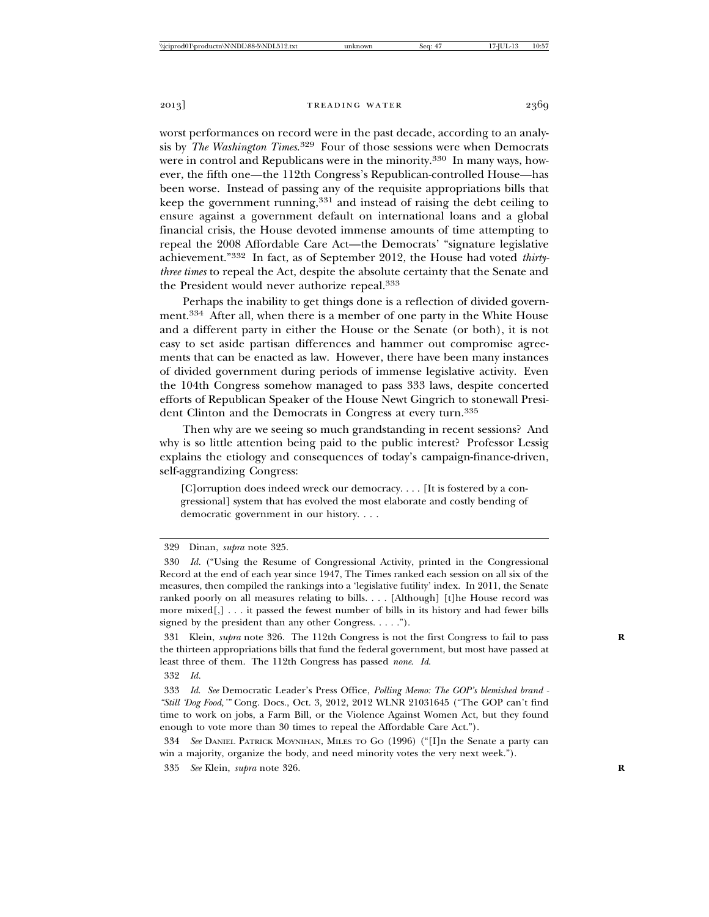worst performances on record were in the past decade, according to an analysis by *The Washington Times*. 329 Four of those sessions were when Democrats were in control and Republicans were in the minority.<sup>330</sup> In many ways, however, the fifth one—the 112th Congress's Republican-controlled House—has been worse. Instead of passing any of the requisite appropriations bills that keep the government running,  $331$  and instead of raising the debt ceiling to ensure against a government default on international loans and a global financial crisis, the House devoted immense amounts of time attempting to repeal the 2008 Affordable Care Act—the Democrats' "signature legislative achievement."332 In fact, as of September 2012, the House had voted *thirtythree times* to repeal the Act, despite the absolute certainty that the Senate and the President would never authorize repeal.333

Perhaps the inability to get things done is a reflection of divided government.334 After all, when there is a member of one party in the White House and a different party in either the House or the Senate (or both), it is not easy to set aside partisan differences and hammer out compromise agreements that can be enacted as law. However, there have been many instances of divided government during periods of immense legislative activity. Even the 104th Congress somehow managed to pass 333 laws, despite concerted efforts of Republican Speaker of the House Newt Gingrich to stonewall President Clinton and the Democrats in Congress at every turn.<sup>335</sup>

Then why are we seeing so much grandstanding in recent sessions? And why is so little attention being paid to the public interest? Professor Lessig explains the etiology and consequences of today's campaign-finance-driven, self-aggrandizing Congress:

[C]orruption does indeed wreck our democracy. . . . [It is fostered by a congressional] system that has evolved the most elaborate and costly bending of democratic government in our history. . . .

329 Dinan, *supra* note 325.

331 Klein, *supra* note 326. The 112th Congress is not the first Congress to fail to pass **R** the thirteen appropriations bills that fund the federal government, but most have passed at least three of them. The 112th Congress has passed *none*. *Id*.

334 *See* DANIEL PATRICK MOYNIHAN, MILES TO GO (1996) ("[I]n the Senate a party can win a majority, organize the body, and need minority votes the very next week.").

335 *See* Klein, *supra* note 326. **R**

<sup>330</sup> *Id.* ("Using the Resume of Congressional Activity, printed in the Congressional Record at the end of each year since 1947, The Times ranked each session on all six of the measures, then compiled the rankings into a 'legislative futility' index. In 2011, the Senate ranked poorly on all measures relating to bills. . . . [Although] [t]he House record was more mixed[,] . . . it passed the fewest number of bills in its history and had fewer bills signed by the president than any other Congress. . . . .").

<sup>332</sup> *Id.*

<sup>333</sup> *Id*. *See* Democratic Leader's Press Office, *Polling Memo: The GOP's blemished brand - "Still 'Dog Food,'"* Cong. Docs., Oct. 3, 2012, 2012 WLNR 21031645 ("The GOP can't find time to work on jobs, a Farm Bill, or the Violence Against Women Act, but they found enough to vote more than 30 times to repeal the Affordable Care Act.").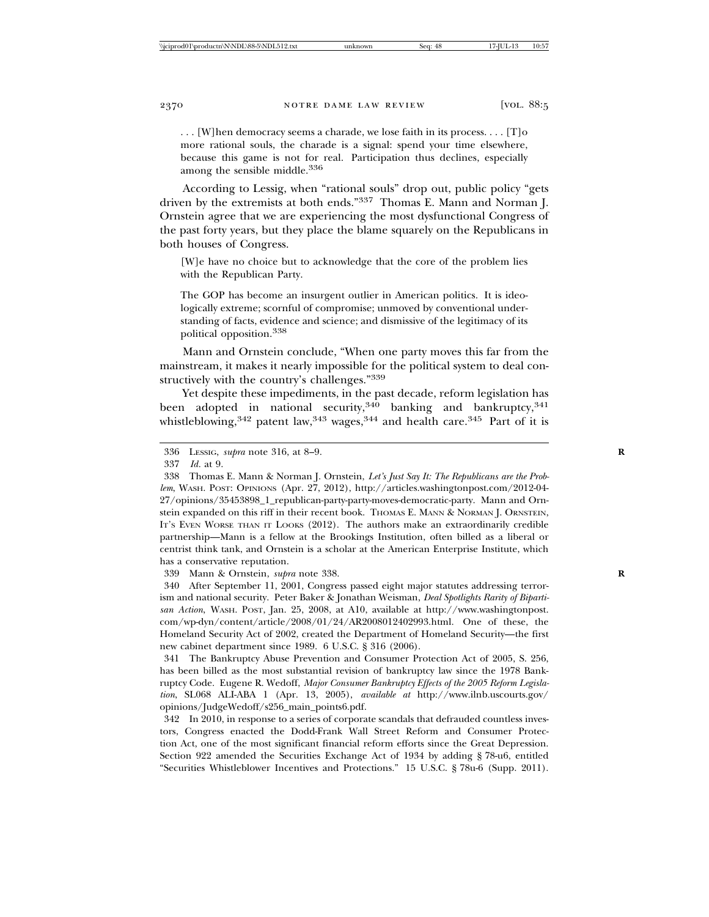. . . [W]hen democracy seems a charade, we lose faith in its process. . . . [T]o more rational souls, the charade is a signal: spend your time elsewhere, because this game is not for real. Participation thus declines, especially among the sensible middle.<sup>336</sup>

According to Lessig, when "rational souls" drop out, public policy "gets driven by the extremists at both ends."337 Thomas E. Mann and Norman J. Ornstein agree that we are experiencing the most dysfunctional Congress of the past forty years, but they place the blame squarely on the Republicans in both houses of Congress.

[W]e have no choice but to acknowledge that the core of the problem lies with the Republican Party.

The GOP has become an insurgent outlier in American politics. It is ideologically extreme; scornful of compromise; unmoved by conventional understanding of facts, evidence and science; and dismissive of the legitimacy of its political opposition.338

Mann and Ornstein conclude, "When one party moves this far from the mainstream, it makes it nearly impossible for the political system to deal constructively with the country's challenges."339

Yet despite these impediments, in the past decade, reform legislation has been adopted in national security,<sup>340</sup> banking and bankruptcy,<sup>341</sup> whistleblowing,  $342$  patent law,  $343$  wages,  $344$  and health care.  $345$  Part of it is

337 *Id.* at 9.

339 Mann & Ornstein, *supra* note 338. **R**

340 After September 11, 2001, Congress passed eight major statutes addressing terrorism and national security. Peter Baker & Jonathan Weisman, *Deal Spotlights Rarity of Bipartisan Action*, WASH. POST, Jan. 25, 2008, at A10, available at http://www.washingtonpost. com/wp-dyn/content/article/2008/01/24/AR2008012402993.html. One of these, the Homeland Security Act of 2002, created the Department of Homeland Security—the first new cabinet department since 1989. 6 U.S.C. § 316 (2006).

341 The Bankruptcy Abuse Prevention and Consumer Protection Act of 2005, S. 256, has been billed as the most substantial revision of bankruptcy law since the 1978 Bankruptcy Code. Eugene R. Wedoff, *Major Consumer Bankruptcy Effects of the 2005 Reform Legislation*, SL068 ALI-ABA 1 (Apr. 13, 2005), *available at* http://www.ilnb.uscourts.gov/ opinions/JudgeWedoff/s256\_main\_points6.pdf.

342 In 2010, in response to a series of corporate scandals that defrauded countless investors, Congress enacted the Dodd-Frank Wall Street Reform and Consumer Protection Act, one of the most significant financial reform efforts since the Great Depression. Section 922 amended the Securities Exchange Act of 1934 by adding § 78-u6, entitled "Securities Whistleblower Incentives and Protections." 15 U.S.C. § 78u-6 (Supp. 2011).

<sup>336</sup> LESSIG, *supra* note 316, at 8–9. **R**

<sup>338</sup> Thomas E. Mann & Norman J. Ornstein, *Let's Just Say It: The Republicans are the Problem*, WASH. POST: OPINIONS (Apr. 27, 2012), http://articles.washingtonpost.com/2012-04- 27/opinions/35453898\_1\_republican-party-party-moves-democratic-party. Mann and Ornstein expanded on this riff in their recent book. THOMAS E. MANN & NORMAN J. ORNSTEIN, IT'S EVEN WORSE THAN IT LOOKS (2012). The authors make an extraordinarily credible partnership—Mann is a fellow at the Brookings Institution, often billed as a liberal or centrist think tank, and Ornstein is a scholar at the American Enterprise Institute, which has a conservative reputation.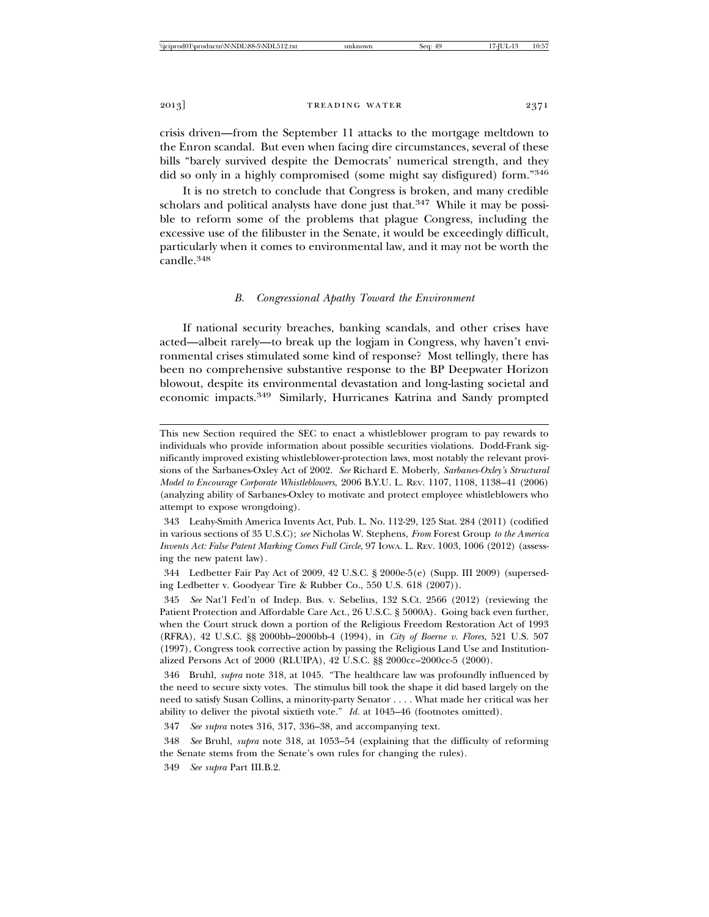crisis driven—from the September 11 attacks to the mortgage meltdown to the Enron scandal. But even when facing dire circumstances, several of these bills "barely survived despite the Democrats' numerical strength, and they did so only in a highly compromised (some might say disfigured) form."346

It is no stretch to conclude that Congress is broken, and many credible scholars and political analysts have done just that. $347$  While it may be possible to reform some of the problems that plague Congress, including the excessive use of the filibuster in the Senate, it would be exceedingly difficult, particularly when it comes to environmental law, and it may not be worth the candle.<sup>348</sup>

## *B. Congressional Apathy Toward the Environment*

If national security breaches, banking scandals, and other crises have acted—albeit rarely—to break up the logjam in Congress, why haven't environmental crises stimulated some kind of response? Most tellingly, there has been no comprehensive substantive response to the BP Deepwater Horizon blowout, despite its environmental devastation and long-lasting societal and economic impacts.349 Similarly, Hurricanes Katrina and Sandy prompted

This new Section required the SEC to enact a whistleblower program to pay rewards to individuals who provide information about possible securities violations. Dodd-Frank significantly improved existing whistleblower-protection laws, most notably the relevant provisions of the Sarbanes-Oxley Act of 2002. *See* Richard E. Moberly, *Sarbanes-Oxley's Structural Model to Encourage Corporate Whistleblowers*, 2006 B.Y.U. L. REV. 1107, 1108, 1138–41 (2006) (analyzing ability of Sarbanes-Oxley to motivate and protect employee whistleblowers who attempt to expose wrongdoing).

<sup>343</sup> Leahy-Smith America Invents Act, Pub. L. No. 112-29, 125 Stat. 284 (2011) (codified in various sections of 35 U.S.C); *see* Nicholas W. Stephens, *From* Forest Group *to the America Invents Act: False Patent Marking Comes Full Circle*, 97 Iowa. L. REV. 1003, 1006 (2012) (assessing the new patent law)*.*

<sup>344</sup> Ledbetter Fair Pay Act of 2009, 42 U.S.C. § 2000e-5(e) (Supp. III 2009) (superseding Ledbetter v. Goodyear Tire & Rubber Co., 550 U.S. 618 (2007)).

<sup>345</sup> *See* Nat'l Fed'n of Indep. Bus. v. Sebelius, 132 S.Ct. 2566 (2012) (reviewing the Patient Protection and Affordable Care Act., 26 U.S.C. § 5000A). Going back even further, when the Court struck down a portion of the Religious Freedom Restoration Act of 1993 (RFRA), 42 U.S.C. §§ 2000bb–2000bb-4 (1994), in *City of Boerne v. Flores*, 521 U.S. 507 (1997), Congress took corrective action by passing the Religious Land Use and Institutionalized Persons Act of 2000 (RLUIPA), 42 U.S.C. §§ 2000cc–2000cc-5 (2000).

<sup>346</sup> Bruhl, *supra* note 318, at 1045. "The healthcare law was profoundly influenced by the need to secure sixty votes. The stimulus bill took the shape it did based largely on the need to satisfy Susan Collins, a minority-party Senator . . . . What made her critical was her ability to deliver the pivotal sixtieth vote." *Id.* at 1045–46 (footnotes omitted).

<sup>347</sup> *See supra* notes 316, 317, 336–38, and accompanying text.

<sup>348</sup> *See* Bruhl, *supra* note 318, at 1053–54 (explaining that the difficulty of reforming the Senate stems from the Senate's own rules for changing the rules).

<sup>349</sup> *See supra* Part III.B.2.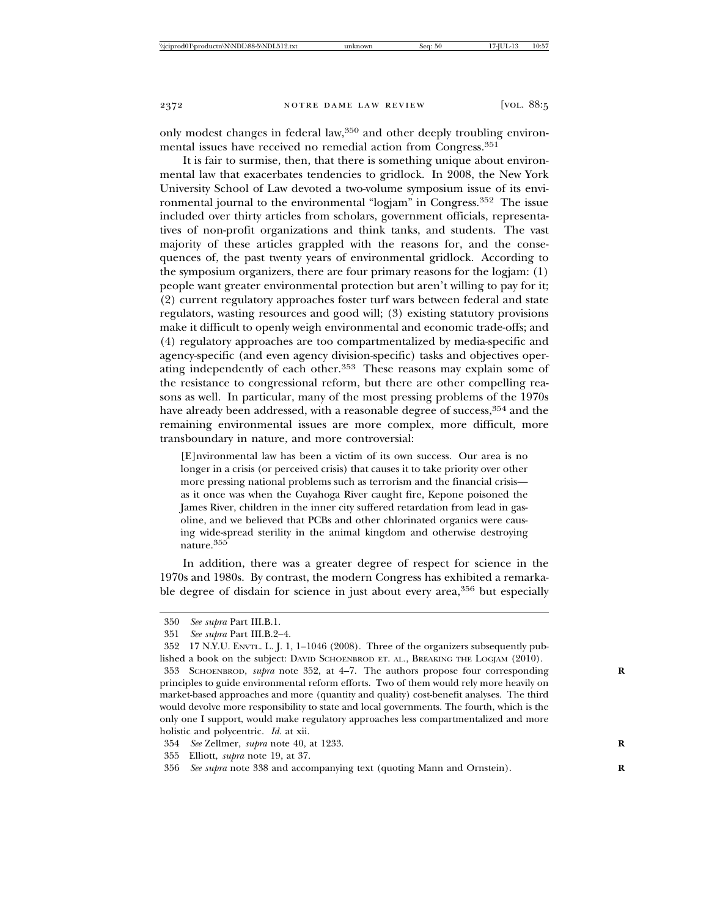only modest changes in federal law,350 and other deeply troubling environmental issues have received no remedial action from Congress.351

It is fair to surmise, then, that there is something unique about environmental law that exacerbates tendencies to gridlock. In 2008, the New York University School of Law devoted a two-volume symposium issue of its environmental journal to the environmental "logjam" in Congress.352 The issue included over thirty articles from scholars, government officials, representatives of non-profit organizations and think tanks, and students. The vast majority of these articles grappled with the reasons for, and the consequences of, the past twenty years of environmental gridlock. According to the symposium organizers, there are four primary reasons for the logjam: (1) people want greater environmental protection but aren't willing to pay for it; (2) current regulatory approaches foster turf wars between federal and state regulators, wasting resources and good will; (3) existing statutory provisions make it difficult to openly weigh environmental and economic trade-offs; and (4) regulatory approaches are too compartmentalized by media-specific and agency-specific (and even agency division-specific) tasks and objectives operating independently of each other.<sup>353</sup> These reasons may explain some of the resistance to congressional reform, but there are other compelling reasons as well. In particular, many of the most pressing problems of the 1970s have already been addressed, with a reasonable degree of success, 354 and the remaining environmental issues are more complex, more difficult, more transboundary in nature, and more controversial:

[E]nvironmental law has been a victim of its own success. Our area is no longer in a crisis (or perceived crisis) that causes it to take priority over other more pressing national problems such as terrorism and the financial crisis as it once was when the Cuyahoga River caught fire, Kepone poisoned the James River, children in the inner city suffered retardation from lead in gasoline, and we believed that PCBs and other chlorinated organics were causing wide-spread sterility in the animal kingdom and otherwise destroying nature.355

In addition, there was a greater degree of respect for science in the 1970s and 1980s. By contrast, the modern Congress has exhibited a remarkable degree of disdain for science in just about every area,<sup>356</sup> but especially

<sup>350</sup> *See supra* Part III.B.1.

<sup>351</sup> *See supra* Part III.B.2–4.

<sup>352 17</sup> N.Y.U. ENVTL. L. J. 1, 1–1046 (2008). Three of the organizers subsequently published a book on the subject: DAVID SCHOENBROD ET. AL., BREAKING THE LOGJAM (2010).

<sup>353</sup> SCHOENBROD, *supra* note 352, at 4–7. The authors propose four corresponding **R** principles to guide environmental reform efforts. Two of them would rely more heavily on market-based approaches and more (quantity and quality) cost-benefit analyses. The third would devolve more responsibility to state and local governments. The fourth, which is the only one I support, would make regulatory approaches less compartmentalized and more holistic and polycentric. *Id.* at xii.

<sup>354</sup> *See* Zellmer, *supra* note 40, at 1233. **R**

<sup>355</sup> Elliott, *supra* note 19, at 37.

<sup>356</sup> *See supra* note 338 and accompanying text (quoting Mann and Ornstein). **R**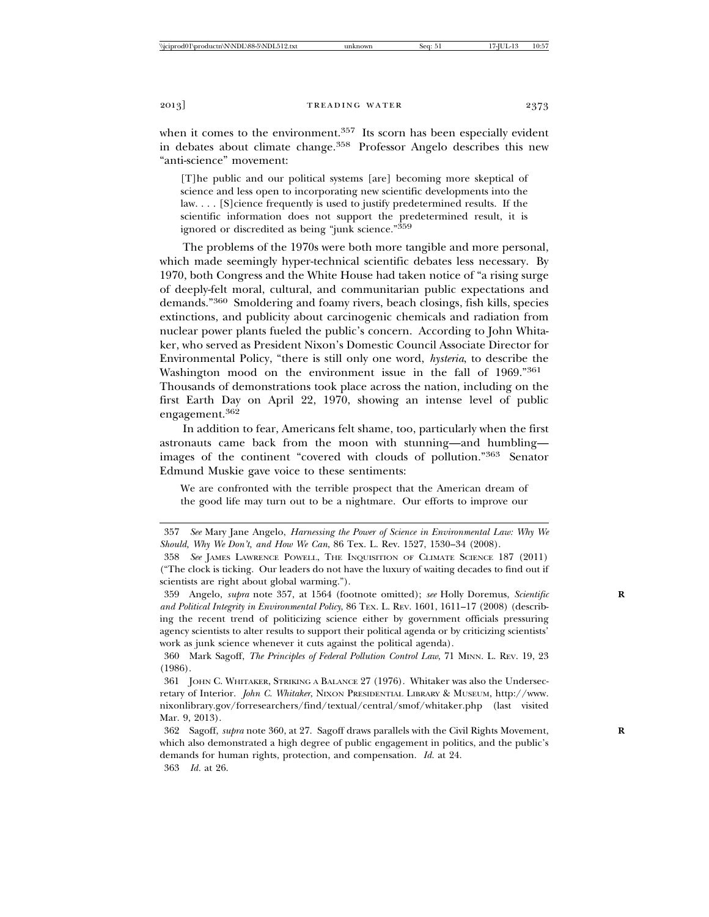when it comes to the environment.<sup>357</sup> Its scorn has been especially evident in debates about climate change.<sup>358</sup> Professor Angelo describes this new "anti-science" movement:

[T]he public and our political systems [are] becoming more skeptical of science and less open to incorporating new scientific developments into the law. . . . [S]cience frequently is used to justify predetermined results. If the scientific information does not support the predetermined result, it is ignored or discredited as being "junk science."359

The problems of the 1970s were both more tangible and more personal, which made seemingly hyper-technical scientific debates less necessary. By 1970, both Congress and the White House had taken notice of "a rising surge of deeply-felt moral, cultural, and communitarian public expectations and demands."360 Smoldering and foamy rivers, beach closings, fish kills, species extinctions, and publicity about carcinogenic chemicals and radiation from nuclear power plants fueled the public's concern. According to John Whitaker, who served as President Nixon's Domestic Council Associate Director for Environmental Policy, "there is still only one word, *hysteria*, to describe the Washington mood on the environment issue in the fall of 1969."<sup>361</sup> Thousands of demonstrations took place across the nation, including on the first Earth Day on April 22, 1970, showing an intense level of public engagement.<sup>362</sup>

In addition to fear, Americans felt shame, too, particularly when the first astronauts came back from the moon with stunning—and humbling images of the continent "covered with clouds of pollution."363 Senator Edmund Muskie gave voice to these sentiments:

We are confronted with the terrible prospect that the American dream of the good life may turn out to be a nightmare. Our efforts to improve our

363 *Id.* at 26.

<sup>357</sup> *See* Mary Jane Angelo, *Harnessing the Power of Science in Environmental Law: Why We Should, Why We Don't, and How We Can*, 86 Tex. L. Rev. 1527, 1530–34 (2008).

<sup>358</sup> *See* JAMES LAWRENCE POWELL, THE INQUISITION OF CLIMATE SCIENCE 187 (2011) ("The clock is ticking. Our leaders do not have the luxury of waiting decades to find out if scientists are right about global warming.").

<sup>359</sup> Angelo, *supra* note 357, at 1564 (footnote omitted); *see* Holly Doremus, *Scientific* **R** *and Political Integrity in Environmental Policy*, 86 TEX. L. REV. 1601, 1611–17 (2008) (describing the recent trend of politicizing science either by government officials pressuring agency scientists to alter results to support their political agenda or by criticizing scientists' work as junk science whenever it cuts against the political agenda).

<sup>360</sup> Mark Sagoff, *The Principles of Federal Pollution Control Law*, 71 MINN. L. REV. 19, 23 (1986).

<sup>361</sup> JOHN C. WHITAKER, STRIKING A BALANCE 27 (1976). Whitaker was also the Undersecretary of Interior. *John C. Whitaker*, NIXON PRESIDENTIAL LIBRARY & MUSEUM, http://www. nixonlibrary.gov/forresearchers/find/textual/central/smof/whitaker.php (last visited Mar. 9, 2013).

<sup>362</sup> Sagoff, *supra* note 360, at 27. Sagoff draws parallels with the Civil Rights Movement, **R** which also demonstrated a high degree of public engagement in politics, and the public's demands for human rights, protection, and compensation. *Id.* at 24.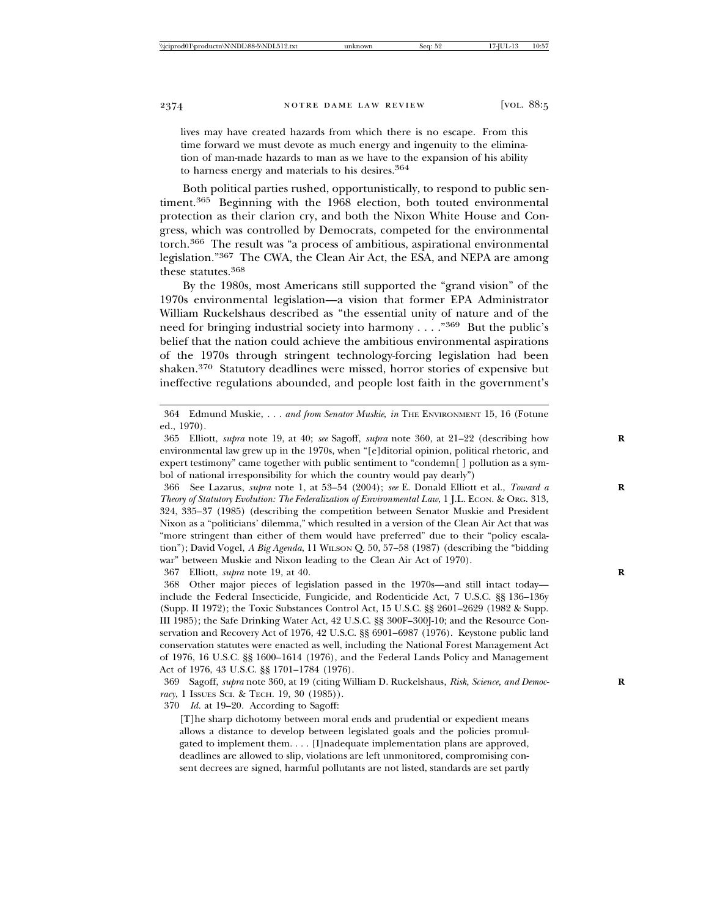lives may have created hazards from which there is no escape. From this time forward we must devote as much energy and ingenuity to the elimination of man-made hazards to man as we have to the expansion of his ability to harness energy and materials to his desires.<sup>364</sup>

Both political parties rushed, opportunistically, to respond to public sentiment.<sup>365</sup> Beginning with the 1968 election, both touted environmental protection as their clarion cry, and both the Nixon White House and Congress, which was controlled by Democrats, competed for the environmental torch.366 The result was "a process of ambitious, aspirational environmental legislation."367 The CWA, the Clean Air Act, the ESA, and NEPA are among these statutes.368

By the 1980s, most Americans still supported the "grand vision" of the 1970s environmental legislation—a vision that former EPA Administrator William Ruckelshaus described as "the essential unity of nature and of the need for bringing industrial society into harmony . . . ."369 But the public's belief that the nation could achieve the ambitious environmental aspirations of the 1970s through stringent technology-forcing legislation had been shaken.370 Statutory deadlines were missed, horror stories of expensive but ineffective regulations abounded, and people lost faith in the government's

366 See Lazarus, *supra* note 1, at 53–54 (2004); *see* E. Donald Elliott et al., *Toward a* **R** *Theory of Statutory Evolution: The Federalization of Environmental Law*, 1 J.L. ECON. & ORG. 313, 324, 335–37 (1985) (describing the competition between Senator Muskie and President Nixon as a "politicians' dilemma," which resulted in a version of the Clean Air Act that was "more stringent than either of them would have preferred" due to their "policy escalation"); David Vogel, *A Big Agenda*, 11 WILSON Q. 50, 57–58 (1987) (describing the "bidding war" between Muskie and Nixon leading to the Clean Air Act of 1970).

367 Elliott, *supra* note 19, at 40. **R**

368 Other major pieces of legislation passed in the 1970s—and still intact today include the Federal Insecticide, Fungicide, and Rodenticide Act, 7 U.S.C. §§ 136–136y (Supp. II 1972); the Toxic Substances Control Act, 15 U.S.C. §§ 2601–2629 (1982 & Supp. III 1985); the Safe Drinking Water Act, 42 U.S.C. §§ 300F–300J-10; and the Resource Conservation and Recovery Act of 1976, 42 U.S.C. §§ 6901–6987 (1976). Keystone public land conservation statutes were enacted as well, including the National Forest Management Act of 1976, 16 U.S.C. §§ 1600–1614 (1976), and the Federal Lands Policy and Management Act of 1976, 43 U.S.C. §§ 1701–1784 (1976).

369 Sagoff, *supra* note 360, at 19 (citing William D. Ruckelshaus, *Risk, Science, and Democ-* **R** *racy*, 1 ISSUES SCI. & TECH. 19, 30 (1985)).

370 *Id.* at 19–20. According to Sagoff:

[T]he sharp dichotomy between moral ends and prudential or expedient means allows a distance to develop between legislated goals and the policies promulgated to implement them. . . . [I]nadequate implementation plans are approved, deadlines are allowed to slip, violations are left unmonitored, compromising consent decrees are signed, harmful pollutants are not listed, standards are set partly

<sup>364</sup> Edmund Muskie, *. . . and from Senator Muskie*, *in* THE ENVIRONMENT 15, 16 (Fotune ed., 1970).

<sup>365</sup> Elliott, *supra* note 19, at 40; *see* Sagoff, *supra* note 360, at 21–22 (describing how **R** environmental law grew up in the 1970s, when "[e]ditorial opinion, political rhetoric, and expert testimony" came together with public sentiment to "condemn[ ] pollution as a symbol of national irresponsibility for which the country would pay dearly")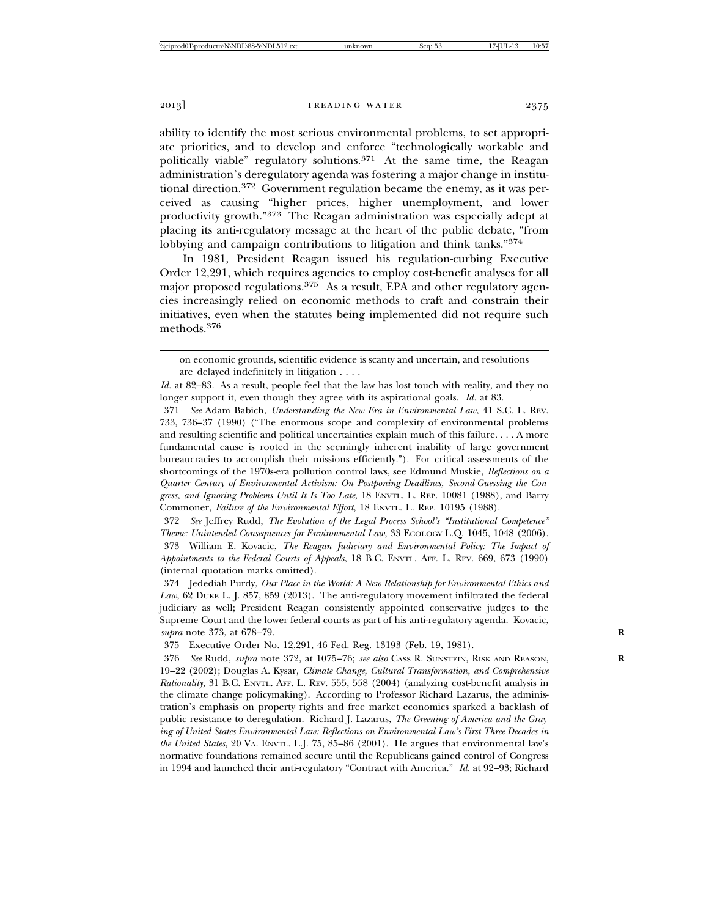ability to identify the most serious environmental problems, to set appropriate priorities, and to develop and enforce "technologically workable and politically viable" regulatory solutions.<sup>371</sup> At the same time, the Reagan administration's deregulatory agenda was fostering a major change in institutional direction.372 Government regulation became the enemy, as it was perceived as causing "higher prices, higher unemployment, and lower productivity growth."373 The Reagan administration was especially adept at placing its anti-regulatory message at the heart of the public debate, "from lobbying and campaign contributions to litigation and think tanks."<sup>374</sup>

In 1981, President Reagan issued his regulation-curbing Executive Order 12,291, which requires agencies to employ cost-benefit analyses for all major proposed regulations.<sup>375</sup> As a result, EPA and other regulatory agencies increasingly relied on economic methods to craft and constrain their initiatives, even when the statutes being implemented did not require such methods.<sup>376</sup>

372 *See* Jeffrey Rudd, *The Evolution of the Legal Process School's "Institutional Competence" Theme: Unintended Consequences for Environmental Law*, 33 ECOLOGY L.Q. 1045, 1048 (2006).

373 William E. Kovacic, *The Reagan Judiciary and Environmental Policy: The Impact of Appointments to the Federal Courts of Appeals*, 18 B.C. ENVTL. AFF. L. REV. 669, 673 (1990) (internal quotation marks omitted).

374 Jedediah Purdy, *Our Place in the World: A New Relationship for Environmental Ethics and Law*, 62 DUKE L. J. 857, 859 (2013). The anti-regulatory movement infiltrated the federal judiciary as well; President Reagan consistently appointed conservative judges to the Supreme Court and the lower federal courts as part of his anti-regulatory agenda. Kovacic, *supra* note 373, at 678–79. **R**

375 Executive Order No. 12,291, 46 Fed. Reg. 13193 (Feb. 19, 1981).

376 *See* Rudd, *supra* note 372, at 1075–76; *see also* CASS R. SUNSTEIN, RISK AND REASON, **R** 19–22 (2002); Douglas A. Kysar, *Climate Change, Cultural Transformation, and Comprehensive Rationality*, 31 B.C. ENVTL. AFF. L. REV. 555, 558 (2004) (analyzing cost-benefit analysis in the climate change policymaking). According to Professor Richard Lazarus, the administration's emphasis on property rights and free market economics sparked a backlash of public resistance to deregulation. Richard J. Lazarus, *The Greening of America and the Graying of United States Environmental Law: Reflections on Environmental Law's First Three Decades in the United States*, 20 VA. ENVTL. L.J. 75, 85–86 (2001). He argues that environmental law's normative foundations remained secure until the Republicans gained control of Congress in 1994 and launched their anti-regulatory "Contract with America." *Id.* at 92–93; Richard

on economic grounds, scientific evidence is scanty and uncertain, and resolutions are delayed indefinitely in litigation . . . .

*Id.* at 82–83. As a result, people feel that the law has lost touch with reality, and they no longer support it, even though they agree with its aspirational goals. *Id.* at 83.

<sup>371</sup> *See* Adam Babich, *Understanding the New Era in Environmental Law*, 41 S.C. L. REV. 733, 736–37 (1990) ("The enormous scope and complexity of environmental problems and resulting scientific and political uncertainties explain much of this failure. . . . A more fundamental cause is rooted in the seemingly inherent inability of large government bureaucracies to accomplish their missions efficiently."). For critical assessments of the shortcomings of the 1970s-era pollution control laws, see Edmund Muskie, *Reflections on a Quarter Century of Environmental Activism: On Postponing Deadlines, Second-Guessing the Congress, and Ignoring Problems Until It Is Too Late*, 18 ENVTL. L. REP. 10081 (1988), and Barry Commoner, *Failure of the Environmental Effort*, 18 ENVTL. L. REP. 10195 (1988).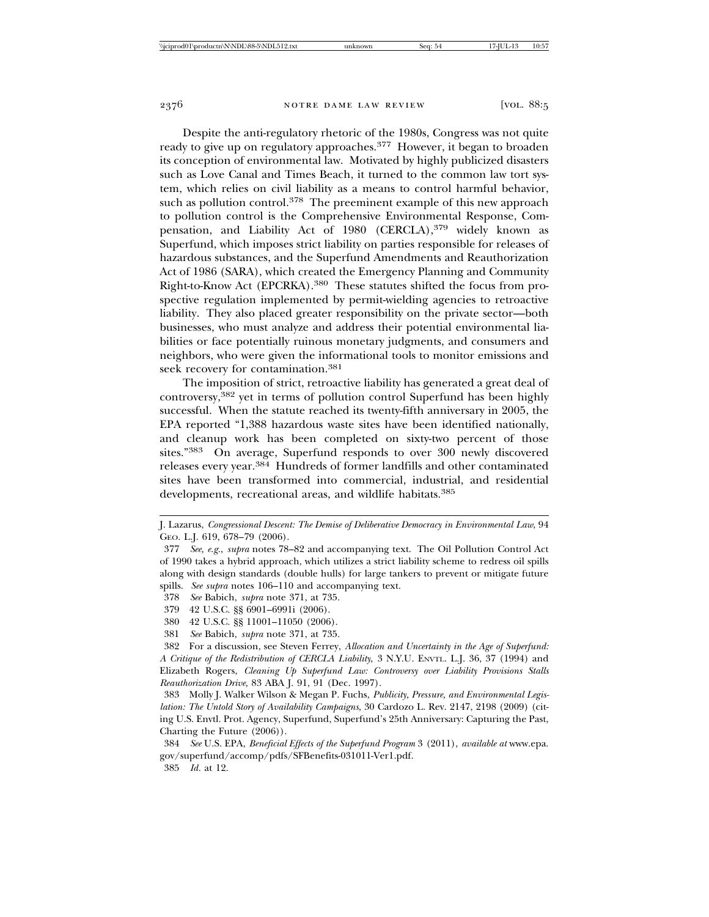Despite the anti-regulatory rhetoric of the 1980s, Congress was not quite ready to give up on regulatory approaches.<sup>377</sup> However, it began to broaden its conception of environmental law. Motivated by highly publicized disasters such as Love Canal and Times Beach, it turned to the common law tort system, which relies on civil liability as a means to control harmful behavior, such as pollution control.<sup>378</sup> The preeminent example of this new approach to pollution control is the Comprehensive Environmental Response, Compensation, and Liability Act of 1980 (CERCLA),<sup>379</sup> widely known as Superfund, which imposes strict liability on parties responsible for releases of hazardous substances, and the Superfund Amendments and Reauthorization Act of 1986 (SARA), which created the Emergency Planning and Community Right-to-Know Act (EPCRKA).380 These statutes shifted the focus from prospective regulation implemented by permit-wielding agencies to retroactive liability. They also placed greater responsibility on the private sector—both businesses, who must analyze and address their potential environmental liabilities or face potentially ruinous monetary judgments, and consumers and neighbors, who were given the informational tools to monitor emissions and seek recovery for contamination.<sup>381</sup>

The imposition of strict, retroactive liability has generated a great deal of controversy,382 yet in terms of pollution control Superfund has been highly successful. When the statute reached its twenty-fifth anniversary in 2005, the EPA reported "1,388 hazardous waste sites have been identified nationally, and cleanup work has been completed on sixty-two percent of those sites."383 On average, Superfund responds to over 300 newly discovered releases every year.384 Hundreds of former landfills and other contaminated sites have been transformed into commercial, industrial, and residential developments, recreational areas, and wildlife habitats.<sup>385</sup>

J. Lazarus, *Congressional Descent: The Demise of Deliberative Democracy in Environmental Law*, 94 GEO. L.J. 619, 678–79 (2006).

<sup>377</sup> *See, e.g.*, *supra* notes 78–82 and accompanying text. The Oil Pollution Control Act of 1990 takes a hybrid approach, which utilizes a strict liability scheme to redress oil spills along with design standards (double hulls) for large tankers to prevent or mitigate future spills. *See supra* notes 106–110 and accompanying text.

<sup>378</sup> *See* Babich, *supra* note 371, at 735.

<sup>379 42</sup> U.S.C. §§ 6901–6991i (2006).

<sup>380 42</sup> U.S.C. §§ 11001–11050 (2006).

<sup>381</sup> *See* Babich, *supra* note 371, at 735.

<sup>382</sup> For a discussion, see Steven Ferrey, *Allocation and Uncertainty in the Age of Superfund: A Critique of the Redistribution of CERCLA Liability*, 3 N.Y.U. ENVTL. L.J. 36, 37 (1994) and Elizabeth Rogers, *Cleaning Up Superfund Law: Controversy over Liability Provisions Stalls Reauthorization Drive*, 83 ABA J. 91, 91 (Dec. 1997).

<sup>383</sup> Molly J. Walker Wilson & Megan P. Fuchs, *Publicity, Pressure, and Environmental Legislation: The Untold Story of Availability Campaigns*, 30 Cardozo L. Rev. 2147, 2198 (2009) (citing U.S. Envtl. Prot. Agency, Superfund, Superfund's 25th Anniversary: Capturing the Past, Charting the Future (2006)).

<sup>384</sup> *See* U.S. EPA, *Beneficial Effects of the Superfund Program* 3 (2011), *available at* www.epa. gov/superfund/accomp/pdfs/SFBenefits-031011-Ver1.pdf.

<sup>385</sup> *Id.* at 12.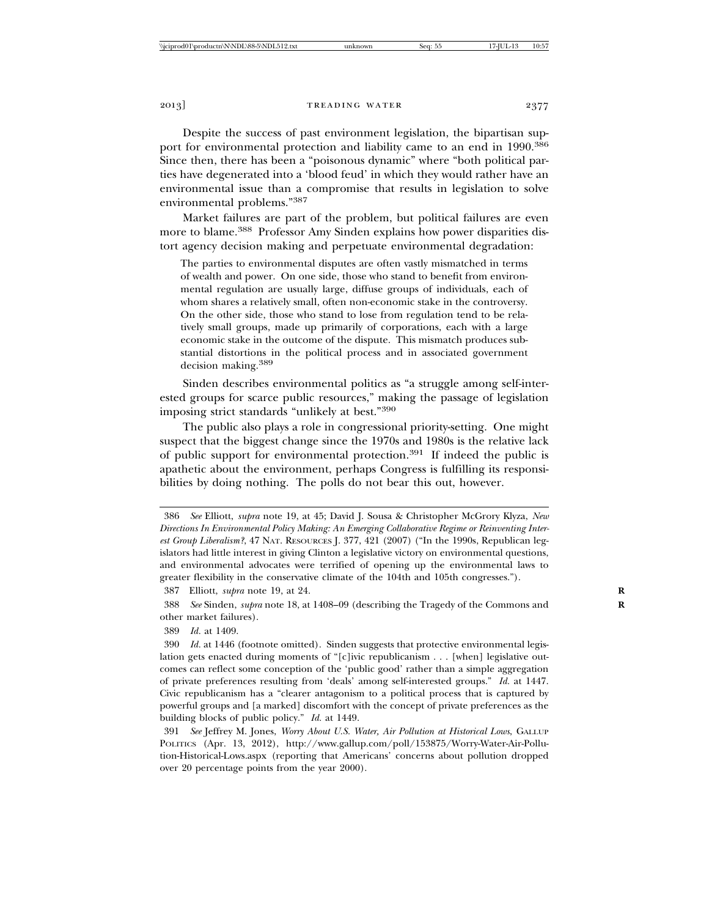Despite the success of past environment legislation, the bipartisan support for environmental protection and liability came to an end in 1990.<sup>386</sup> Since then, there has been a "poisonous dynamic" where "both political parties have degenerated into a 'blood feud' in which they would rather have an environmental issue than a compromise that results in legislation to solve environmental problems."387

Market failures are part of the problem, but political failures are even more to blame.388 Professor Amy Sinden explains how power disparities distort agency decision making and perpetuate environmental degradation:

The parties to environmental disputes are often vastly mismatched in terms of wealth and power. On one side, those who stand to benefit from environmental regulation are usually large, diffuse groups of individuals, each of whom shares a relatively small, often non-economic stake in the controversy. On the other side, those who stand to lose from regulation tend to be relatively small groups, made up primarily of corporations, each with a large economic stake in the outcome of the dispute. This mismatch produces substantial distortions in the political process and in associated government decision making.389

Sinden describes environmental politics as "a struggle among self-interested groups for scarce public resources," making the passage of legislation imposing strict standards "unlikely at best."390

The public also plays a role in congressional priority-setting. One might suspect that the biggest change since the 1970s and 1980s is the relative lack of public support for environmental protection.391 If indeed the public is apathetic about the environment, perhaps Congress is fulfilling its responsibilities by doing nothing. The polls do not bear this out, however.

387 Elliott, *supra* note 19, at 24. **R**

388 *See* Sinden, *supra* note 18, at 1408–09 (describing the Tragedy of the Commons and **R** other market failures).

389 *Id.* at 1409.

<sup>386</sup> *See* Elliott, *supra* note 19, at 45; David J. Sousa & Christopher McGrory Klyza, *New Directions In Environmental Policy Making: An Emerging Collaborative Regime or Reinventing Interest Group Liberalism?*, 47 NAT. RESOURCES J. 377, 421 (2007) ("In the 1990s, Republican legislators had little interest in giving Clinton a legislative victory on environmental questions, and environmental advocates were terrified of opening up the environmental laws to greater flexibility in the conservative climate of the 104th and 105th congresses.").

<sup>390</sup> *Id.* at 1446 (footnote omitted). Sinden suggests that protective environmental legislation gets enacted during moments of "[c]ivic republicanism . . . [when] legislative outcomes can reflect some conception of the 'public good' rather than a simple aggregation of private preferences resulting from 'deals' among self-interested groups." *Id.* at 1447. Civic republicanism has a "clearer antagonism to a political process that is captured by powerful groups and [a marked] discomfort with the concept of private preferences as the building blocks of public policy." *Id.* at 1449.

<sup>391</sup> *See* Jeffrey M. Jones, *Worry About U.S. Water, Air Pollution at Historical Lows*, GALLUP POLITICS (Apr. 13, 2012), http://www.gallup.com/poll/153875/Worry-Water-Air-Pollution-Historical-Lows.aspx (reporting that Americans' concerns about pollution dropped over 20 percentage points from the year 2000).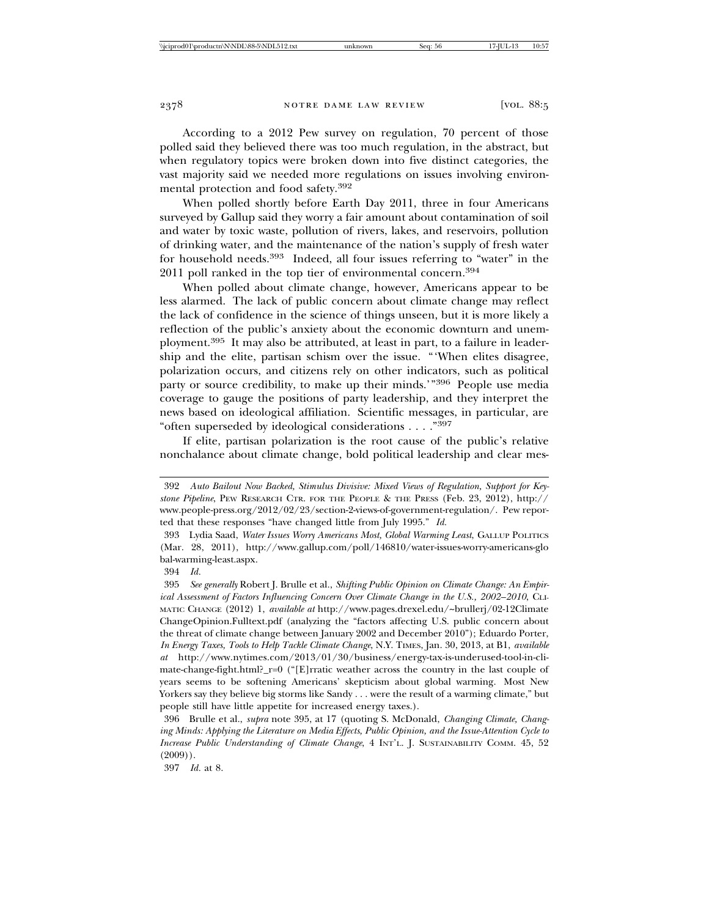According to a 2012 Pew survey on regulation, 70 percent of those polled said they believed there was too much regulation, in the abstract, but when regulatory topics were broken down into five distinct categories, the vast majority said we needed more regulations on issues involving environmental protection and food safety.392

When polled shortly before Earth Day 2011, three in four Americans surveyed by Gallup said they worry a fair amount about contamination of soil and water by toxic waste, pollution of rivers, lakes, and reservoirs, pollution of drinking water, and the maintenance of the nation's supply of fresh water for household needs.<sup>393</sup> Indeed, all four issues referring to "water" in the 2011 poll ranked in the top tier of environmental concern.<sup>394</sup>

When polled about climate change, however, Americans appear to be less alarmed. The lack of public concern about climate change may reflect the lack of confidence in the science of things unseen, but it is more likely a reflection of the public's anxiety about the economic downturn and unemployment.395 It may also be attributed, at least in part, to a failure in leadership and the elite, partisan schism over the issue. "'When elites disagree, polarization occurs, and citizens rely on other indicators, such as political party or source credibility, to make up their minds.'"<sup>396</sup> People use media coverage to gauge the positions of party leadership, and they interpret the news based on ideological affiliation. Scientific messages, in particular, are "often superseded by ideological considerations . . . ."397

If elite, partisan polarization is the root cause of the public's relative nonchalance about climate change, bold political leadership and clear mes-

397 *Id.* at 8.

<sup>392</sup> *Auto Bailout Now Backed, Stimulus Divisive: Mixed Views of Regulation, Support for Keystone Pipeline*, PEW RESEARCH CTR. FOR THE PEOPLE & THE PRESS (Feb. 23, 2012), http:// www.people-press.org/2012/02/23/section-2-views-of-government-regulation/. Pew reported that these responses "have changed little from July 1995." *Id.*

<sup>393</sup> Lydia Saad, *Water Issues Worry Americans Most, Global Warming Least*, GALLUP POLITICS (Mar. 28, 2011), http://www.gallup.com/poll/146810/water-issues-worry-americans-glo bal-warming-least.aspx.

<sup>394</sup> *Id.*

<sup>395</sup> *See generally* Robert J. Brulle et al., *Shifting Public Opinion on Climate Change: An Empirical Assessment of Factors Influencing Concern Over Climate Change in the U.S., 2002–2010*, CLI-MATIC CHANGE (2012) 1, *available at* http://www.pages.drexel.edu/~brullerj/02-12Climate ChangeOpinion.Fulltext.pdf (analyzing the "factors affecting U.S. public concern about the threat of climate change between January 2002 and December 2010"); Eduardo Porter, *In Energy Taxes, Tools to Help Tackle Climate Change*, N.Y. TIMES, Jan. 30, 2013, at B1, *available at* http://www.nytimes.com/2013/01/30/business/energy-tax-is-underused-tool-in-climate-change-fight.html?\_r=0 ("[E]rratic weather across the country in the last couple of years seems to be softening Americans' skepticism about global warming. Most New Yorkers say they believe big storms like Sandy . . . were the result of a warming climate," but people still have little appetite for increased energy taxes.).

<sup>396</sup> Brulle et al., *supra* note 395, at 17 (quoting S. McDonald, *Changing Climate, Changing Minds: Applying the Literature on Media Effects, Public Opinion, and the Issue-Attention Cycle to Increase Public Understanding of Climate Change*, 4 INT'L. J. SUSTAINABILITY COMM. 45, 52  $(2009)$ .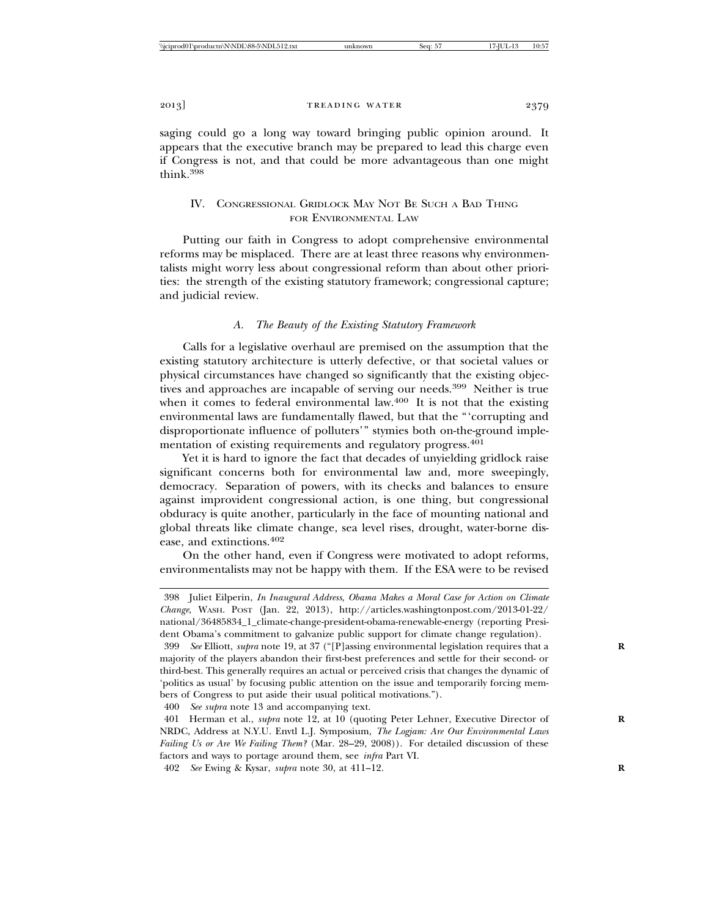saging could go a long way toward bringing public opinion around. It appears that the executive branch may be prepared to lead this charge even if Congress is not, and that could be more advantageous than one might think.<sup>398</sup>

# IV. CONGRESSIONAL GRIDLOCK MAY NOT BE SUCH A BAD THING FOR ENVIRONMENTAL LAW

Putting our faith in Congress to adopt comprehensive environmental reforms may be misplaced. There are at least three reasons why environmentalists might worry less about congressional reform than about other priorities: the strength of the existing statutory framework; congressional capture; and judicial review.

# *A. The Beauty of the Existing Statutory Framework*

Calls for a legislative overhaul are premised on the assumption that the existing statutory architecture is utterly defective, or that societal values or physical circumstances have changed so significantly that the existing objectives and approaches are incapable of serving our needs.<sup>399</sup> Neither is true when it comes to federal environmental law. $400$  It is not that the existing environmental laws are fundamentally flawed, but that the "'corrupting and disproportionate influence of polluters'" stymies both on-the-ground implementation of existing requirements and regulatory progress.<sup>401</sup>

Yet it is hard to ignore the fact that decades of unyielding gridlock raise significant concerns both for environmental law and, more sweepingly, democracy. Separation of powers, with its checks and balances to ensure against improvident congressional action, is one thing, but congressional obduracy is quite another, particularly in the face of mounting national and global threats like climate change, sea level rises, drought, water-borne disease, and extinctions.402

On the other hand, even if Congress were motivated to adopt reforms, environmentalists may not be happy with them. If the ESA were to be revised

400 *See supra* note 13 and accompanying text.

<sup>398</sup> Juliet Eilperin, *In Inaugural Address, Obama Makes a Moral Case for Action on Climate Change*, WASH. POST (Jan. 22, 2013), http://articles.washingtonpost.com/2013-01-22/ national/36485834\_1\_climate-change-president-obama-renewable-energy (reporting President Obama's commitment to galvanize public support for climate change regulation).

<sup>399</sup> *See* Elliott, *supra* note 19, at 37 ("[P]assing environmental legislation requires that a **R** majority of the players abandon their first-best preferences and settle for their second- or third-best. This generally requires an actual or perceived crisis that changes the dynamic of 'politics as usual' by focusing public attention on the issue and temporarily forcing members of Congress to put aside their usual political motivations.").

<sup>401</sup> Herman et al., *supra* note 12, at 10 (quoting Peter Lehner, Executive Director of **R** NRDC, Address at N.Y.U. Envtl L.J. Symposium, *The Logjam: Are Our Environmental Laws Failing Us or Are We Failing Them?* (Mar. 28–29, 2008)). For detailed discussion of these factors and ways to portage around them, see *infra* Part VI.

<sup>402</sup> *See* Ewing & Kysar, *supra* note 30, at 411–12. **R**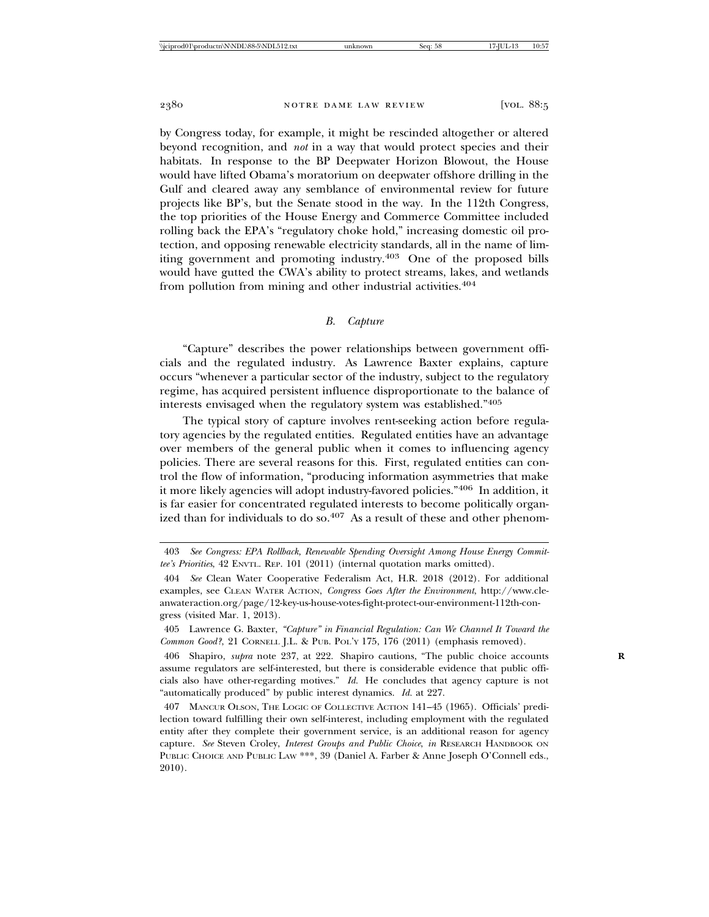by Congress today, for example, it might be rescinded altogether or altered beyond recognition, and *not* in a way that would protect species and their habitats. In response to the BP Deepwater Horizon Blowout, the House would have lifted Obama's moratorium on deepwater offshore drilling in the Gulf and cleared away any semblance of environmental review for future projects like BP's, but the Senate stood in the way. In the 112th Congress, the top priorities of the House Energy and Commerce Committee included rolling back the EPA's "regulatory choke hold," increasing domestic oil protection, and opposing renewable electricity standards, all in the name of limiting government and promoting industry.<sup>403</sup> One of the proposed bills would have gutted the CWA's ability to protect streams, lakes, and wetlands from pollution from mining and other industrial activities.<sup>404</sup>

## *B. Capture*

"Capture" describes the power relationships between government officials and the regulated industry. As Lawrence Baxter explains, capture occurs "whenever a particular sector of the industry, subject to the regulatory regime, has acquired persistent influence disproportionate to the balance of interests envisaged when the regulatory system was established."405

The typical story of capture involves rent-seeking action before regulatory agencies by the regulated entities. Regulated entities have an advantage over members of the general public when it comes to influencing agency policies. There are several reasons for this. First, regulated entities can control the flow of information, "producing information asymmetries that make it more likely agencies will adopt industry-favored policies."406 In addition, it is far easier for concentrated regulated interests to become politically organized than for individuals to do so. $407$  As a result of these and other phenom-

<sup>403</sup> *See Congress: EPA Rollback, Renewable Spending Oversight Among House Energy Committee's Priorities*, 42 ENVTL. REP. 101 (2011) (internal quotation marks omitted).

<sup>404</sup> *See* Clean Water Cooperative Federalism Act, H.R. 2018 (2012). For additional examples, see CLEAN WATER ACTION, *Congress Goes After the Environment*, http://www.cleanwateraction.org/page/12-key-us-house-votes-fight-protect-our-environment-112th-congress (visited Mar. 1, 2013).

<sup>405</sup> Lawrence G. Baxter, *"Capture" in Financial Regulation: Can We Channel It Toward the Common Good?*, 21 CORNELL J.L. & PUB. POL'Y 175, 176 (2011) (emphasis removed).

<sup>406</sup> Shapiro, *supra* note 237, at 222. Shapiro cautions, "The public choice accounts **R** assume regulators are self-interested, but there is considerable evidence that public officials also have other-regarding motives." *Id.* He concludes that agency capture is not "automatically produced" by public interest dynamics. *Id.* at 227.

<sup>407</sup> MANCUR OLSON, THE LOGIC OF COLLECTIVE ACTION 141–45 (1965). Officials' predilection toward fulfilling their own self-interest, including employment with the regulated entity after they complete their government service, is an additional reason for agency capture. *See* Steven Croley, *Interest Groups and Public Choice*, *in* RESEARCH HANDBOOK ON PUBLIC CHOICE AND PUBLIC LAW \*\*\*, 39 (Daniel A. Farber & Anne Joseph O'Connell eds., 2010).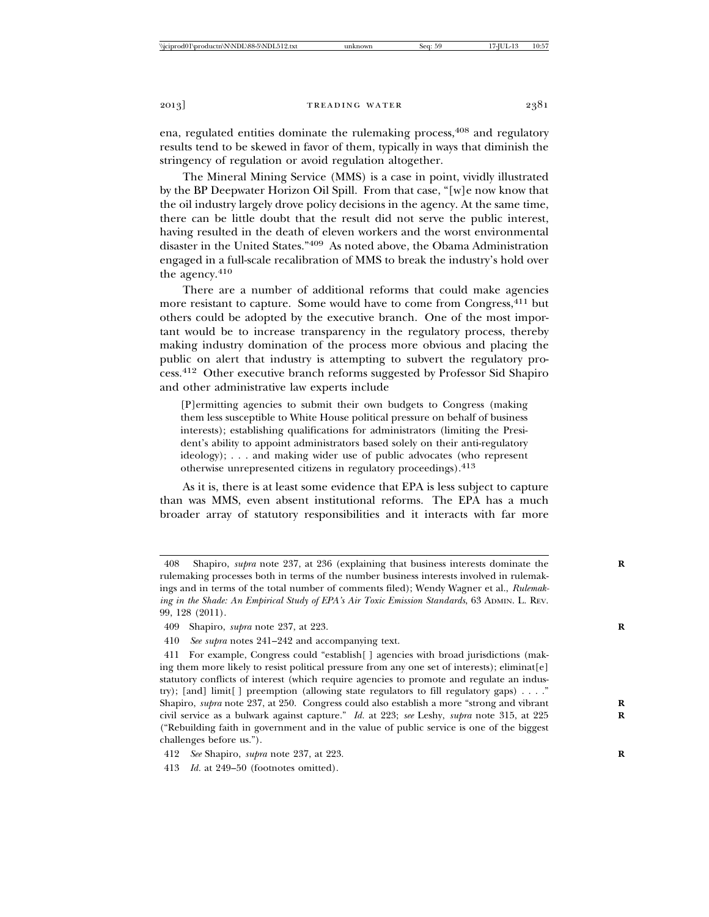ena, regulated entities dominate the rulemaking process, 408 and regulatory results tend to be skewed in favor of them, typically in ways that diminish the stringency of regulation or avoid regulation altogether.

The Mineral Mining Service (MMS) is a case in point, vividly illustrated by the BP Deepwater Horizon Oil Spill. From that case, "[w]e now know that the oil industry largely drove policy decisions in the agency. At the same time, there can be little doubt that the result did not serve the public interest, having resulted in the death of eleven workers and the worst environmental disaster in the United States."409 As noted above, the Obama Administration engaged in a full-scale recalibration of MMS to break the industry's hold over the agency.410

There are a number of additional reforms that could make agencies more resistant to capture. Some would have to come from Congress,<sup>411</sup> but others could be adopted by the executive branch. One of the most important would be to increase transparency in the regulatory process, thereby making industry domination of the process more obvious and placing the public on alert that industry is attempting to subvert the regulatory process.412 Other executive branch reforms suggested by Professor Sid Shapiro and other administrative law experts include

[P]ermitting agencies to submit their own budgets to Congress (making them less susceptible to White House political pressure on behalf of business interests); establishing qualifications for administrators (limiting the President's ability to appoint administrators based solely on their anti-regulatory ideology); . . . and making wider use of public advocates (who represent otherwise unrepresented citizens in regulatory proceedings).413

As it is, there is at least some evidence that EPA is less subject to capture than was MMS, even absent institutional reforms. The EPA has a much broader array of statutory responsibilities and it interacts with far more

<sup>408</sup> Shapiro, *supra* note 237, at 236 (explaining that business interests dominate the **R** rulemaking processes both in terms of the number business interests involved in rulemakings and in terms of the total number of comments filed); Wendy Wagner et al., *Rulemaking in the Shade: An Empirical Study of EPA's Air Toxic Emission Standards*, 63 ADMIN. L. REV. 99, 128 (2011).

<sup>409</sup> Shapiro, *supra* note 237, at 223. **R**

<sup>410</sup> *See supra* notes 241–242 and accompanying text.

<sup>411</sup> For example, Congress could "establish[ ] agencies with broad jurisdictions (making them more likely to resist political pressure from any one set of interests); eliminat[e] statutory conflicts of interest (which require agencies to promote and regulate an industry); [and] limit[ ] preemption (allowing state regulators to fill regulatory gaps) . . . ." Shapiro, *supra* note 237, at 250. Congress could also establish a more "strong and vibrant **R** civil service as a bulwark against capture." *Id.* at 223; *see* Leshy, *supra* note 315, at 225 **R** ("Rebuilding faith in government and in the value of public service is one of the biggest challenges before us.").

<sup>412</sup> *See* Shapiro, *supra* note 237, at 223. **R**

<sup>413</sup> *Id.* at 249–50 (footnotes omitted).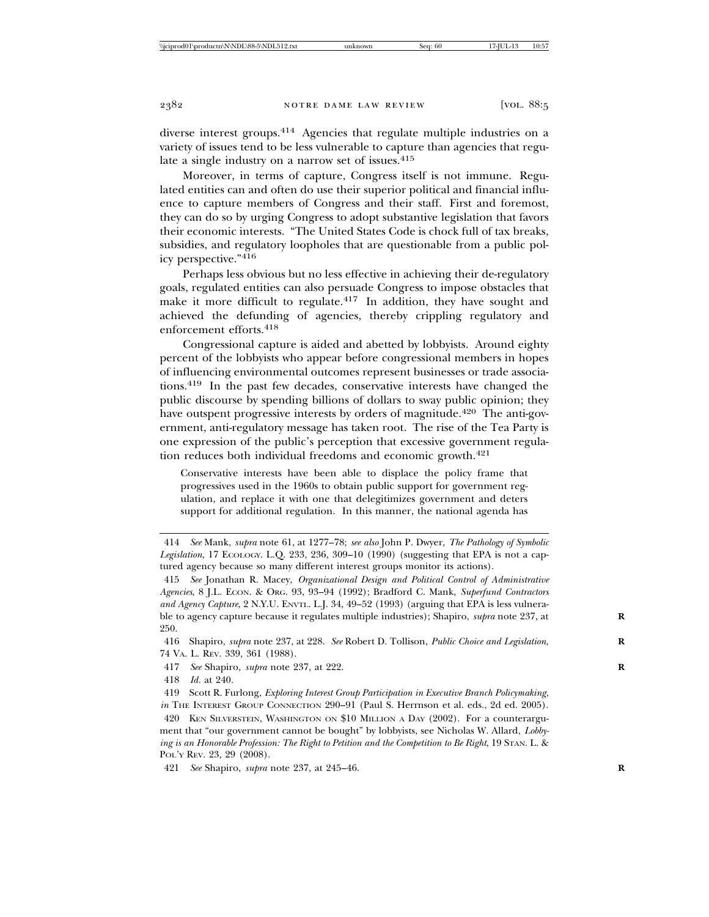diverse interest groups.<sup>414</sup> Agencies that regulate multiple industries on a variety of issues tend to be less vulnerable to capture than agencies that regulate a single industry on a narrow set of issues. $415$ 

Moreover, in terms of capture, Congress itself is not immune. Regulated entities can and often do use their superior political and financial influence to capture members of Congress and their staff. First and foremost, they can do so by urging Congress to adopt substantive legislation that favors their economic interests. "The United States Code is chock full of tax breaks, subsidies, and regulatory loopholes that are questionable from a public policy perspective."416

Perhaps less obvious but no less effective in achieving their de-regulatory goals, regulated entities can also persuade Congress to impose obstacles that make it more difficult to regulate. $417$  In addition, they have sought and achieved the defunding of agencies, thereby crippling regulatory and enforcement efforts.418

Congressional capture is aided and abetted by lobbyists. Around eighty percent of the lobbyists who appear before congressional members in hopes of influencing environmental outcomes represent businesses or trade associations.419 In the past few decades, conservative interests have changed the public discourse by spending billions of dollars to sway public opinion; they have outspent progressive interests by orders of magnitude.<sup>420</sup> The anti-government, anti-regulatory message has taken root. The rise of the Tea Party is one expression of the public's perception that excessive government regulation reduces both individual freedoms and economic growth.421

Conservative interests have been able to displace the policy frame that progressives used in the 1960s to obtain public support for government regulation, and replace it with one that delegitimizes government and deters support for additional regulation. In this manner, the national agenda has

416 Shapiro, *supra* note 237, at 228. *See* Robert D. Tollison, *Public Choice and Legislation*, **R** 74 VA. L. REV. 339, 361 (1988).

417 *See* Shapiro, *supra* note 237, at 222. **R**

418 *Id.* at 240.

419 Scott R. Furlong, *Exploring Interest Group Participation in Executive Branch Policymaking*, *in* THE INTEREST GROUP CONNECTION 290–91 (Paul S. Herrnson et al. eds., 2d ed. 2005).

<sup>414</sup> *See* Mank, *supra* note 61, at 1277–78; *see also* John P. Dwyer, *The Pathology of Symbolic Legislation*, 17 ECOLOGY. L.Q. 233, 236, 309–10 (1990) (suggesting that EPA is not a captured agency because so many different interest groups monitor its actions).

<sup>415</sup> *See* Jonathan R. Macey, *Organizational Design and Political Control of Administrative Agencies*, 8 J.L. ECON. & ORG. 93, 93–94 (1992); Bradford C. Mank, *Superfund Contractors and Agency Capture*, 2 N.Y.U. ENVTL. L.J. 34, 49–52 (1993) (arguing that EPA is less vulnerable to agency capture because it regulates multiple industries); Shapiro, *supra* note 237, at **R** 250.

<sup>420</sup> KEN SILVERSTEIN, WASHINGTON ON \$10 MILLION A DAY (2002). For a counterargument that "our government cannot be bought" by lobbyists, see Nicholas W. Allard, *Lobbying is an Honorable Profession: The Right to Petition and the Competition to Be Right*, 19 STAN. L. & POL'Y REV. 23, 29 (2008).

<sup>421</sup> *See* Shapiro, *supra* note 237, at 245–46. **R**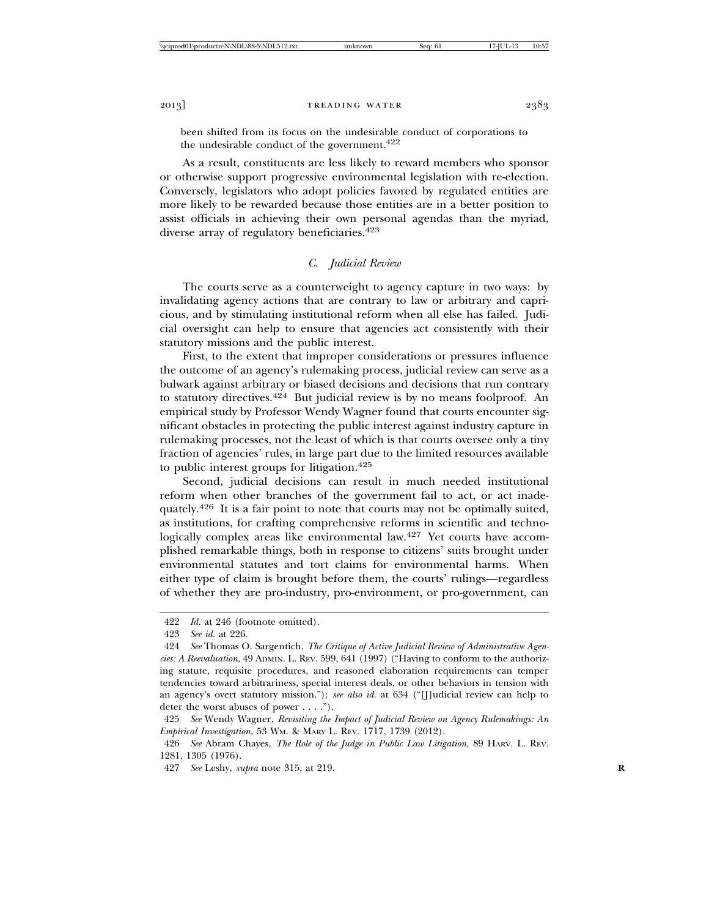been shifted from its focus on the undesirable conduct of corporations to the undesirable conduct of the government. $422$ 

As a result, constituents are less likely to reward members who sponsor or otherwise support progressive environmental legislation with re-election. Conversely, legislators who adopt policies favored by regulated entities are more likely to be rewarded because those entities are in a better position to assist officials in achieving their own personal agendas than the myriad, diverse array of regulatory beneficiaries.<sup>423</sup>

## *C. Judicial Review*

The courts serve as a counterweight to agency capture in two ways: by invalidating agency actions that are contrary to law or arbitrary and capricious, and by stimulating institutional reform when all else has failed. Judicial oversight can help to ensure that agencies act consistently with their statutory missions and the public interest.

First, to the extent that improper considerations or pressures influence the outcome of an agency's rulemaking process, judicial review can serve as a bulwark against arbitrary or biased decisions and decisions that run contrary to statutory directives.<sup>424</sup> But judicial review is by no means foolproof. An empirical study by Professor Wendy Wagner found that courts encounter significant obstacles in protecting the public interest against industry capture in rulemaking processes, not the least of which is that courts oversee only a tiny fraction of agencies' rules, in large part due to the limited resources available to public interest groups for litigation.425

Second, judicial decisions can result in much needed institutional reform when other branches of the government fail to act, or act inadequately.426 It is a fair point to note that courts may not be optimally suited, as institutions, for crafting comprehensive reforms in scientific and technologically complex areas like environmental law.<sup>427</sup> Yet courts have accomplished remarkable things, both in response to citizens' suits brought under environmental statutes and tort claims for environmental harms. When either type of claim is brought before them, the courts' rulings—regardless of whether they are pro-industry, pro-environment, or pro-government, can

<sup>422</sup> *Id.* at 246 (footnote omitted).

<sup>423</sup> *See id.* at 226.

<sup>424</sup> *See* Thomas O. Sargentich, *The Critique of Active Judicial Review of Administrative Agencies: A Reevaluation*, 49 ADMIN. L. REV. 599, 641 (1997) ("Having to conform to the authorizing statute, requisite procedures, and reasoned elaboration requirements can temper tendencies toward arbitrariness, special interest deals, or other behaviors in tension with an agency's overt statutory mission."); *see also id.* at 634 ("[J]udicial review can help to deter the worst abuses of power . . . .").

<sup>425</sup> *See* Wendy Wagner, *Revisiting the Impact of Judicial Review on Agency Rulemakings: An Empirical Investigation,* 53 WM. & MARY L. REV. 1717, 1739 (2012).

<sup>426</sup> *See* Abram Chayes, *The Role of the Judge in Public Law Litigation,* 89 HARV. L. REV. 1281, 1305 (1976).

<sup>427</sup> *See* Leshy, *supra* note 315, at 219. **R**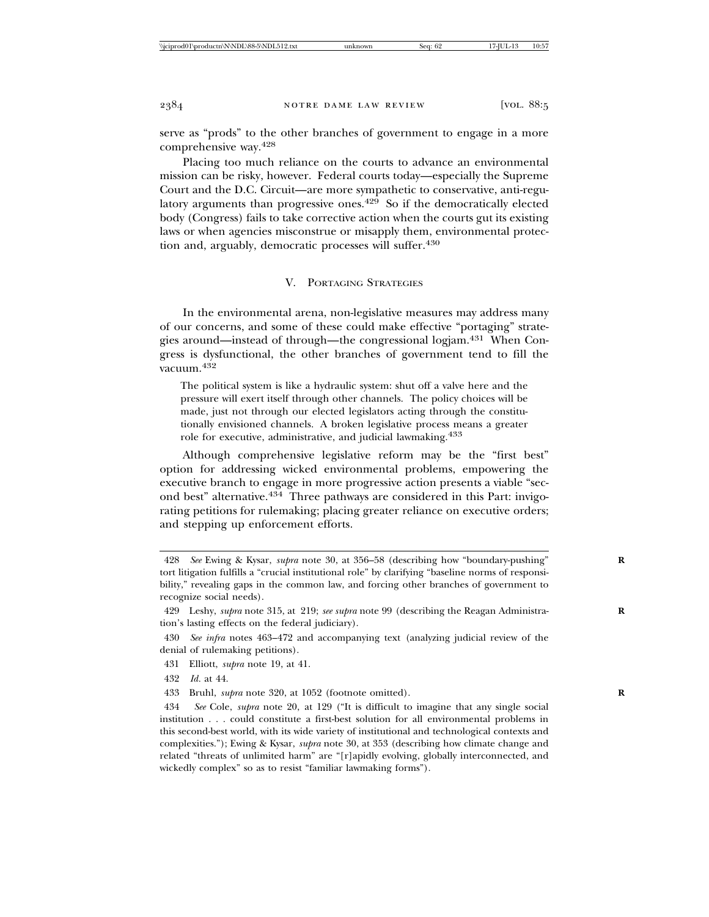serve as "prods" to the other branches of government to engage in a more comprehensive way.428

Placing too much reliance on the courts to advance an environmental mission can be risky, however. Federal courts today—especially the Supreme Court and the D.C. Circuit—are more sympathetic to conservative, anti-regulatory arguments than progressive ones.<sup>429</sup> So if the democratically elected body (Congress) fails to take corrective action when the courts gut its existing laws or when agencies misconstrue or misapply them, environmental protection and, arguably, democratic processes will suffer.430

#### V. PORTAGING STRATEGIES

In the environmental arena, non-legislative measures may address many of our concerns, and some of these could make effective "portaging" strategies around—instead of through—the congressional logjam.<sup>431</sup> When Congress is dysfunctional, the other branches of government tend to fill the vacuum.<sup>432</sup>

The political system is like a hydraulic system: shut off a valve here and the pressure will exert itself through other channels. The policy choices will be made, just not through our elected legislators acting through the constitutionally envisioned channels. A broken legislative process means a greater role for executive, administrative, and judicial lawmaking.<sup>433</sup>

Although comprehensive legislative reform may be the "first best" option for addressing wicked environmental problems, empowering the executive branch to engage in more progressive action presents a viable "second best" alternative.<sup>434</sup> Three pathways are considered in this Part: invigorating petitions for rulemaking; placing greater reliance on executive orders; and stepping up enforcement efforts.

<sup>428</sup> *See* Ewing & Kysar, *supra* note 30, at 356–58 (describing how "boundary-pushing" **R** tort litigation fulfills a "crucial institutional role" by clarifying "baseline norms of responsibility," revealing gaps in the common law, and forcing other branches of government to recognize social needs).

<sup>429</sup> Leshy, *supra* note 315, at 219; *see supra* note 99 (describing the Reagan Administra- **R** tion's lasting effects on the federal judiciary).

<sup>430</sup> *See infra* notes 463–472 and accompanying text (analyzing judicial review of the denial of rulemaking petitions).

<sup>431</sup> Elliott, *supra* note 19, at 41.

<sup>432</sup> *Id.* at 44.

<sup>433</sup> Bruhl, *supra* note 320, at 1052 (footnote omitted). **R**

<sup>434</sup> *See* Cole, *supra* note 20, at 129 ("It is difficult to imagine that any single social institution . . . could constitute a first-best solution for all environmental problems in this second-best world, with its wide variety of institutional and technological contexts and complexities."); Ewing & Kysar, *supra* note 30, at 353 (describing how climate change and related "threats of unlimited harm" are "[r]apidly evolving, globally interconnected, and wickedly complex" so as to resist "familiar lawmaking forms").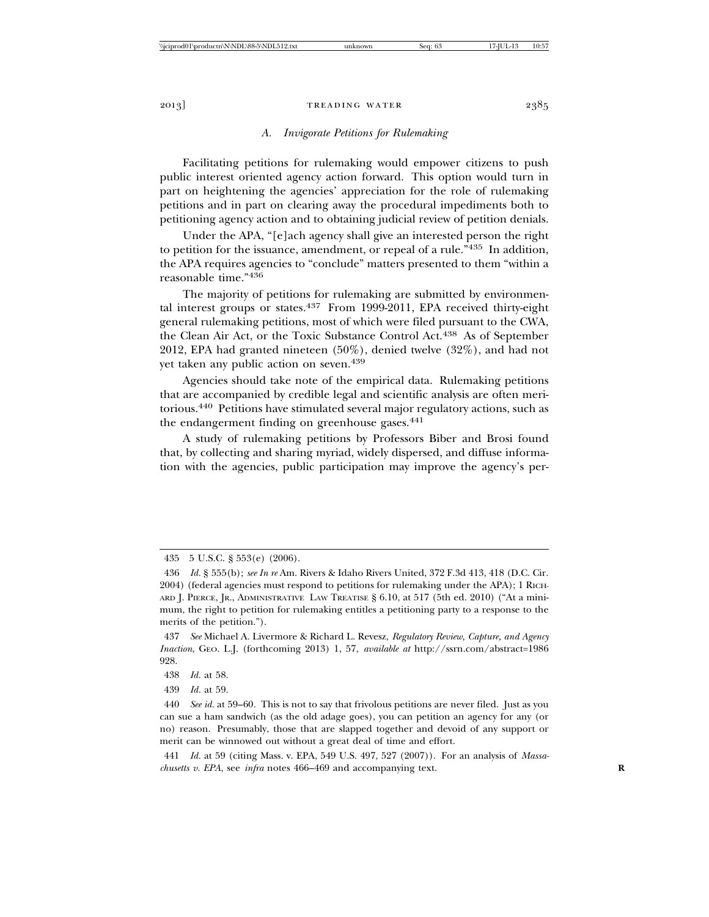## *A. Invigorate Petitions for Rulemaking*

Facilitating petitions for rulemaking would empower citizens to push public interest oriented agency action forward. This option would turn in part on heightening the agencies' appreciation for the role of rulemaking petitions and in part on clearing away the procedural impediments both to petitioning agency action and to obtaining judicial review of petition denials.

Under the APA, "[e]ach agency shall give an interested person the right to petition for the issuance, amendment, or repeal of a rule."435 In addition, the APA requires agencies to "conclude" matters presented to them "within a reasonable time."436

The majority of petitions for rulemaking are submitted by environmental interest groups or states. $437$  From 1999-2011, EPA received thirty-eight general rulemaking petitions, most of which were filed pursuant to the CWA, the Clean Air Act, or the Toxic Substance Control Act.438 As of September 2012, EPA had granted nineteen (50%), denied twelve (32%), and had not yet taken any public action on seven.<sup>439</sup>

Agencies should take note of the empirical data. Rulemaking petitions that are accompanied by credible legal and scientific analysis are often meritorious.440 Petitions have stimulated several major regulatory actions, such as the endangerment finding on greenhouse gases.<sup>441</sup>

A study of rulemaking petitions by Professors Biber and Brosi found that, by collecting and sharing myriad, widely dispersed, and diffuse information with the agencies, public participation may improve the agency's per-

439 *Id.* at 59.

<sup>435 5</sup> U.S.C. § 553(e) (2006).

<sup>436</sup> *Id.* § 555(b); *see In re* Am. Rivers & Idaho Rivers United, 372 F.3d 413, 418 (D.C. Cir. 2004) (federal agencies must respond to petitions for rulemaking under the APA); 1 RICH-ARD J. PIERCE, JR., ADMINISTRATIVE LAW TREATISE § 6.10, at 517 (5th ed. 2010) ("At a minimum, the right to petition for rulemaking entitles a petitioning party to a response to the merits of the petition.").

<sup>437</sup> *See* Michael A. Livermore & Richard L. Revesz, *Regulatory Review, Capture, and Agency Inaction*, GEO. L.J. (forthcoming 2013) 1, 57, *available at* http://ssrn.com/abstract=1986 928.

<sup>438</sup> *Id.* at 58.

<sup>440</sup> *See id.* at 59–60. This is not to say that frivolous petitions are never filed. Just as you can sue a ham sandwich (as the old adage goes), you can petition an agency for any (or no) reason. Presumably, those that are slapped together and devoid of any support or merit can be winnowed out without a great deal of time and effort.

<sup>441</sup> *Id.* at 59 (citing Mass. v. EPA, 549 U.S. 497, 527 (2007)). For an analysis of *Massachusetts v. EPA*, see *infra* notes 466–469 and accompanying text. **R**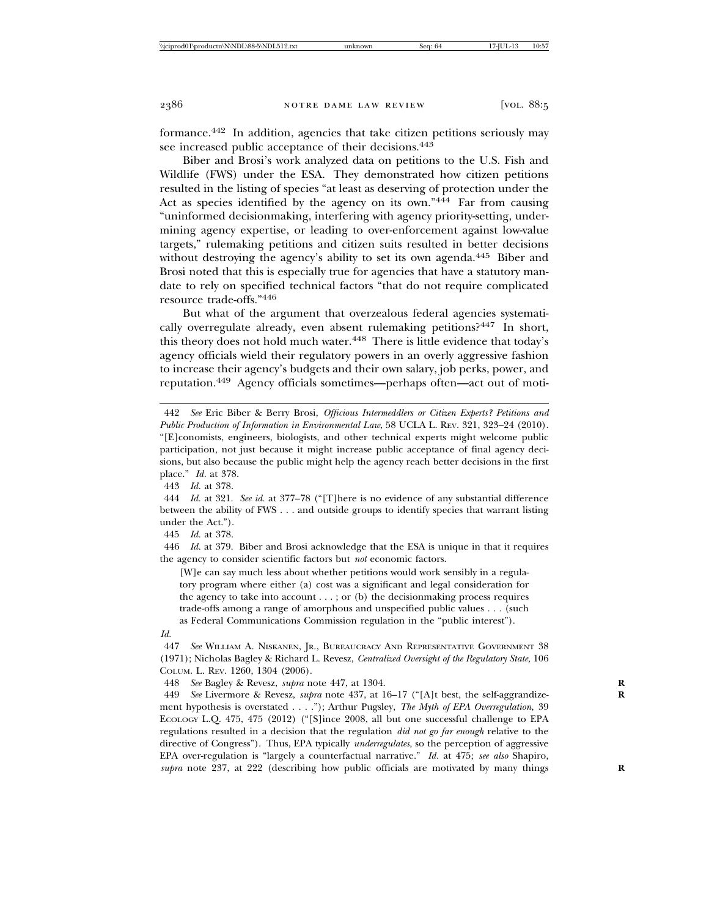formance.442 In addition, agencies that take citizen petitions seriously may see increased public acceptance of their decisions.<sup>443</sup>

Biber and Brosi's work analyzed data on petitions to the U.S. Fish and Wildlife (FWS) under the ESA. They demonstrated how citizen petitions resulted in the listing of species "at least as deserving of protection under the Act as species identified by the agency on its own."<sup>444</sup> Far from causing "uninformed decisionmaking, interfering with agency priority-setting, undermining agency expertise, or leading to over-enforcement against low-value targets," rulemaking petitions and citizen suits resulted in better decisions without destroying the agency's ability to set its own agenda.<sup>445</sup> Biber and Brosi noted that this is especially true for agencies that have a statutory mandate to rely on specified technical factors "that do not require complicated resource trade-offs."446

But what of the argument that overzealous federal agencies systematically overregulate already, even absent rulemaking petitions?447 In short, this theory does not hold much water.<sup>448</sup> There is little evidence that today's agency officials wield their regulatory powers in an overly aggressive fashion to increase their agency's budgets and their own salary, job perks, power, and reputation.449 Agency officials sometimes—perhaps often—act out of moti-

443 *Id.* at 378.

444 *Id.* at 321. *See id.* at 377–78 ("[T]here is no evidence of any substantial difference between the ability of FWS . . . and outside groups to identify species that warrant listing under the Act.").

445 *Id.* at 378.

446 *Id.* at 379. Biber and Brosi acknowledge that the ESA is unique in that it requires the agency to consider scientific factors but *not* economic factors.

[W]e can say much less about whether petitions would work sensibly in a regulatory program where either (a) cost was a significant and legal consideration for the agency to take into account  $\dots$ ; or (b) the decision making process requires trade-offs among a range of amorphous and unspecified public values . . . (such as Federal Communications Commission regulation in the "public interest").

*Id.*

447 *See* WILLIAM A. NISKANEN, JR., BUREAUCRACY AND REPRESENTATIVE GOVERNMENT 38 (1971); Nicholas Bagley & Richard L. Revesz, *Centralized Oversight of the Regulatory State,* 106 COLUM. L. REV. 1260, 1304 (2006).

448 *See* Bagley & Revesz, *supra* note 447, at 1304. **R**

449 *See* Livermore & Revesz, *supra* note 437, at 16–17 ("[A]t best, the self-aggrandize- **R** ment hypothesis is overstated . . . ."); Arthur Pugsley, *The Myth of EPA Overregulation*, 39 ECOLOGY L.Q. 475, 475 (2012) ("[S]ince 2008, all but one successful challenge to EPA regulations resulted in a decision that the regulation *did not go far enough* relative to the directive of Congress"). Thus, EPA typically *underregulates,* so the perception of aggressive EPA over-regulation is "largely a counterfactual narrative." *Id.* at 475; *see also* Shapiro, *supra* note 237, at 222 (describing how public officials are motivated by many things **R**

<sup>442</sup> *See* Eric Biber & Berry Brosi, *Officious Intermeddlers or Citizen Experts? Petitions and Public Production of Information in Environmental Law*, 58 UCLA L. REV. 321, 323–24 (2010). "[E]conomists, engineers, biologists, and other technical experts might welcome public participation, not just because it might increase public acceptance of final agency decisions, but also because the public might help the agency reach better decisions in the first place." *Id.* at 378.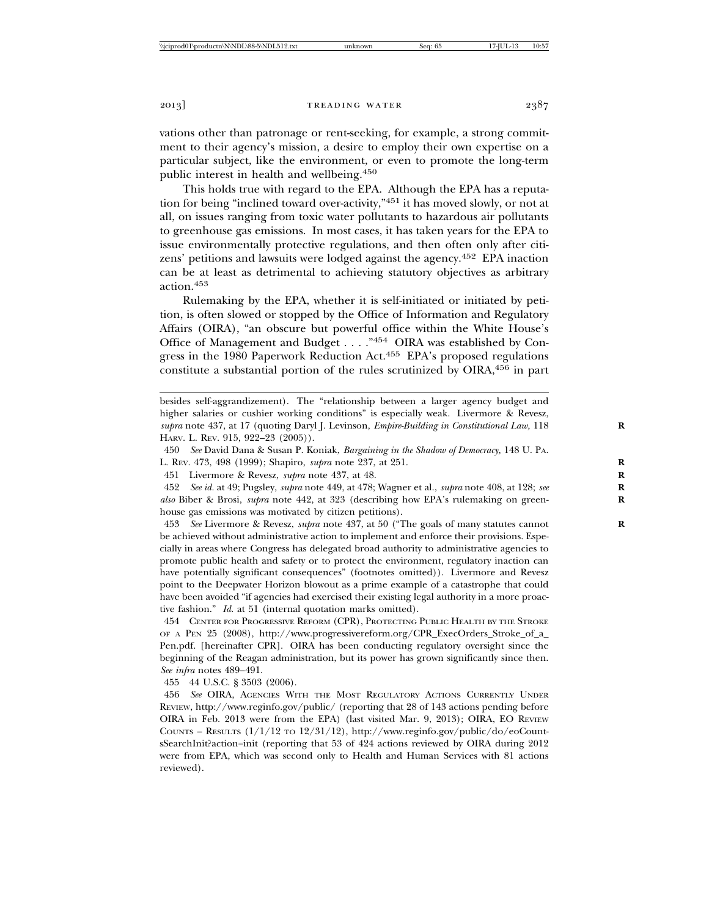vations other than patronage or rent-seeking, for example, a strong commitment to their agency's mission, a desire to employ their own expertise on a particular subject, like the environment, or even to promote the long-term public interest in health and wellbeing.450

This holds true with regard to the EPA. Although the EPA has a reputation for being "inclined toward over-activity,"451 it has moved slowly, or not at all, on issues ranging from toxic water pollutants to hazardous air pollutants to greenhouse gas emissions. In most cases, it has taken years for the EPA to issue environmentally protective regulations, and then often only after citizens' petitions and lawsuits were lodged against the agency.452 EPA inaction can be at least as detrimental to achieving statutory objectives as arbitrary action.<sup>453</sup>

Rulemaking by the EPA, whether it is self-initiated or initiated by petition, is often slowed or stopped by the Office of Information and Regulatory Affairs (OIRA), "an obscure but powerful office within the White House's Office of Management and Budget . . . ."454 OIRA was established by Congress in the 1980 Paperwork Reduction Act.455 EPA's proposed regulations constitute a substantial portion of the rules scrutinized by  $\text{OIRA},^{456}$  in part

450 *See* David Dana & Susan P. Koniak, *Bargaining in the Shadow of Democracy,* 148 U. PA. L. REV. 473, 498 (1999); Shapiro, *supra* note 237, at 251. **R**

451 Livermore & Revesz, *supra* note 437, at 48. **R**

452 *See id.* at 49; Pugsley, *supra* note 449, at 478; Wagner et al., *supra* note 408, at 128; *see* **R** *also* Biber & Brosi, *supra* note 442, at 323 (describing how EPA's rulemaking on green- **R** house gas emissions was motivated by citizen petitions).

453 *See* Livermore & Revesz, *supra* note 437, at 50 ("The goals of many statutes cannot **R** be achieved without administrative action to implement and enforce their provisions. Especially in areas where Congress has delegated broad authority to administrative agencies to promote public health and safety or to protect the environment, regulatory inaction can have potentially significant consequences" (footnotes omitted)). Livermore and Revesz point to the Deepwater Horizon blowout as a prime example of a catastrophe that could have been avoided "if agencies had exercised their existing legal authority in a more proactive fashion." *Id.* at 51 (internal quotation marks omitted).

454 CENTER FOR PROGRESSIVE REFORM (CPR), PROTECTING PUBLIC HEALTH BY THE STROKE OF A PEN 25 (2008), http://www.progressivereform.org/CPR\_ExecOrders\_Stroke\_of\_a\_ Pen.pdf. [hereinafter CPR]. OIRA has been conducting regulatory oversight since the beginning of the Reagan administration, but its power has grown significantly since then. *See infra* notes 489–491.

455 44 U.S.C. § 3503 (2006).

456 *See* OIRA, AGENCIES WITH THE MOST REGULATORY ACTIONS CURRENTLY UNDER REVIEW, http://www.reginfo.gov/public/ (reporting that 28 of 143 actions pending before OIRA in Feb. 2013 were from the EPA) (last visited Mar. 9, 2013); OIRA, EO REVIEW COUNTS – RESULTS  $(1/1/12 \text{ to } 12/31/12)$ , http://www.reginfo.gov/public/do/eoCountsSearchInit?action=init (reporting that 53 of 424 actions reviewed by OIRA during 2012 were from EPA, which was second only to Health and Human Services with 81 actions reviewed).

besides self-aggrandizement). The "relationship between a larger agency budget and higher salaries or cushier working conditions" is especially weak. Livermore & Revesz, *supra* note 437, at 17 (quoting Daryl J. Levinson, *Empire-Building in Constitutional Law,* 118 **R** HARV. L. REV. 915, 922–23 (2005)).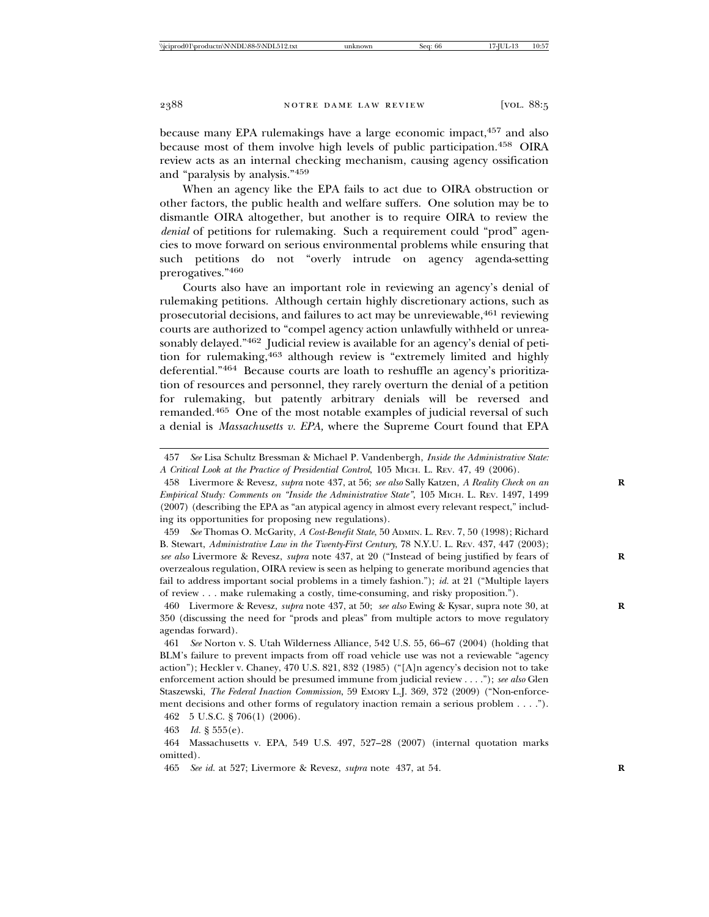because many EPA rulemakings have a large economic impact, 457 and also because most of them involve high levels of public participation.<sup>458</sup> OIRA review acts as an internal checking mechanism, causing agency ossification and "paralysis by analysis."459

When an agency like the EPA fails to act due to OIRA obstruction or other factors, the public health and welfare suffers. One solution may be to dismantle OIRA altogether, but another is to require OIRA to review the *denial* of petitions for rulemaking. Such a requirement could "prod" agencies to move forward on serious environmental problems while ensuring that such petitions do not "overly intrude on agency agenda-setting prerogatives."<sup>460</sup>

Courts also have an important role in reviewing an agency's denial of rulemaking petitions. Although certain highly discretionary actions, such as prosecutorial decisions, and failures to act may be unreviewable,461 reviewing courts are authorized to "compel agency action unlawfully withheld or unreasonably delayed."<sup>462</sup> Judicial review is available for an agency's denial of petition for rulemaking,463 although review is "extremely limited and highly deferential."464 Because courts are loath to reshuffle an agency's prioritization of resources and personnel, they rarely overturn the denial of a petition for rulemaking, but patently arbitrary denials will be reversed and remanded.465 One of the most notable examples of judicial reversal of such a denial is *Massachusetts v. EPA,* where the Supreme Court found that EPA

462 5 U.S.C. § 706(1) (2006).

463 *Id.* § 555(e).

<sup>457</sup> *See* Lisa Schultz Bressman & Michael P. Vandenbergh, *Inside the Administrative State: A Critical Look at the Practice of Presidential Control*, 105 MICH. L. REV. 47, 49 (2006).

<sup>458</sup> Livermore & Revesz, *supra* note 437, at 56; *see also* Sally Katzen, *A Reality Check on an* **R** *Empirical Study: Comments on "Inside the Administrative State"*, 105 MICH. L. REV. 1497, 1499 (2007) (describing the EPA as "an atypical agency in almost every relevant respect," including its opportunities for proposing new regulations).

<sup>459</sup> *See* Thomas O. McGarity, *A Cost-Benefit State*, 50 ADMIN. L. REV. 7, 50 (1998); Richard B. Stewart, *Administrative Law in the Twenty-First Century*, 78 N.Y.U. L. REV. 437, 447 (2003); *see also* Livermore & Revesz, *supra* note 437, at 20 ("Instead of being justified by fears of **R** overzealous regulation, OIRA review is seen as helping to generate moribund agencies that fail to address important social problems in a timely fashion."); *id.* at 21 ("Multiple layers of review . . . make rulemaking a costly, time-consuming, and risky proposition.").

<sup>460</sup> Livermore & Revesz, *supra* note 437, at 50; *see also* Ewing & Kysar, supra note 30, at **R** 350 (discussing the need for "prods and pleas" from multiple actors to move regulatory agendas forward).

<sup>461</sup> *See* Norton v. S. Utah Wilderness Alliance, 542 U.S. 55, 66–67 (2004) (holding that BLM's failure to prevent impacts from off road vehicle use was not a reviewable "agency action"); Heckler v. Chaney, 470 U.S. 821, 832 (1985) ("[A]n agency's decision not to take enforcement action should be presumed immune from judicial review . . . ."); *see also* Glen Staszewski, *The Federal Inaction Commission*, 59 EMORY L.J. 369, 372 (2009) ("Non-enforcement decisions and other forms of regulatory inaction remain a serious problem . . . .").

<sup>464</sup> Massachusetts v. EPA, 549 U.S. 497, 527–28 (2007) (internal quotation marks omitted).

<sup>465</sup> *See id.* at 527; Livermore & Revesz, *supra* note 437, at 54. **R**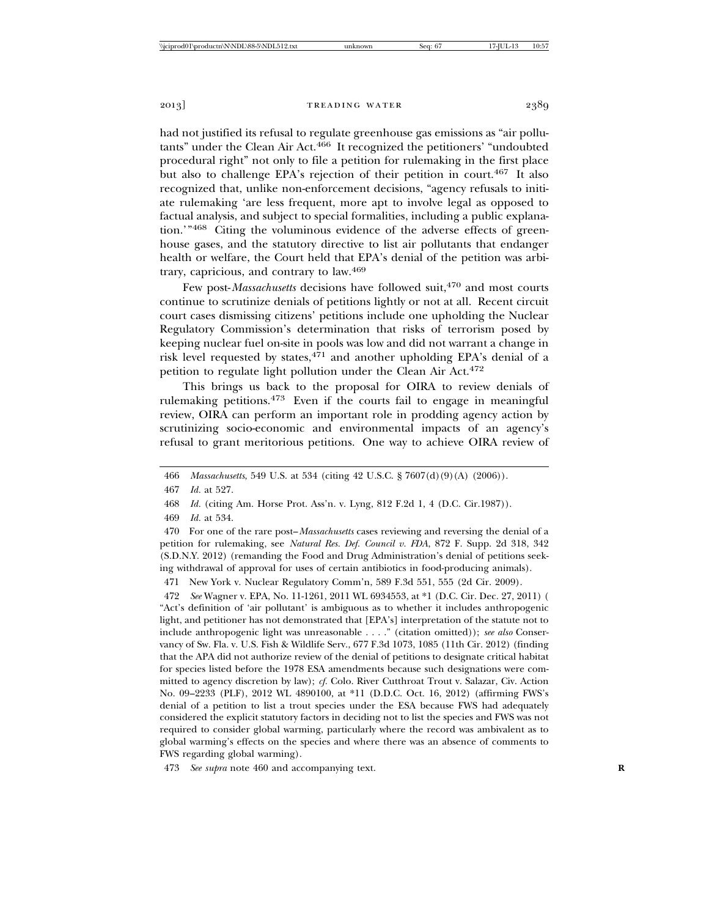had not justified its refusal to regulate greenhouse gas emissions as "air pollutants" under the Clean Air Act.<sup>466</sup> It recognized the petitioners' "undoubted procedural right" not only to file a petition for rulemaking in the first place but also to challenge EPA's rejection of their petition in court.467 It also recognized that, unlike non-enforcement decisions, "agency refusals to initiate rulemaking 'are less frequent, more apt to involve legal as opposed to factual analysis, and subject to special formalities, including a public explanation.'"468 Citing the voluminous evidence of the adverse effects of greenhouse gases, and the statutory directive to list air pollutants that endanger health or welfare, the Court held that EPA's denial of the petition was arbitrary, capricious, and contrary to law.469

Few post-*Massachusetts* decisions have followed suit,<sup>470</sup> and most courts continue to scrutinize denials of petitions lightly or not at all. Recent circuit court cases dismissing citizens' petitions include one upholding the Nuclear Regulatory Commission's determination that risks of terrorism posed by keeping nuclear fuel on-site in pools was low and did not warrant a change in risk level requested by states, $471$  and another upholding EPA's denial of a petition to regulate light pollution under the Clean Air Act.<sup>472</sup>

This brings us back to the proposal for OIRA to review denials of rulemaking petitions.<sup>473</sup> Even if the courts fail to engage in meaningful review, OIRA can perform an important role in prodding agency action by scrutinizing socio-economic and environmental impacts of an agency's refusal to grant meritorious petitions. One way to achieve OIRA review of

469 *Id.* at 534.

470 For one of the rare post–*Massachusetts* cases reviewing and reversing the denial of a petition for rulemaking, see *Natural Res. Def. Council v. FDA*, 872 F. Supp. 2d 318, 342 (S.D.N.Y. 2012) (remanding the Food and Drug Administration's denial of petitions seeking withdrawal of approval for uses of certain antibiotics in food-producing animals).

471 New York v. Nuclear Regulatory Comm'n, 589 F.3d 551, 555 (2d Cir. 2009).

472 *See* Wagner v. EPA, No. 11-1261, 2011 WL 6934553, at \*1 (D.C. Cir. Dec. 27, 2011) ( "Act's definition of 'air pollutant' is ambiguous as to whether it includes anthropogenic light, and petitioner has not demonstrated that [EPA's] interpretation of the statute not to include anthropogenic light was unreasonable . . . ." (citation omitted)); *see also* Conservancy of Sw. Fla. v. U.S. Fish & Wildlife Serv., 677 F.3d 1073, 1085 (11th Cir. 2012) (finding that the APA did not authorize review of the denial of petitions to designate critical habitat for species listed before the 1978 ESA amendments because such designations were committed to agency discretion by law); *cf.* Colo. River Cutthroat Trout v. Salazar, Civ. Action No. 09–2233 (PLF), 2012 WL 4890100, at \*11 (D.D.C. Oct. 16, 2012) (affirming FWS's denial of a petition to list a trout species under the ESA because FWS had adequately considered the explicit statutory factors in deciding not to list the species and FWS was not required to consider global warming, particularly where the record was ambivalent as to global warming's effects on the species and where there was an absence of comments to FWS regarding global warming).

473 *See supra* note 460 and accompanying text. **R**

<sup>466</sup> *Massachusetts*, 549 U.S. at 534 (citing 42 U.S.C. § 7607(d)(9)(A) (2006)).

<sup>467</sup> *Id.* at 527.

<sup>468</sup> *Id.* (citing Am. Horse Prot. Ass'n. v. Lyng, 812 F.2d 1, 4 (D.C. Cir.1987)).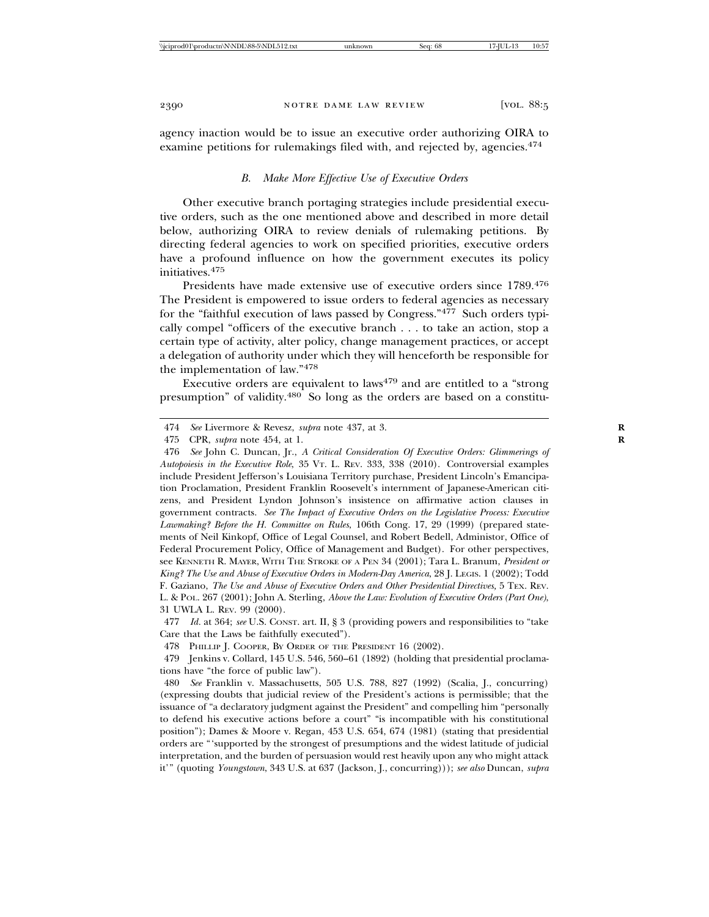agency inaction would be to issue an executive order authorizing OIRA to examine petitions for rulemakings filed with, and rejected by, agencies.<sup>474</sup>

#### *B. Make More Effective Use of Executive Orders*

Other executive branch portaging strategies include presidential executive orders, such as the one mentioned above and described in more detail below, authorizing OIRA to review denials of rulemaking petitions. By directing federal agencies to work on specified priorities, executive orders have a profound influence on how the government executes its policy initiatives.<sup>475</sup>

Presidents have made extensive use of executive orders since 1789.<sup>476</sup> The President is empowered to issue orders to federal agencies as necessary for the "faithful execution of laws passed by Congress."477 Such orders typically compel "officers of the executive branch . . . to take an action, stop a certain type of activity, alter policy, change management practices, or accept a delegation of authority under which they will henceforth be responsible for the implementation of law."478

Executive orders are equivalent to laws<sup>479</sup> and are entitled to a "strong" presumption" of validity.480 So long as the orders are based on a constitu-

<sup>474</sup> *See* Livermore & Revesz, *supra* note 437, at 3. **R**

<sup>475</sup> CPR, *supra* note 454, at 1. **R**

<sup>476</sup> *See* John C. Duncan, Jr., *A Critical Consideration Of Executive Orders: Glimmerings of Autopoiesis in the Executive Role*, 35 VT. L. REV. 333, 338 (2010). Controversial examples include President Jefferson's Louisiana Territory purchase, President Lincoln's Emancipation Proclamation, President Franklin Roosevelt's internment of Japanese-American citizens, and President Lyndon Johnson's insistence on affirmative action clauses in government contracts. *See The Impact of Executive Orders on the Legislative Process: Executive Lawmaking? Before the H. Committee on Rules*, 106th Cong. 17, 29 (1999) (prepared statements of Neil Kinkopf, Office of Legal Counsel, and Robert Bedell, Administor, Office of Federal Procurement Policy, Office of Management and Budget). For other perspectives, see KENNETH R. MAYER, WITH THE STROKE OF A PEN 34 (2001); Tara L. Branum, *President or King? The Use and Abuse of Executive Orders in Modern-Day America*, 28 J. LEGIS. 1 (2002); Todd F. Gaziano, *The Use and Abuse of Executive Orders and Other Presidential Directives,* 5 TEX. REV. L. & POL. 267 (2001); John A. Sterling, *Above the Law: Evolution of Executive Orders (Part One)*, 31 UWLA L. REV. 99 (2000).

<sup>477</sup> *Id.* at 364; *see* U.S. CONST. art. II, § 3 (providing powers and responsibilities to "take Care that the Laws be faithfully executed").

<sup>478</sup> PHILLIP J. COOPER, BY ORDER OF THE PRESIDENT 16 (2002).

<sup>479</sup> Jenkins v. Collard, 145 U.S. 546, 560–61 (1892) (holding that presidential proclamations have "the force of public law").

<sup>480</sup> *See* Franklin v. Massachusetts, 505 U.S. 788, 827 (1992) (Scalia, J., concurring) (expressing doubts that judicial review of the President's actions is permissible; that the issuance of "a declaratory judgment against the President" and compelling him "personally to defend his executive actions before a court" "is incompatible with his constitutional position"); Dames & Moore v. Regan, 453 U.S. 654, 674 (1981) (stating that presidential orders are "'supported by the strongest of presumptions and the widest latitude of judicial interpretation, and the burden of persuasion would rest heavily upon any who might attack it'" (quoting *Youngstown*, 343 U.S. at 637 (Jackson, J., concurring))); *see also* Duncan, *supra*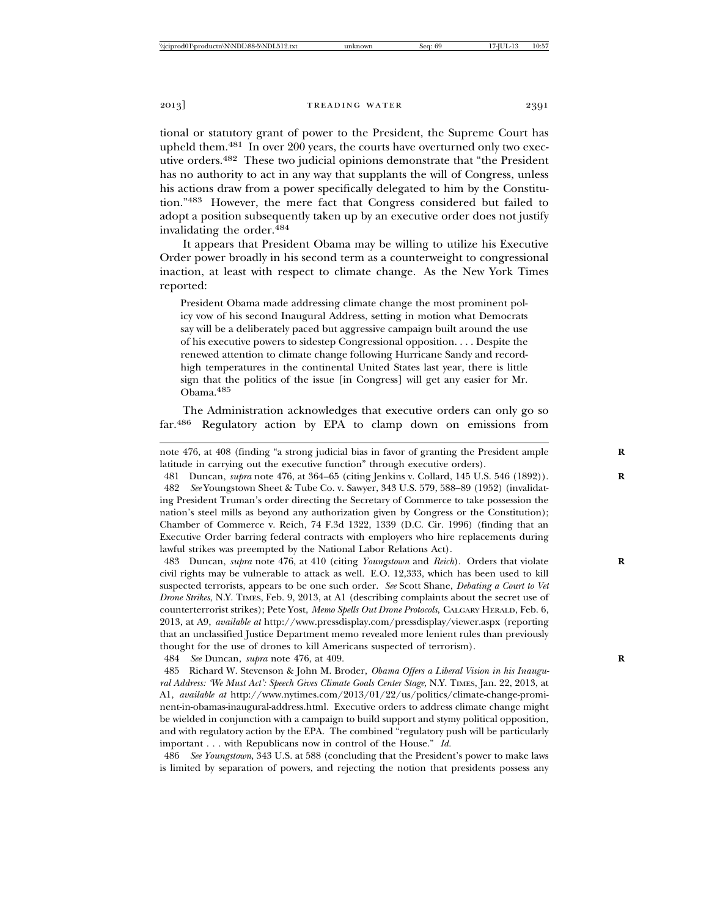tional or statutory grant of power to the President, the Supreme Court has upheld them. $481$  In over 200 years, the courts have overturned only two executive orders.482 These two judicial opinions demonstrate that "the President has no authority to act in any way that supplants the will of Congress, unless his actions draw from a power specifically delegated to him by the Constitution."483 However, the mere fact that Congress considered but failed to adopt a position subsequently taken up by an executive order does not justify invalidating the order.484

It appears that President Obama may be willing to utilize his Executive Order power broadly in his second term as a counterweight to congressional inaction, at least with respect to climate change. As the New York Times reported:

President Obama made addressing climate change the most prominent policy vow of his second Inaugural Address, setting in motion what Democrats say will be a deliberately paced but aggressive campaign built around the use of his executive powers to sidestep Congressional opposition. . . . Despite the renewed attention to climate change following Hurricane Sandy and recordhigh temperatures in the continental United States last year, there is little sign that the politics of the issue [in Congress] will get any easier for Mr. Obama.485

The Administration acknowledges that executive orders can only go so far.486 Regulatory action by EPA to clamp down on emissions from

note 476, at 408 (finding "a strong judicial bias in favor of granting the President ample **R** latitude in carrying out the executive function" through executive orders).

481 Duncan, *supra* note 476, at 364–65 (citing Jenkins v. Collard, 145 U.S. 546 (1892)). **R** 482 *See* Youngstown Sheet & Tube Co. v. Sawyer, 343 U.S. 579, 588–89 (1952) (invalidating President Truman's order directing the Secretary of Commerce to take possession the nation's steel mills as beyond any authorization given by Congress or the Constitution); Chamber of Commerce v. Reich, 74 F.3d 1322, 1339 (D.C. Cir. 1996) (finding that an Executive Order barring federal contracts with employers who hire replacements during lawful strikes was preempted by the National Labor Relations Act).

483 Duncan, *supra* note 476, at 410 (citing *Youngstown* and *Reich*). Orders that violate **R** civil rights may be vulnerable to attack as well. E.O. 12,333, which has been used to kill suspected terrorists, appears to be one such order. *See* Scott Shane, *Debating a Court to Vet Drone Strikes*, N.Y. TIMES, Feb. 9, 2013, at A1 (describing complaints about the secret use of counterterrorist strikes); Pete Yost, *Memo Spells Out Drone Protocols*, CALGARY HERALD, Feb. 6, 2013, at A9, *available at* http://www.pressdisplay.com/pressdisplay/viewer.aspx (reporting that an unclassified Justice Department memo revealed more lenient rules than previously thought for the use of drones to kill Americans suspected of terrorism).

484 *See* Duncan, *supra* note 476, at 409. **R**

485 Richard W. Stevenson & John M. Broder, *Obama Offers a Liberal Vision in his Inaugural Address: 'We Must Act': Speech Gives Climate Goals Center Stage*, N.Y. TIMES, Jan. 22, 2013, at A1, *available at* http://www.nytimes.com/2013/01/22/us/politics/climate-change-prominent-in-obamas-inaugural-address.html. Executive orders to address climate change might be wielded in conjunction with a campaign to build support and stymy political opposition, and with regulatory action by the EPA. The combined "regulatory push will be particularly important . . . with Republicans now in control of the House." *Id.*

486 *See Youngstown*, 343 U.S. at 588 (concluding that the President's power to make laws is limited by separation of powers, and rejecting the notion that presidents possess any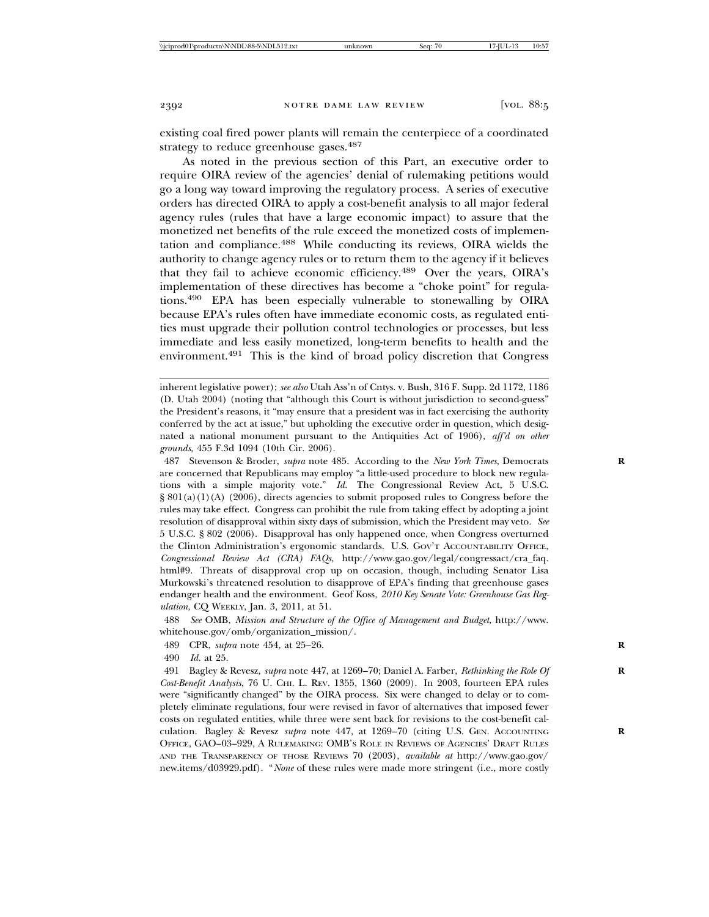existing coal fired power plants will remain the centerpiece of a coordinated strategy to reduce greenhouse gases.<sup>487</sup>

As noted in the previous section of this Part, an executive order to require OIRA review of the agencies' denial of rulemaking petitions would go a long way toward improving the regulatory process. A series of executive orders has directed OIRA to apply a cost-benefit analysis to all major federal agency rules (rules that have a large economic impact) to assure that the monetized net benefits of the rule exceed the monetized costs of implementation and compliance.488 While conducting its reviews, OIRA wields the authority to change agency rules or to return them to the agency if it believes that they fail to achieve economic efficiency.<sup>489</sup> Over the years, OIRA's implementation of these directives has become a "choke point" for regulations.490 EPA has been especially vulnerable to stonewalling by OIRA because EPA's rules often have immediate economic costs, as regulated entities must upgrade their pollution control technologies or processes, but less immediate and less easily monetized, long-term benefits to health and the environment.491 This is the kind of broad policy discretion that Congress

487 Stevenson & Broder, *supra* note 485. According to the *New York Times*, Democrats **R** are concerned that Republicans may employ "a little-used procedure to block new regulations with a simple majority vote." *Id.* The Congressional Review Act, 5 U.S.C.  $\S 801(a)(1)(A)$  (2006), directs agencies to submit proposed rules to Congress before the rules may take effect. Congress can prohibit the rule from taking effect by adopting a joint resolution of disapproval within sixty days of submission, which the President may veto. *See* 5 U.S.C. § 802 (2006). Disapproval has only happened once, when Congress overturned the Clinton Administration's ergonomic standards. U.S. GOV'T ACCOUNTABILITY OFFICE, *Congressional Review Act (CRA) FAQs*, http://www.gao.gov/legal/congressact/cra\_faq. html#9. Threats of disapproval crop up on occasion, though, including Senator Lisa Murkowski's threatened resolution to disapprove of EPA's finding that greenhouse gases endanger health and the environment. Geof Koss, *2010 Key Senate Vote: Greenhouse Gas Regulation*, CQ WEEKLY, Jan. 3, 2011, at 51.

488 *See* OMB, *Mission and Structure of the Office of Management and Budget*, http://www. whitehouse.gov/omb/organization\_mission/.

489 CPR, *supra* note 454, at 25–26. **R**

490 *Id.* at 25.

491 Bagley & Revesz, *supra* note 447, at 1269–70; Daniel A. Farber, *Rethinking the Role Of* **R** *Cost-Benefit Analysis*, 76 U. CHI. L. REV. 1355, 1360 (2009). In 2003, fourteen EPA rules were "significantly changed" by the OIRA process. Six were changed to delay or to completely eliminate regulations, four were revised in favor of alternatives that imposed fewer costs on regulated entities, while three were sent back for revisions to the cost-benefit calculation. Bagley & Revesz *supra* note 447, at 1269–70 (citing U.S. GEN. ACCOUNTING **R** OFFICE, GAO–03–929, A RULEMAKING: OMB'S ROLE IN REVIEWS OF AGENCIES' DRAFT RULES AND THE TRANSPARENCY OF THOSE REVIEWS 70 (2003), *available at* http://www.gao.gov/ new.items/d03929.pdf). "*None* of these rules were made more stringent (i.e., more costly

inherent legislative power); *see also* Utah Ass'n of Cntys. v. Bush, 316 F. Supp. 2d 1172, 1186 (D. Utah 2004) (noting that "although this Court is without jurisdiction to second-guess" the President's reasons, it "may ensure that a president was in fact exercising the authority conferred by the act at issue," but upholding the executive order in question, which designated a national monument pursuant to the Antiquities Act of 1906), *aff'd on other grounds*, 455 F.3d 1094 (10th Cir. 2006).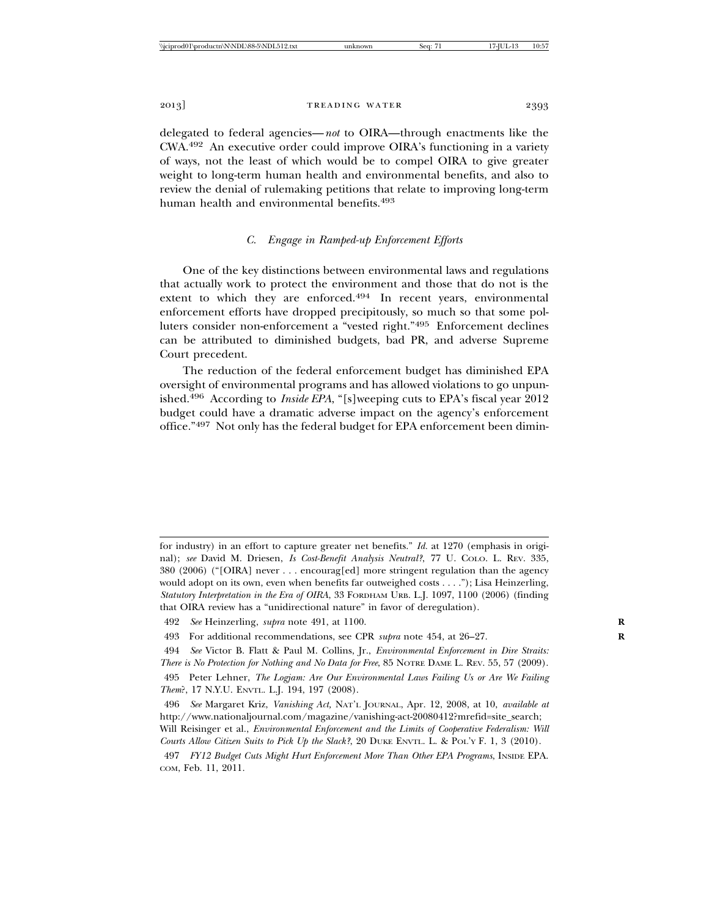delegated to federal agencies—*not* to OIRA—through enactments like the CWA.492 An executive order could improve OIRA's functioning in a variety of ways, not the least of which would be to compel OIRA to give greater weight to long-term human health and environmental benefits, and also to review the denial of rulemaking petitions that relate to improving long-term human health and environmental benefits.<sup>493</sup>

## *C. Engage in Ramped-up Enforcement Efforts*

One of the key distinctions between environmental laws and regulations that actually work to protect the environment and those that do not is the extent to which they are enforced.<sup>494</sup> In recent years, environmental enforcement efforts have dropped precipitously, so much so that some polluters consider non-enforcement a "vested right."495 Enforcement declines can be attributed to diminished budgets, bad PR, and adverse Supreme Court precedent.

The reduction of the federal enforcement budget has diminished EPA oversight of environmental programs and has allowed violations to go unpunished.496 According to *Inside EPA*, "[s]weeping cuts to EPA's fiscal year 2012 budget could have a dramatic adverse impact on the agency's enforcement office."497 Not only has the federal budget for EPA enforcement been dimin-

for industry) in an effort to capture greater net benefits." *Id.* at 1270 (emphasis in original); *see* David M. Driesen, *Is Cost-Benefit Analysis Neutral?*, 77 U. COLO. L. REV. 335, 380 (2006) ("[OIRA] never . . . encourag[ed] more stringent regulation than the agency would adopt on its own, even when benefits far outweighed costs . . . ."); Lisa Heinzerling, *Statutory Interpretation in the Era of OIRA*, 33 FORDHAM URB. L.J. 1097, 1100 (2006) (finding that OIRA review has a "unidirectional nature" in favor of deregulation).

<sup>492</sup> *See* Heinzerling, *supra* note 491, at 1100. **R**

<sup>493</sup> For additional recommendations, see CPR *supra* note 454, at 26–27. **R**

<sup>494</sup> *See* Victor B. Flatt & Paul M. Collins, Jr., *Environmental Enforcement in Dire Straits: There is No Protection for Nothing and No Data for Free*, 85 NOTRE DAME L. REV. 55, 57 (2009).

<sup>495</sup> Peter Lehner, *The Logjam: Are Our Environmental Laws Failing Us or Are We Failing Them*?, 17 N.Y.U. ENVTL. L.J. 194, 197 (2008).

<sup>496</sup> *See* Margaret Kriz, *Vanishing Act,* NAT'L JOURNAL, Apr. 12, 2008, at 10, *available at* http://www.nationaljournal.com/magazine/vanishing-act-20080412?mrefid=site\_search; Will Reisinger et al., *Environmental Enforcement and the Limits of Cooperative Federalism: Will Courts Allow Citizen Suits to Pick Up the Slack?*, 20 DUKE ENVTL. L. & POL'Y F. 1, 3 (2010).

<sup>497</sup> *FY12 Budget Cuts Might Hurt Enforcement More Than Other EPA Programs*, INSIDE EPA. COM, Feb. 11, 2011.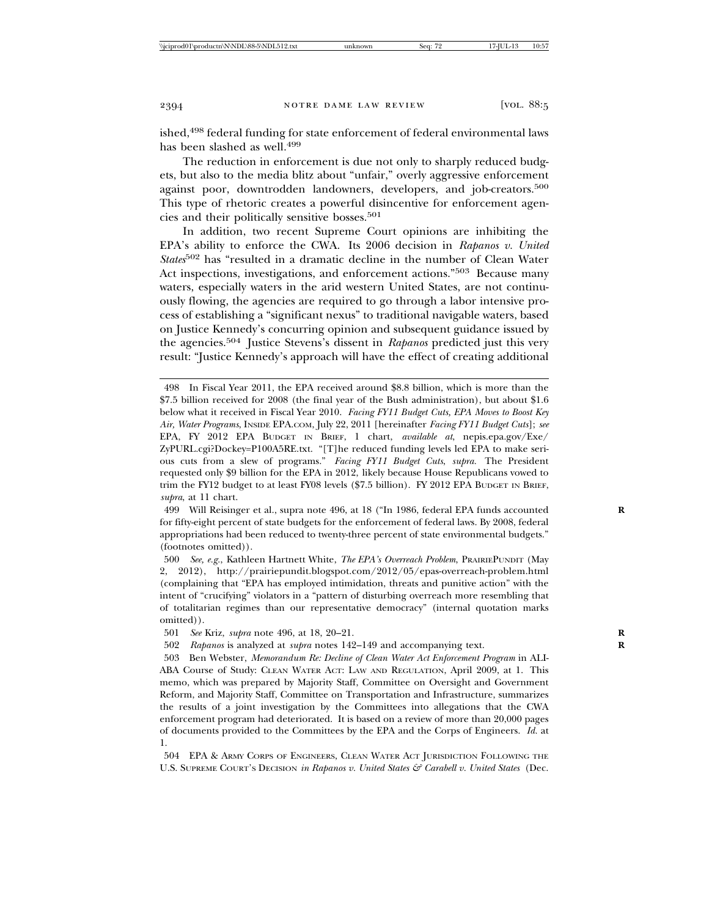ished,<sup>498</sup> federal funding for state enforcement of federal environmental laws has been slashed as well.<sup>499</sup>

The reduction in enforcement is due not only to sharply reduced budgets, but also to the media blitz about "unfair," overly aggressive enforcement against poor, downtrodden landowners, developers, and job-creators.<sup>500</sup> This type of rhetoric creates a powerful disincentive for enforcement agencies and their politically sensitive bosses.501

In addition, two recent Supreme Court opinions are inhibiting the EPA's ability to enforce the CWA. Its 2006 decision in *Rapanos v. United States*502 has "resulted in a dramatic decline in the number of Clean Water Act inspections, investigations, and enforcement actions."<sup>503</sup> Because many waters, especially waters in the arid western United States, are not continuously flowing, the agencies are required to go through a labor intensive process of establishing a "significant nexus" to traditional navigable waters, based on Justice Kennedy's concurring opinion and subsequent guidance issued by the agencies.504 Justice Stevens's dissent in *Rapanos* predicted just this very result: "Justice Kennedy's approach will have the effect of creating additional

499 Will Reisinger et al., supra note 496, at 18 ("In 1986, federal EPA funds accounted **R** for fifty-eight percent of state budgets for the enforcement of federal laws. By 2008, federal appropriations had been reduced to twenty-three percent of state environmental budgets." (footnotes omitted)).

500 *See, e.g.*, Kathleen Hartnett White, *The EPA's Overreach Problem*, PRAIRIEPUNDIT (May 2, 2012), http://prairiepundit.blogspot.com/2012/05/epas-overreach-problem.html (complaining that "EPA has employed intimidation, threats and punitive action" with the intent of "crucifying" violators in a "pattern of disturbing overreach more resembling that of totalitarian regimes than our representative democracy" (internal quotation marks omitted)).

501 *See* Kriz, *supra* note 496, at 18, 20–21. **R**

502 *Rapanos* is analyzed at *supra* notes 142–149 and accompanying text. **R**

503 Ben Webster, *Memorandum Re: Decline of Clean Water Act Enforcement Program* in ALI-ABA Course of Study: CLEAN WATER ACT: LAW AND REGULATION, April 2009, at 1. This memo, which was prepared by Majority Staff, Committee on Oversight and Government Reform, and Majority Staff, Committee on Transportation and Infrastructure, summarizes the results of a joint investigation by the Committees into allegations that the CWA enforcement program had deteriorated. It is based on a review of more than 20,000 pages of documents provided to the Committees by the EPA and the Corps of Engineers. *Id.* at 1.

504 EPA & ARMY CORPS OF ENGINEERS, CLEAN WATER ACT JURISDICTION FOLLOWING THE U.S. SUPREME COURT'S DECISION *in Rapanos v. United States & Carabell v. United States* (Dec.

<sup>498</sup> In Fiscal Year 2011, the EPA received around \$8.8 billion, which is more than the \$7.5 billion received for 2008 (the final year of the Bush administration), but about \$1.6 below what it received in Fiscal Year 2010. *Facing FY11 Budget Cuts, EPA Moves to Boost Key Air, Water Programs*, INSIDE EPA.COM, July 22, 2011 [hereinafter *Facing FY11 Budget Cuts*]; *see* EPA, FY 2012 EPA BUDGET IN BRIEF, 1 chart, *available at*, nepis.epa.gov/Exe/ ZyPURL.cgi?Dockey=P100A5RE.txt. "[T]he reduced funding levels led EPA to make serious cuts from a slew of programs." *Facing FY11 Budget Cuts*, *supra.* The President requested only \$9 billion for the EPA in 2012, likely because House Republicans vowed to trim the FY12 budget to at least FY08 levels (\$7.5 billion). FY 2012 EPA BUDGET IN BRIEF, *supra*, at 11 chart.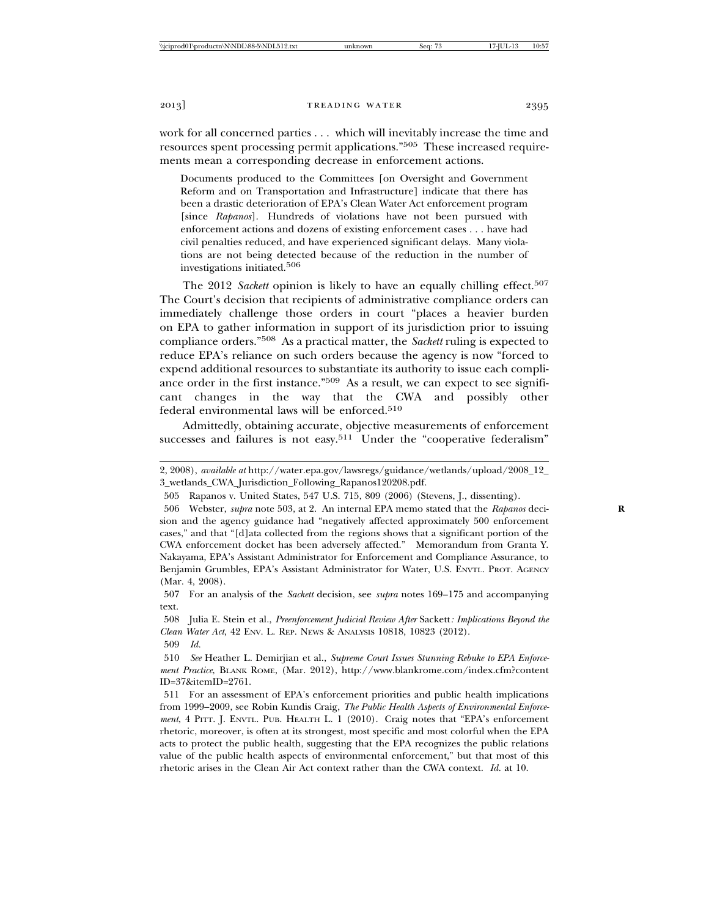work for all concerned parties . . . which will inevitably increase the time and resources spent processing permit applications."505 These increased requirements mean a corresponding decrease in enforcement actions.

Documents produced to the Committees [on Oversight and Government Reform and on Transportation and Infrastructure] indicate that there has been a drastic deterioration of EPA's Clean Water Act enforcement program [since *Rapanos*]. Hundreds of violations have not been pursued with enforcement actions and dozens of existing enforcement cases . . . have had civil penalties reduced, and have experienced significant delays. Many violations are not being detected because of the reduction in the number of investigations initiated.506

The 2012 *Sackett* opinion is likely to have an equally chilling effect.<sup>507</sup> The Court's decision that recipients of administrative compliance orders can immediately challenge those orders in court "places a heavier burden on EPA to gather information in support of its jurisdiction prior to issuing compliance orders."508 As a practical matter, the *Sackett* ruling is expected to reduce EPA's reliance on such orders because the agency is now "forced to expend additional resources to substantiate its authority to issue each compliance order in the first instance."<sup>509</sup> As a result, we can expect to see significant changes in the way that the CWA and possibly other federal environmental laws will be enforced.<sup>510</sup>

Admittedly, obtaining accurate, objective measurements of enforcement successes and failures is not easy.<sup>511</sup> Under the "cooperative federalism"

<sup>2, 2008),</sup> *available at* http://water.epa.gov/lawsregs/guidance/wetlands/upload/2008\_12\_ 3\_wetlands\_CWA\_Jurisdiction\_Following\_Rapanos120208.pdf.

<sup>505</sup> Rapanos v. United States, 547 U.S. 715, 809 (2006) (Stevens, J., dissenting).

<sup>506</sup> Webster, *supra* note 503, at 2. An internal EPA memo stated that the *Rapanos* deci- **R** sion and the agency guidance had "negatively affected approximately 500 enforcement cases," and that "[d]ata collected from the regions shows that a significant portion of the CWA enforcement docket has been adversely affected." Memorandum from Granta Y. Nakayama, EPA's Assistant Administrator for Enforcement and Compliance Assurance, to Benjamin Grumbles, EPA's Assistant Administrator for Water, U.S. ENVTL. PROT. AGENCY (Mar. 4, 2008).

<sup>507</sup> For an analysis of the *Sackett* decision, see *supra* notes 169–175 and accompanying text.

<sup>508</sup> Julia E. Stein et al., *Preenforcement Judicial Review After* Sackett*: Implications Beyond the Clean Water Act*, 42 ENV. L. REP. NEWS & ANALYSIS 10818, 10823 (2012). 509 *Id.*

<sup>510</sup> *See* Heather L. Demirjian et al., *Supreme Court Issues Stunning Rebuke to EPA Enforcement Practice*, BLANK ROME, (Mar. 2012), http://www.blankrome.com/index.cfm?content ID=37&itemID=2761.

<sup>511</sup> For an assessment of EPA's enforcement priorities and public health implications from 1999–2009, see Robin Kundis Craig, *The Public Health Aspects of Environmental Enforcement*, 4 PITT. J. ENVTL. PUB. HEALTH L. 1 (2010). Craig notes that "EPA's enforcement rhetoric, moreover, is often at its strongest, most specific and most colorful when the EPA acts to protect the public health, suggesting that the EPA recognizes the public relations value of the public health aspects of environmental enforcement," but that most of this rhetoric arises in the Clean Air Act context rather than the CWA context. *Id.* at 10.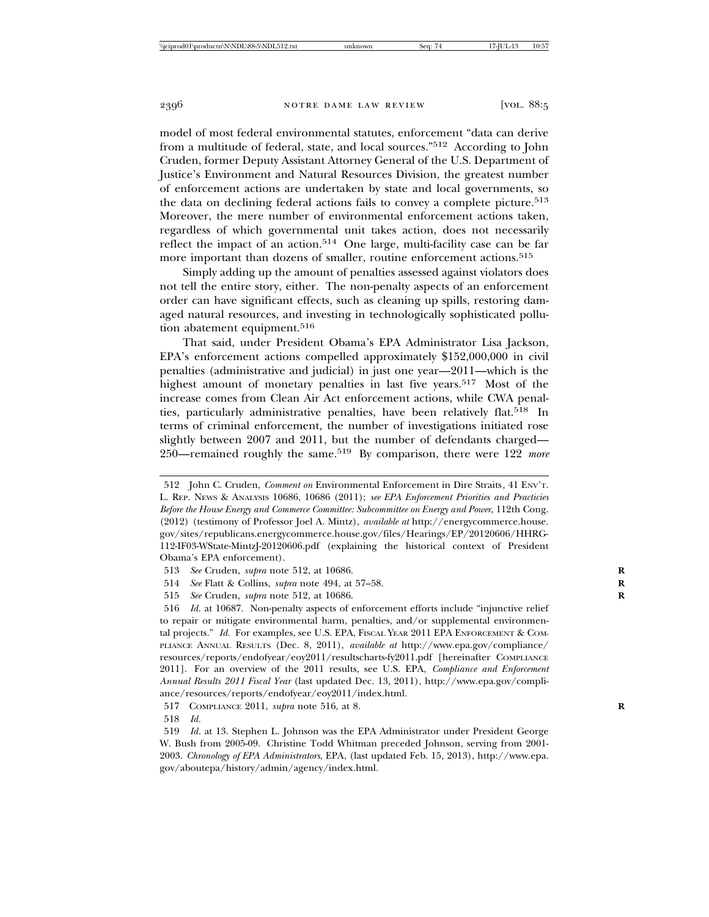model of most federal environmental statutes, enforcement "data can derive from a multitude of federal, state, and local sources."512 According to John Cruden, former Deputy Assistant Attorney General of the U.S. Department of Justice's Environment and Natural Resources Division, the greatest number of enforcement actions are undertaken by state and local governments, so the data on declining federal actions fails to convey a complete picture.<sup>513</sup> Moreover, the mere number of environmental enforcement actions taken, regardless of which governmental unit takes action, does not necessarily reflect the impact of an action.514 One large, multi-facility case can be far more important than dozens of smaller, routine enforcement actions.<sup>515</sup>

Simply adding up the amount of penalties assessed against violators does not tell the entire story, either. The non-penalty aspects of an enforcement order can have significant effects, such as cleaning up spills, restoring damaged natural resources, and investing in technologically sophisticated pollution abatement equipment.<sup>516</sup>

That said, under President Obama's EPA Administrator Lisa Jackson, EPA's enforcement actions compelled approximately \$152,000,000 in civil penalties (administrative and judicial) in just one year—2011—which is the highest amount of monetary penalties in last five years.<sup>517</sup> Most of the increase comes from Clean Air Act enforcement actions, while CWA penalties, particularly administrative penalties, have been relatively flat.518 In terms of criminal enforcement, the number of investigations initiated rose slightly between 2007 and 2011, but the number of defendants charged— 250—remained roughly the same.519 By comparison, there were 122 *more*

- 514 *See* Flatt & Collins, *supra* note 494, at 57–58. **R**
- 515 *See* Cruden, *supra* note 512, at 10686. **R**

<sup>512</sup> John C. Cruden, *Comment on* Environmental Enforcement in Dire Straits*,* 41 ENV'T. L. REP. NEWS & ANALYSIS 10686, 10686 (2011); *see EPA Enforcement Priorities and Practicies Before the House Energy and Commerce Committee: Subcommittee on Energy and Power*, 112th Cong. (2012) (testimony of Professor Joel A. Mintz), *available at* http://energycommerce.house. gov/sites/republicans.energycommerce.house.gov/files/Hearings/EP/20120606/HHRG-112-IF03-WState-MintzJ-20120606.pdf (explaining the historical context of President Obama's EPA enforcement).

<sup>513</sup> *See* Cruden, *supra* note 512, at 10686. **R**

<sup>516</sup> *Id.* at 10687. Non-penalty aspects of enforcement efforts include "injunctive relief to repair or mitigate environmental harm, penalties, and/or supplemental environmental projects." *Id.* For examples, see U.S. EPA, FISCAL YEAR 2011 EPA ENFORCEMENT & COM-PLIANCE ANNUAL RESULTS (Dec. 8, 2011), *available at* http://www.epa.gov/compliance/ resources/reports/endofyear/eoy2011/resultscharts-fy2011.pdf [hereinafter COMPLIANCE 2011]. For an overview of the 2011 results, see U.S. EPA, *Compliance and Enforcement Annual Results 2011 Fiscal Year* (last updated Dec. 13, 2011), http://www.epa.gov/compliance/resources/reports/endofyear/eoy2011/index.html.

<sup>517</sup> COMPLIANCE 2011, *supra* note 516, at 8. **R**

<sup>518</sup> *Id.*

<sup>519</sup> *Id.* at 13. Stephen L. Johnson was the EPA Administrator under President George W. Bush from 2005-09. Christine Todd Whitman preceded Johnson, serving from 2001- 2003. *Chronology of EPA Administrators*, EPA, (last updated Feb. 15, 2013), http://www.epa. gov/aboutepa/history/admin/agency/index.html.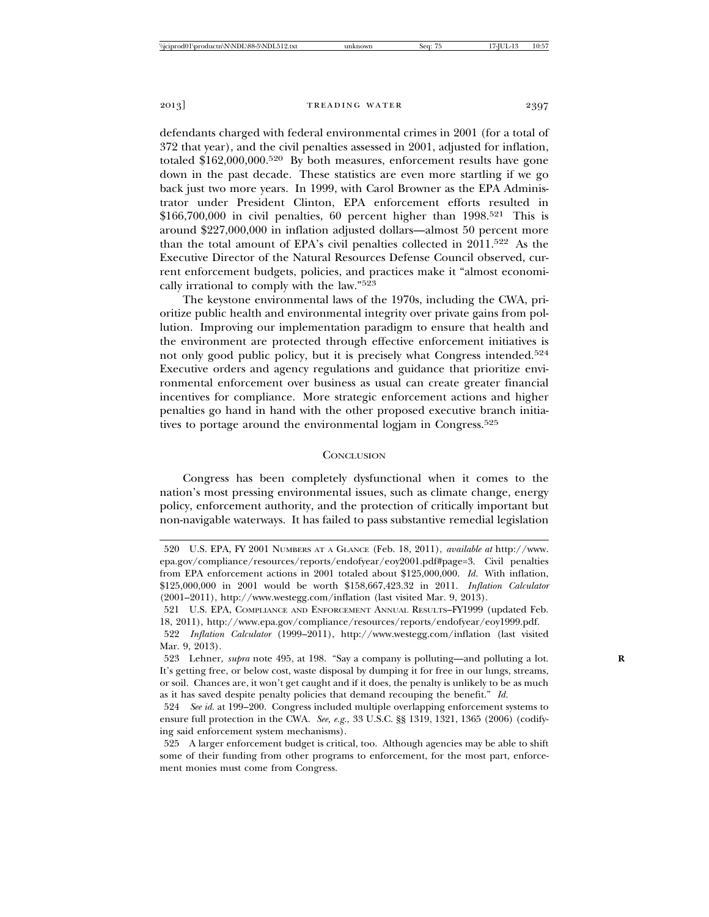defendants charged with federal environmental crimes in 2001 (for a total of 372 that year), and the civil penalties assessed in 2001, adjusted for inflation, totaled \$162,000,000.520 By both measures, enforcement results have gone down in the past decade. These statistics are even more startling if we go back just two more years. In 1999, with Carol Browner as the EPA Administrator under President Clinton, EPA enforcement efforts resulted in  $$166,700,000$  in civil penalties, 60 percent higher than  $1998^{521}$  This is around \$227,000,000 in inflation adjusted dollars—almost 50 percent more than the total amount of EPA's civil penalties collected in 2011.522 As the Executive Director of the Natural Resources Defense Council observed, current enforcement budgets, policies, and practices make it "almost economically irrational to comply with the law."523

The keystone environmental laws of the 1970s, including the CWA, prioritize public health and environmental integrity over private gains from pollution. Improving our implementation paradigm to ensure that health and the environment are protected through effective enforcement initiatives is not only good public policy, but it is precisely what Congress intended.<sup>524</sup> Executive orders and agency regulations and guidance that prioritize environmental enforcement over business as usual can create greater financial incentives for compliance. More strategic enforcement actions and higher penalties go hand in hand with the other proposed executive branch initiatives to portage around the environmental logiam in Congress.<sup>525</sup>

## **CONCLUSION**

Congress has been completely dysfunctional when it comes to the nation's most pressing environmental issues, such as climate change, energy policy, enforcement authority, and the protection of critically important but non-navigable waterways. It has failed to pass substantive remedial legislation

<sup>520</sup> U.S. EPA, FY 2001 NUMBERS AT A GLANCE (Feb. 18, 2011), *available at* http://www. epa.gov/compliance/resources/reports/endofyear/eoy2001.pdf#page=3. Civil penalties from EPA enforcement actions in 2001 totaled about \$125,000,000. *Id.* With inflation, \$125,000,000 in 2001 would be worth \$158,667,423.32 in 2011. *Inflation Calculator* (2001–2011), http://www.westegg.com/inflation (last visited Mar. 9, 2013).

<sup>521</sup> U.S. EPA, COMPLIANCE AND ENFORCEMENT ANNUAL RESULTS–FY1999 (updated Feb. 18, 2011), http://www.epa.gov/compliance/resources/reports/endofyear/eoy1999.pdf.

<sup>522</sup> *Inflation Calculator* (1999–2011), http://www.westegg.com/inflation (last visited Mar. 9, 2013).

<sup>523</sup> Lehner, *supra* note 495, at 198. "Say a company is polluting—and polluting a lot. **R** It's getting free, or below cost, waste disposal by dumping it for free in our lungs, streams, or soil. Chances are, it won't get caught and if it does, the penalty is unlikely to be as much as it has saved despite penalty policies that demand recouping the benefit." *Id.*

<sup>524</sup> *See id.* at 199–200. Congress included multiple overlapping enforcement systems to ensure full protection in the CWA. *See, e.g.*, 33 U.S.C. §§ 1319, 1321, 1365 (2006) (codifying said enforcement system mechanisms).

<sup>525</sup> A larger enforcement budget is critical, too. Although agencies may be able to shift some of their funding from other programs to enforcement, for the most part, enforcement monies must come from Congress.